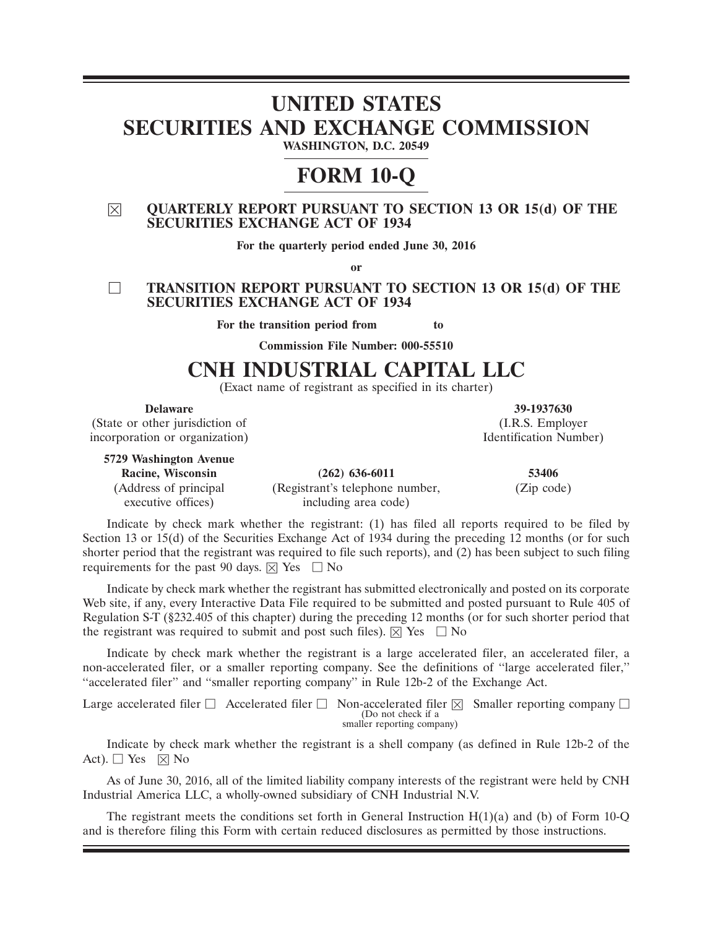# **UNITED STATES SECURITIES AND EXCHANGE COMMISSION**

**WASHINGTON, D.C. 20549**

# **FORM 10-Q**

### **QUARTERLY REPORT PURSUANT TO SECTION 13 OR 15(d) OF THE SECURITIES EXCHANGE ACT OF 1934**

**For the quarterly period ended June 30, 2016**

**or**

 $\Box$  **TRANSITION REPORT PURSUANT TO SECTION 13 OR 15(d) OF THE SECURITIES EXCHANGE ACT OF 1934**

**For the transition period from to** 

**Commission File Number: 000-55510**

# **CNH INDUSTRIAL CAPITAL LLC**

(Exact name of registrant as specified in its charter)

(State or other jurisdiction of (I.R.S. Employer incorporation or organization) Identification Number)

**Delaware 39-1937630**

**5729 Washington Avenue**

**Racine, Wisconsin (262) 636-6011 53406** (Address of principal (Registrant's telephone number, (Zip code) executive offices) including area code)

Indicate by check mark whether the registrant: (1) has filed all reports required to be filed by Section 13 or 15(d) of the Securities Exchange Act of 1934 during the preceding 12 months (or for such shorter period that the registrant was required to file such reports), and (2) has been subject to such filing requirements for the past 90 days.  $\boxtimes$  Yes  $\Box$  No

Indicate by check mark whether the registrant has submitted electronically and posted on its corporate Web site, if any, every Interactive Data File required to be submitted and posted pursuant to Rule 405 of Regulation S-T (§232.405 of this chapter) during the preceding 12 months (or for such shorter period that the registrant was required to submit and post such files).  $\boxtimes$  Yes  $\Box$  No

Indicate by check mark whether the registrant is a large accelerated filer, an accelerated filer, a non-accelerated filer, or a smaller reporting company. See the definitions of ''large accelerated filer,'' ''accelerated filer'' and ''smaller reporting company'' in Rule 12b-2 of the Exchange Act.

Large accelerated filer  $\Box$  Accelerated filer  $\Box$  Non-accelerated filer  $\boxtimes$  Smaller reporting company  $\Box$ (Do not check if a smaller reporting company)

Indicate by check mark whether the registrant is a shell company (as defined in Rule 12b-2 of the Act).  $\square$  Yes  $\boxtimes$  No

As of June 30, 2016, all of the limited liability company interests of the registrant were held by CNH Industrial America LLC, a wholly-owned subsidiary of CNH Industrial N.V.

The registrant meets the conditions set forth in General Instruction  $H(1)(a)$  and (b) of Form 10-O and is therefore filing this Form with certain reduced disclosures as permitted by those instructions.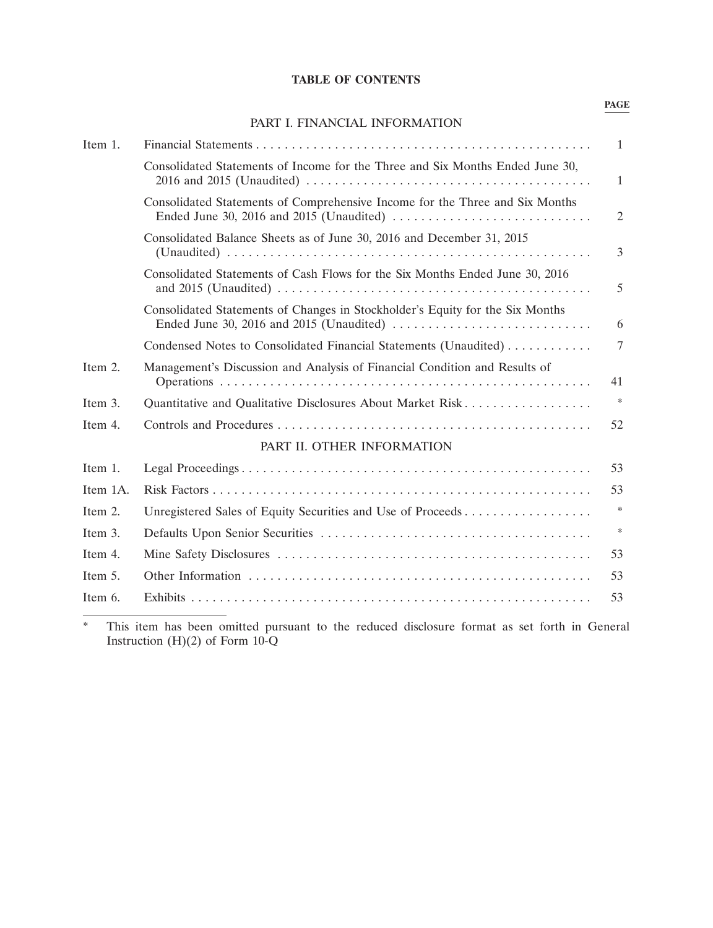### **TABLE OF CONTENTS**

#### PART I. FINANCIAL INFORMATION

| Item 1.  |                                                                                                                                                                                                        | 1              |
|----------|--------------------------------------------------------------------------------------------------------------------------------------------------------------------------------------------------------|----------------|
|          | Consolidated Statements of Income for the Three and Six Months Ended June 30,                                                                                                                          | $\mathbf{1}$   |
|          | Consolidated Statements of Comprehensive Income for the Three and Six Months                                                                                                                           | $\overline{2}$ |
|          | Consolidated Balance Sheets as of June 30, 2016 and December 31, 2015                                                                                                                                  | 3              |
|          | Consolidated Statements of Cash Flows for the Six Months Ended June 30, 2016<br>and 2015 (Unaudited) $\dots \dots \dots \dots \dots \dots \dots \dots \dots \dots \dots \dots \dots \dots \dots \dots$ | 5              |
|          | Consolidated Statements of Changes in Stockholder's Equity for the Six Months                                                                                                                          | 6              |
|          | Condensed Notes to Consolidated Financial Statements (Unaudited)                                                                                                                                       | $\overline{7}$ |
| Item 2.  | Management's Discussion and Analysis of Financial Condition and Results of                                                                                                                             | 41             |
| Item 3.  | Quantitative and Qualitative Disclosures About Market Risk                                                                                                                                             | $\ast$         |
| Item 4.  |                                                                                                                                                                                                        | 52             |
|          | PART II. OTHER INFORMATION                                                                                                                                                                             |                |
| Item 1.  |                                                                                                                                                                                                        | 53             |
| Item 1A. |                                                                                                                                                                                                        | 53             |
| Item 2.  | Unregistered Sales of Equity Securities and Use of Proceeds                                                                                                                                            | $\ast$         |
| Item 3.  |                                                                                                                                                                                                        | $\ast$         |
| Item 4.  |                                                                                                                                                                                                        | 53             |
| Item 5.  |                                                                                                                                                                                                        | 53             |
| Item 6.  |                                                                                                                                                                                                        | 53             |
|          | * This it are here been conjited account to the neduced displaceme former as est fauth in Canana                                                                                                       |                |

This item has been omitted pursuant to the reduced disclosure format as set forth in General Instruction (H)(2) of Form 10-Q

#### **PAGE**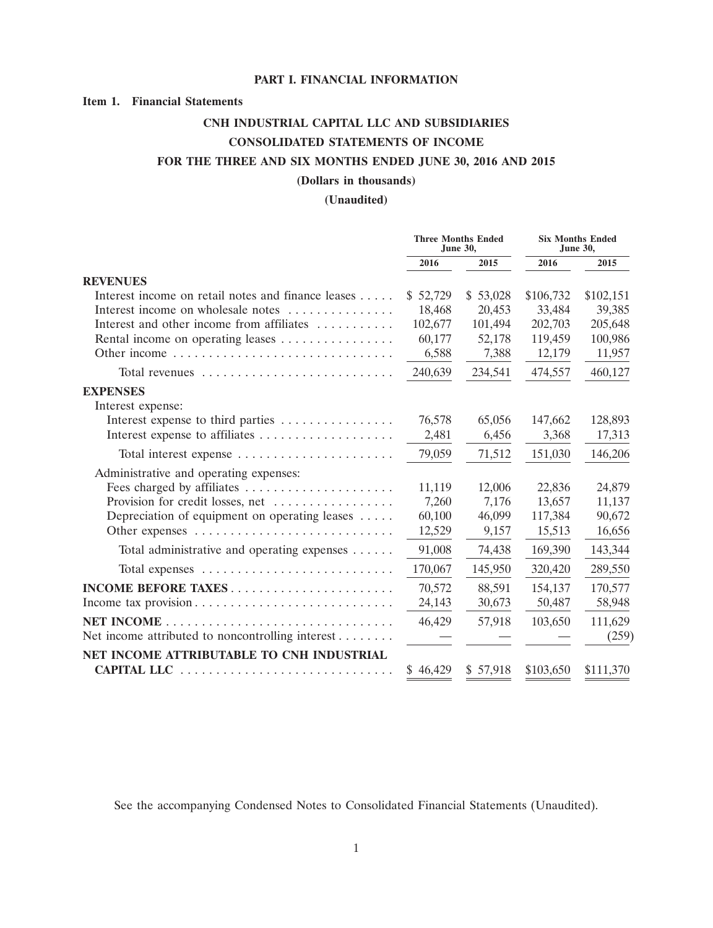### **PART I. FINANCIAL INFORMATION**

#### **Item 1. Financial Statements**

# **CNH INDUSTRIAL CAPITAL LLC AND SUBSIDIARIES CONSOLIDATED STATEMENTS OF INCOME FOR THE THREE AND SIX MONTHS ENDED JUNE 30, 2016 AND 2015**

#### **(Dollars in thousands)**

#### **(Unaudited)**

|                                                                          | <b>Three Months Ended</b><br><b>June 30,</b> |          |           | <b>Six Months Ended</b><br><b>June 30,</b> |  |
|--------------------------------------------------------------------------|----------------------------------------------|----------|-----------|--------------------------------------------|--|
|                                                                          | 2016                                         | 2015     | 2016      | 2015                                       |  |
| <b>REVENUES</b>                                                          |                                              |          |           |                                            |  |
| Interest income on retail notes and finance leases                       | \$52,729                                     | \$53,028 | \$106,732 | \$102,151                                  |  |
| Interest income on wholesale notes                                       | 18,468                                       | 20,453   | 33,484    | 39,385                                     |  |
| Interest and other income from affiliates                                | 102,677                                      | 101,494  | 202,703   | 205,648                                    |  |
| Rental income on operating leases                                        | 60,177                                       | 52,178   | 119,459   | 100,986                                    |  |
|                                                                          | 6,588                                        | 7,388    | 12,179    | 11,957                                     |  |
| Total revenues $\dots\dots\dots\dots\dots\dots\dots\dots\dots\dots\dots$ | 240,639                                      | 234,541  | 474,557   | 460,127                                    |  |
| <b>EXPENSES</b>                                                          |                                              |          |           |                                            |  |
| Interest expense:                                                        |                                              |          |           |                                            |  |
| Interest expense to third parties                                        | 76,578                                       | 65,056   | 147,662   | 128,893                                    |  |
|                                                                          | 2,481                                        | 6,456    | 3,368     | 17,313                                     |  |
| Total interest expense                                                   | 79,059                                       | 71,512   | 151,030   | 146,206                                    |  |
| Administrative and operating expenses:                                   |                                              |          |           |                                            |  |
|                                                                          | 11,119                                       | 12,006   | 22,836    | 24,879                                     |  |
| Provision for credit losses, net                                         | 7,260                                        | 7,176    | 13,657    | 11,137                                     |  |
| Depreciation of equipment on operating leases                            | 60,100                                       | 46,099   | 117,384   | 90,672                                     |  |
| Other expenses                                                           | 12,529                                       | 9,157    | 15,513    | 16,656                                     |  |
| Total administrative and operating expenses                              | 91,008                                       | 74,438   | 169,390   | 143,344                                    |  |
|                                                                          | 170,067                                      | 145,950  | 320,420   | 289,550                                    |  |
| INCOME BEFORE TAXES                                                      | 70,572                                       | 88,591   | 154,137   | 170,577                                    |  |
|                                                                          | 24,143                                       | 30,673   | 50,487    | 58,948                                     |  |
|                                                                          | 46,429                                       | 57,918   | 103,650   | 111,629                                    |  |
| Net income attributed to noncontrolling interest                         |                                              |          |           | (259)                                      |  |
| NET INCOME ATTRIBUTABLE TO CNH INDUSTRIAL                                |                                              |          |           |                                            |  |
|                                                                          | \$46,429                                     | \$57,918 | \$103,650 | \$111,370                                  |  |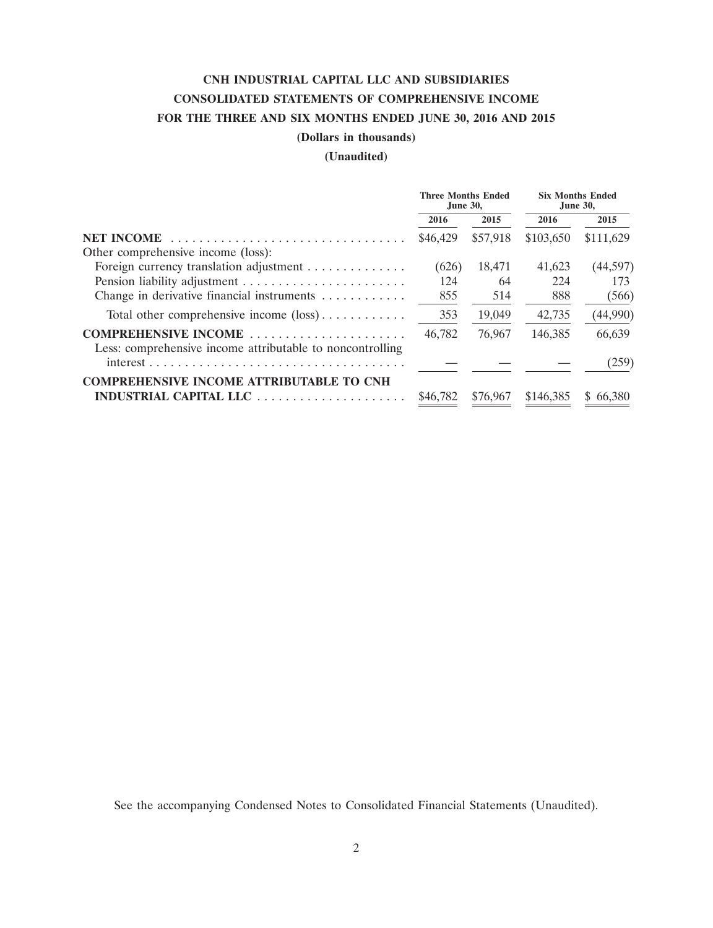# **CNH INDUSTRIAL CAPITAL LLC AND SUBSIDIARIES CONSOLIDATED STATEMENTS OF COMPREHENSIVE INCOME FOR THE THREE AND SIX MONTHS ENDED JUNE 30, 2016 AND 2015**

### **(Dollars in thousands)**

### **(Unaudited)**

|                                                           | <b>Three Months Ended</b><br>June 30, |          | <b>Six Months Ended</b><br><b>June 30,</b> |           |
|-----------------------------------------------------------|---------------------------------------|----------|--------------------------------------------|-----------|
|                                                           | 2016                                  | 2015     | 2016                                       | 2015      |
| <b>NET INCOME</b>                                         | \$46,429                              | \$57,918 | \$103,650                                  | \$111,629 |
| Other comprehensive income (loss):                        |                                       |          |                                            |           |
| Foreign currency translation adjustment                   | (626)                                 | 18,471   | 41,623                                     | (44, 597) |
|                                                           | 124                                   | 64       | 224                                        | 173       |
| Change in derivative financial instruments                | 855                                   | 514      | 888                                        | (566)     |
| Total other comprehensive income (loss)                   | 353                                   | 19,049   | 42,735                                     | (44,990)  |
| COMPREHENSIVE INCOME                                      | 46,782                                | 76,967   | 146,385                                    | 66,639    |
| Less: comprehensive income attributable to noncontrolling |                                       |          |                                            | (259)     |
| <b>COMPREHENSIVE INCOME ATTRIBUTABLE TO CNH</b>           |                                       |          |                                            |           |
| <b>INDUSTRIAL CAPITAL LLC</b>                             | \$46,782                              | \$76,967 | \$146,385                                  | \$66,380  |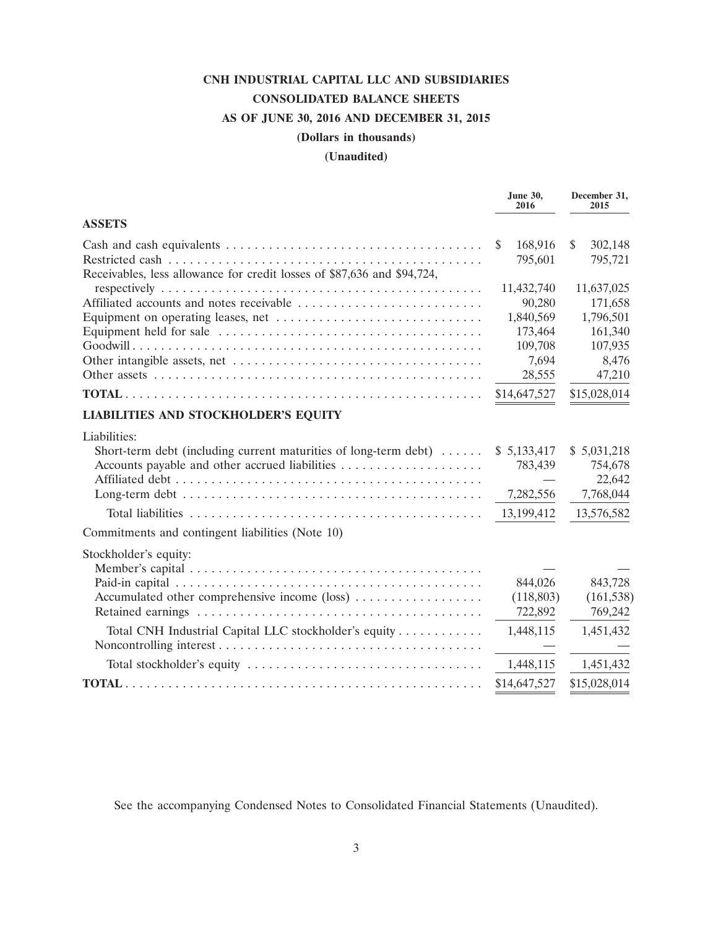# **CNH INDUSTRIAL CAPITAL LLC AND SUBSIDIARIES CONSOLIDATED BALANCE SHEETS AS OF JUNE 30, 2016 AND DECEMBER 31, 2015 (Dollars in thousands)**

### **(Unaudited)**

|                                                                          | <b>June 30,</b><br>2016  | December 31,<br>2015 |
|--------------------------------------------------------------------------|--------------------------|----------------------|
| <b>ASSETS</b>                                                            |                          |                      |
|                                                                          | <sup>\$</sup><br>168,916 | 302,148<br>\$        |
|                                                                          | 795,601                  | 795,721              |
| Receivables, less allowance for credit losses of \$87,636 and \$94,724,  | 11,432,740               | 11,637,025           |
|                                                                          | 90,280                   | 171,658              |
|                                                                          | 1,840,569                | 1,796,501            |
|                                                                          | 173,464                  | 161,340              |
|                                                                          | 109,708                  | 107,935              |
|                                                                          | 7,694                    | 8,476                |
|                                                                          | 28,555                   | 47,210               |
|                                                                          | \$14,647,527             | \$15,028,014         |
| <b>LIABILITIES AND STOCKHOLDER'S EQUITY</b>                              |                          |                      |
| Liabilities:                                                             |                          |                      |
| Short-term debt (including current maturities of long-term debt) $\dots$ | \$5,133,417              | \$5,031,218          |
| Accounts payable and other accrued liabilities                           | 783,439                  | 754,678              |
|                                                                          |                          | 22,642               |
|                                                                          | 7,282,556                | 7,768,044            |
|                                                                          | 13,199,412               | 13,576,582           |
| Commitments and contingent liabilities (Note 10)                         |                          |                      |
| Stockholder's equity:                                                    |                          |                      |
|                                                                          |                          |                      |
|                                                                          | 844,026                  | 843,728              |
| Accumulated other comprehensive income (loss)                            | (118, 803)               | (161, 538)           |
|                                                                          | 722,892                  | 769,242              |
| Total CNH Industrial Capital LLC stockholder's equity                    | 1,448,115                | 1,451,432            |
|                                                                          |                          |                      |
|                                                                          | 1,448,115                | 1,451,432            |
|                                                                          | \$14,647,527             | \$15,028,014         |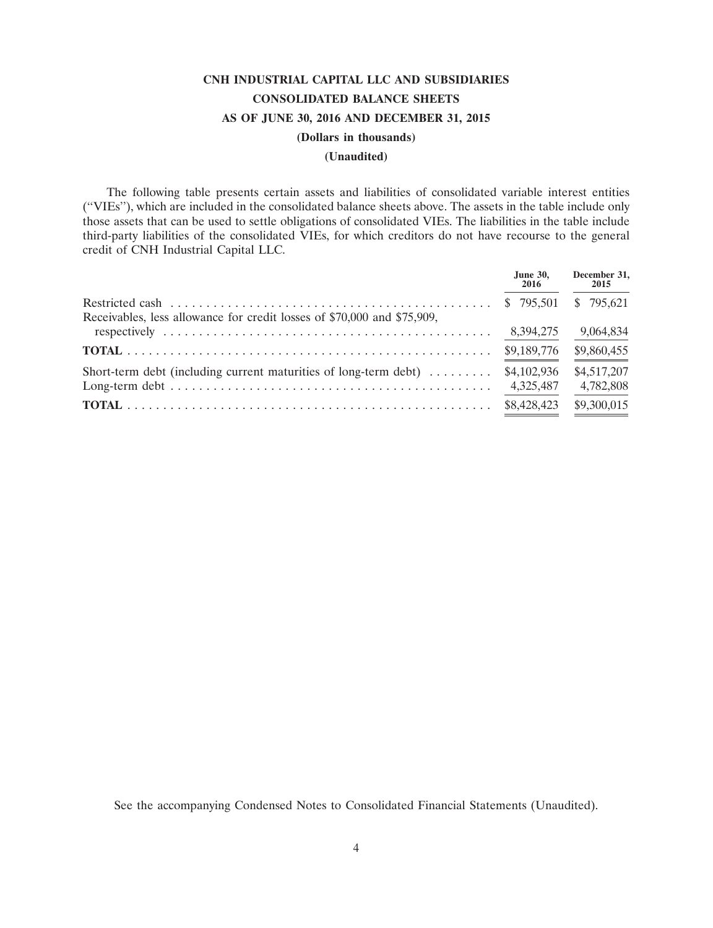# **CNH INDUSTRIAL CAPITAL LLC AND SUBSIDIARIES CONSOLIDATED BALANCE SHEETS AS OF JUNE 30, 2016 AND DECEMBER 31, 2015 (Dollars in thousands)**

#### **(Unaudited)**

The following table presents certain assets and liabilities of consolidated variable interest entities (''VIEs''), which are included in the consolidated balance sheets above. The assets in the table include only those assets that can be used to settle obligations of consolidated VIEs. The liabilities in the table include third-party liabilities of the consolidated VIEs, for which creditors do not have recourse to the general credit of CNH Industrial Capital LLC.

|                                                                                | June 30,<br>2016 | December 31.<br>2015  |
|--------------------------------------------------------------------------------|------------------|-----------------------|
|                                                                                |                  | $$795,501$ $$795,621$ |
| Receivables, less allowance for credit losses of \$70,000 and \$75,909,        |                  |                       |
|                                                                                | 8,394,275        | 9,064,834             |
|                                                                                | \$9,189,776      | \$9,860,455           |
| Short-term debt (including current maturities of long-term debt) $\dots \dots$ | \$4,102,936      | \$4,517,207           |
|                                                                                | 4,325,487        | 4,782,808             |
|                                                                                | \$8,428,423      | \$9,300,015           |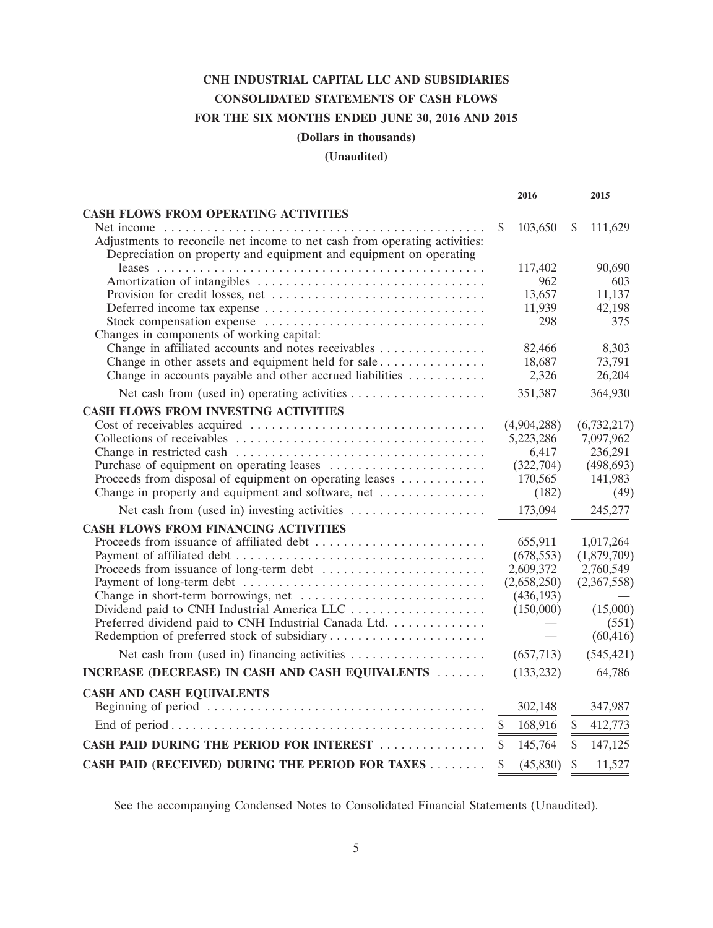# **CNH INDUSTRIAL CAPITAL LLC AND SUBSIDIARIES CONSOLIDATED STATEMENTS OF CASH FLOWS FOR THE SIX MONTHS ENDED JUNE 30, 2016 AND 2015 (Dollars in thousands)**

**(Unaudited)**

|                                                                                                                                                                       |    | 2016                                                                         | 2015               |                                                                                        |
|-----------------------------------------------------------------------------------------------------------------------------------------------------------------------|----|------------------------------------------------------------------------------|--------------------|----------------------------------------------------------------------------------------|
| CASH FLOWS FROM OPERATING ACTIVITIES                                                                                                                                  |    |                                                                              |                    |                                                                                        |
| Adjustments to reconcile net income to net cash from operating activities:<br>Depreciation on property and equipment and equipment on operating                       | S  | 103,650                                                                      | S                  | 111,629                                                                                |
|                                                                                                                                                                       |    | 117,402<br>962                                                               |                    | 90,690<br>603                                                                          |
| Changes in components of working capital:                                                                                                                             |    | 13,657<br>11,939<br>298                                                      |                    | 11,137<br>42,198<br>375                                                                |
| Change in affiliated accounts and notes receivables<br>Change in other assets and equipment held for sale<br>Change in accounts payable and other accrued liabilities |    | 82,466<br>18,687<br>2,326                                                    |                    | 8,303<br>73,791<br>26,204                                                              |
|                                                                                                                                                                       |    | 351,387                                                                      |                    | 364,930                                                                                |
| CASH FLOWS FROM INVESTING ACTIVITIES                                                                                                                                  |    | (4,904,288)<br>5,223,286                                                     |                    | (6, 732, 217)<br>7,097,962                                                             |
| Proceeds from disposal of equipment on operating leases<br>Change in property and equipment and software, net                                                         |    | 6,417<br>(322,704)<br>170,565<br>(182)                                       |                    | 236,291<br>(498, 693)<br>141,983<br>(49)                                               |
| Net cash from (used in) investing activities                                                                                                                          |    | 173,094                                                                      |                    | 245,277                                                                                |
| <b>CASH FLOWS FROM FINANCING ACTIVITIES</b>                                                                                                                           |    |                                                                              |                    |                                                                                        |
| Dividend paid to CNH Industrial America LLC<br>Preferred dividend paid to CNH Industrial Canada Ltd.<br>Redemption of preferred stock of subsidiary                   |    | 655,911<br>(678, 553)<br>2,609,372<br>(2,658,250)<br>(436, 193)<br>(150,000) |                    | 1,017,264<br>(1,879,709)<br>2,760,549<br>(2,367,558)<br>(15,000)<br>(551)<br>(60, 416) |
| Net cash from (used in) financing activities                                                                                                                          |    | (657,713)                                                                    |                    | (545, 421)                                                                             |
| INCREASE (DECREASE) IN CASH AND CASH EQUIVALENTS                                                                                                                      |    | (133, 232)                                                                   |                    | 64,786                                                                                 |
| <b>CASH AND CASH EQUIVALENTS</b><br>Beginning of period $\ldots \ldots \ldots \ldots \ldots \ldots \ldots \ldots \ldots \ldots \ldots$                                |    | 302,148                                                                      |                    | 347,987                                                                                |
|                                                                                                                                                                       | \$ | 168,916                                                                      | \$                 | 412,773                                                                                |
| CASH PAID DURING THE PERIOD FOR INTEREST                                                                                                                              | S. | 145,764                                                                      | \$                 | 147,125                                                                                |
| CASH PAID (RECEIVED) DURING THE PERIOD FOR TAXES                                                                                                                      | \$ | (45,830)                                                                     | $\mathbf{\hat{S}}$ | 11,527                                                                                 |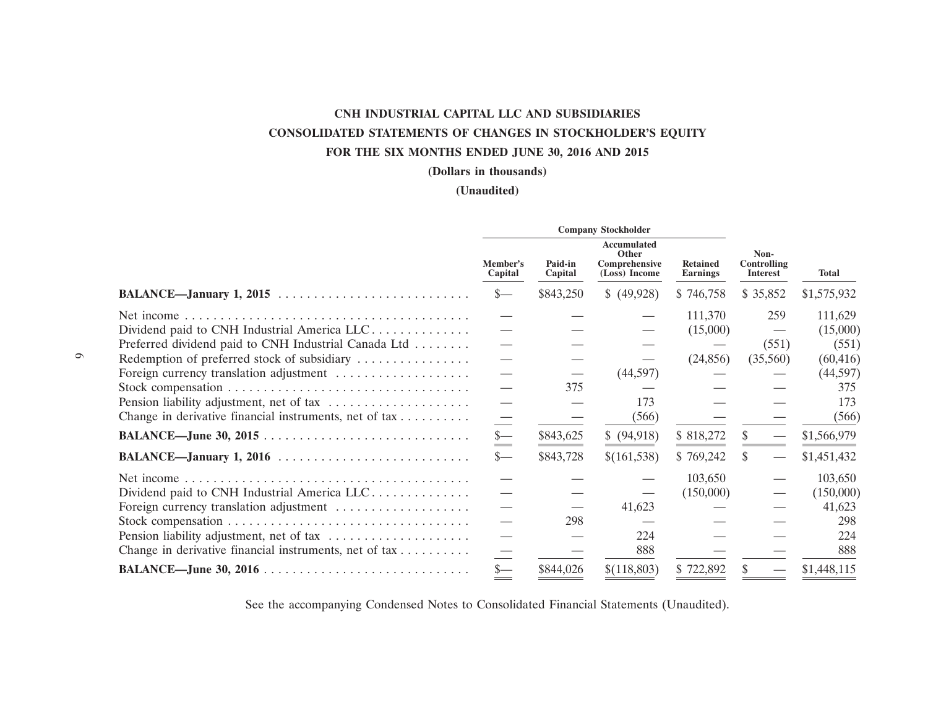## **CNH INDUSTRIAL CAPITAL LLC AND SUBSIDIARIES CONSOLIDATED STATEMENTS OF CHANGES IN STOCKHOLDER'S EQUITY FOR THE SIX MONTHS ENDED JUNE 30, 2016 AND 2015**

### **(Dollars in thousands)**

### **(Unaudited)**

|                                                        |                                  | <b>Company Stockholder</b> |                                                               |                                    |                                 |              |
|--------------------------------------------------------|----------------------------------|----------------------------|---------------------------------------------------------------|------------------------------------|---------------------------------|--------------|
|                                                        | Member's<br>Capital              | Paid-in<br>Capital         | <b>Accumulated</b><br>Other<br>Comprehensive<br>(Loss) Income | <b>Retained</b><br><b>Earnings</b> | Non-<br>Controlling<br>Interest | <b>Total</b> |
|                                                        | $s-$                             | \$843,250                  | (49,928)                                                      | \$746,758                          | \$35,852                        | \$1,575,932  |
|                                                        |                                  |                            |                                                               | 111,370                            | 259                             | 111,629      |
| Dividend paid to CNH Industrial America LLC            |                                  |                            |                                                               | (15,000)                           | $\hspace{0.05cm}$               | (15,000)     |
| Preferred dividend paid to CNH Industrial Canada Ltd   |                                  |                            |                                                               |                                    | (551)                           | (551)        |
| Redemption of preferred stock of subsidiary            |                                  |                            |                                                               | (24, 856)                          | (35,560)                        | (60, 416)    |
| Foreign currency translation adjustment                |                                  |                            | (44, 597)                                                     |                                    |                                 | (44, 597)    |
|                                                        |                                  | 375                        |                                                               |                                    |                                 | 375          |
|                                                        |                                  |                            | 173                                                           |                                    |                                 | 173          |
| Change in derivative financial instruments, net of tax |                                  |                            | (566)                                                         |                                    |                                 | (566)        |
|                                                        | $\frac{\mathsf{s}-}{\mathsf{e}}$ | \$843,625                  | $$$ (94,918)                                                  | \$818,272                          |                                 | \$1,566,979  |
| <b>BALANCE—January 1, 2016</b>                         | $s-$                             | \$843,728                  | \$(161,538)                                                   | \$769,242                          |                                 | \$1,451,432  |
|                                                        |                                  |                            |                                                               | 103,650                            |                                 | 103,650      |
| Dividend paid to CNH Industrial America LLC            |                                  |                            |                                                               | (150,000)                          |                                 | (150,000)    |
| Foreign currency translation adjustment                |                                  |                            | 41,623                                                        |                                    |                                 | 41,623       |
|                                                        |                                  | 298                        |                                                               |                                    |                                 | 298          |
|                                                        |                                  |                            | 224                                                           |                                    |                                 | 224          |
| Change in derivative financial instruments, net of tax |                                  |                            | 888                                                           |                                    |                                 | 888          |
|                                                        | $S-$                             | \$844,026                  | \$(118,803)                                                   | \$722,892                          |                                 | \$1,448,115  |

 $\circ$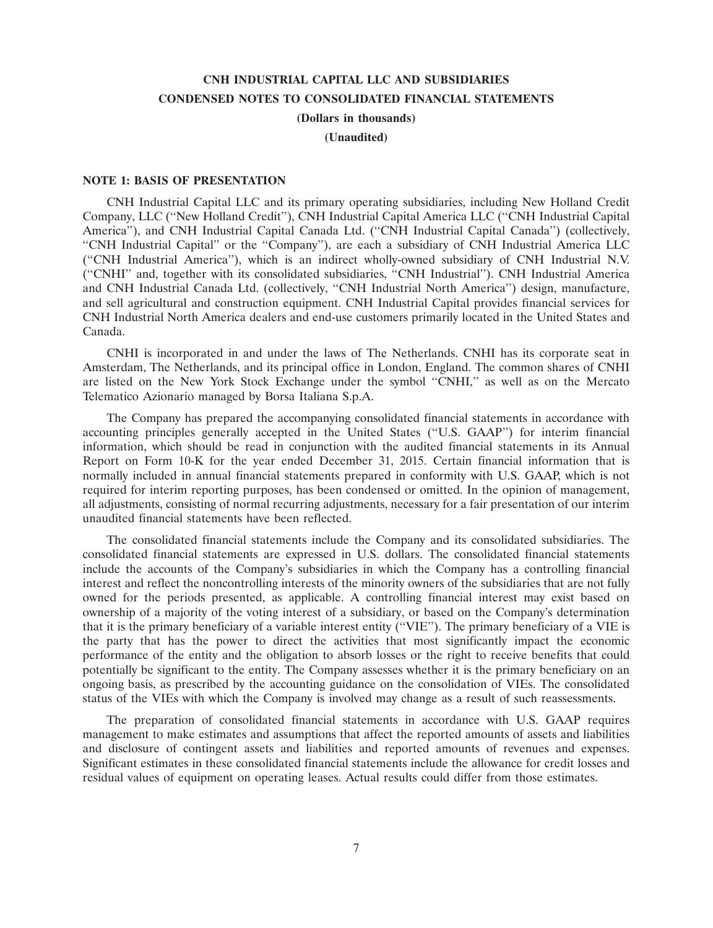# **CNH INDUSTRIAL CAPITAL LLC AND SUBSIDIARIES CONDENSED NOTES TO CONSOLIDATED FINANCIAL STATEMENTS**

**(Dollars in thousands)**

**(Unaudited)**

#### **NOTE 1: BASIS OF PRESENTATION**

CNH Industrial Capital LLC and its primary operating subsidiaries, including New Holland Credit Company, LLC (''New Holland Credit''), CNH Industrial Capital America LLC (''CNH Industrial Capital America"), and CNH Industrial Capital Canada Ltd. ("CNH Industrial Capital Canada") (collectively, "CNH Industrial Capital" or the "Company"), are each a subsidiary of CNH Industrial America LLC (''CNH Industrial America''), which is an indirect wholly-owned subsidiary of CNH Industrial N.V. (''CNHI'' and, together with its consolidated subsidiaries, ''CNH Industrial''). CNH Industrial America and CNH Industrial Canada Ltd. (collectively, ''CNH Industrial North America'') design, manufacture, and sell agricultural and construction equipment. CNH Industrial Capital provides financial services for CNH Industrial North America dealers and end-use customers primarily located in the United States and Canada.

CNHI is incorporated in and under the laws of The Netherlands. CNHI has its corporate seat in Amsterdam, The Netherlands, and its principal office in London, England. The common shares of CNHI are listed on the New York Stock Exchange under the symbol ''CNHI,'' as well as on the Mercato Telematico Azionario managed by Borsa Italiana S.p.A.

The Company has prepared the accompanying consolidated financial statements in accordance with accounting principles generally accepted in the United States (''U.S. GAAP'') for interim financial information, which should be read in conjunction with the audited financial statements in its Annual Report on Form 10-K for the year ended December 31, 2015. Certain financial information that is normally included in annual financial statements prepared in conformity with U.S. GAAP, which is not required for interim reporting purposes, has been condensed or omitted. In the opinion of management, all adjustments, consisting of normal recurring adjustments, necessary for a fair presentation of our interim unaudited financial statements have been reflected.

The consolidated financial statements include the Company and its consolidated subsidiaries. The consolidated financial statements are expressed in U.S. dollars. The consolidated financial statements include the accounts of the Company's subsidiaries in which the Company has a controlling financial interest and reflect the noncontrolling interests of the minority owners of the subsidiaries that are not fully owned for the periods presented, as applicable. A controlling financial interest may exist based on ownership of a majority of the voting interest of a subsidiary, or based on the Company's determination that it is the primary beneficiary of a variable interest entity (''VIE''). The primary beneficiary of a VIE is the party that has the power to direct the activities that most significantly impact the economic performance of the entity and the obligation to absorb losses or the right to receive benefits that could potentially be significant to the entity. The Company assesses whether it is the primary beneficiary on an ongoing basis, as prescribed by the accounting guidance on the consolidation of VIEs. The consolidated status of the VIEs with which the Company is involved may change as a result of such reassessments.

The preparation of consolidated financial statements in accordance with U.S. GAAP requires management to make estimates and assumptions that affect the reported amounts of assets and liabilities and disclosure of contingent assets and liabilities and reported amounts of revenues and expenses. Significant estimates in these consolidated financial statements include the allowance for credit losses and residual values of equipment on operating leases. Actual results could differ from those estimates.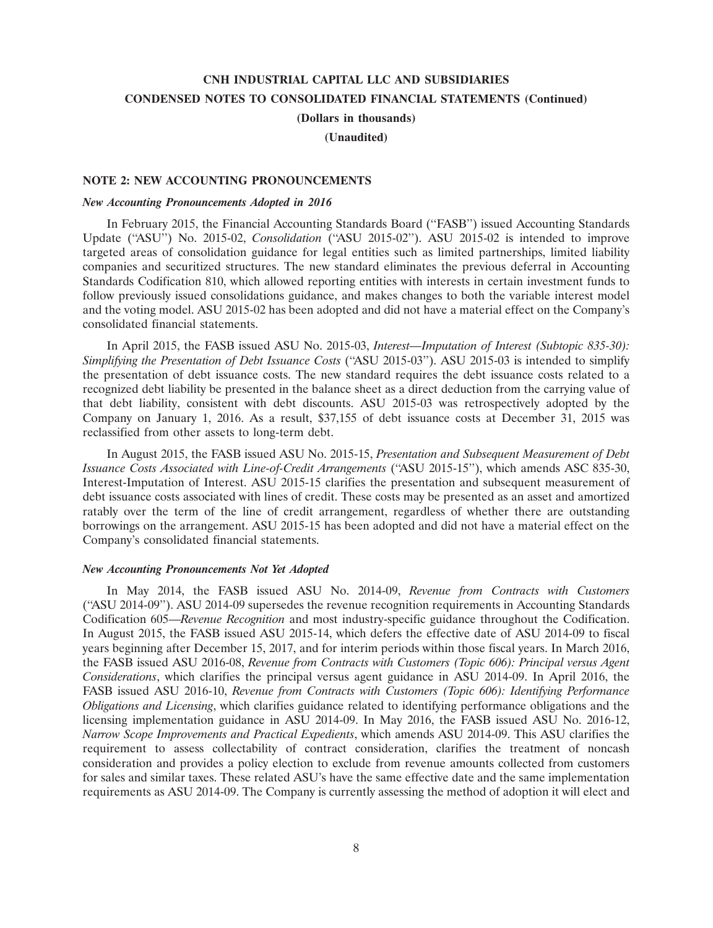**(Unaudited)**

#### **NOTE 2: NEW ACCOUNTING PRONOUNCEMENTS**

#### *New Accounting Pronouncements Adopted in 2016*

In February 2015, the Financial Accounting Standards Board (''FASB'') issued Accounting Standards Update (''ASU'') No. 2015-02, *Consolidation* (''ASU 2015-02''). ASU 2015-02 is intended to improve targeted areas of consolidation guidance for legal entities such as limited partnerships, limited liability companies and securitized structures. The new standard eliminates the previous deferral in Accounting Standards Codification 810, which allowed reporting entities with interests in certain investment funds to follow previously issued consolidations guidance, and makes changes to both the variable interest model and the voting model. ASU 2015-02 has been adopted and did not have a material effect on the Company's consolidated financial statements.

In April 2015, the FASB issued ASU No. 2015-03, *Interest—Imputation of Interest (Subtopic 835-30): Simplifying the Presentation of Debt Issuance Costs* (''ASU 2015-03''). ASU 2015-03 is intended to simplify the presentation of debt issuance costs. The new standard requires the debt issuance costs related to a recognized debt liability be presented in the balance sheet as a direct deduction from the carrying value of that debt liability, consistent with debt discounts. ASU 2015-03 was retrospectively adopted by the Company on January 1, 2016. As a result, \$37,155 of debt issuance costs at December 31, 2015 was reclassified from other assets to long-term debt.

In August 2015, the FASB issued ASU No. 2015-15, *Presentation and Subsequent Measurement of Debt Issuance Costs Associated with Line-of-Credit Arrangements* (''ASU 2015-15''), which amends ASC 835-30, Interest-Imputation of Interest. ASU 2015-15 clarifies the presentation and subsequent measurement of debt issuance costs associated with lines of credit. These costs may be presented as an asset and amortized ratably over the term of the line of credit arrangement, regardless of whether there are outstanding borrowings on the arrangement. ASU 2015-15 has been adopted and did not have a material effect on the Company's consolidated financial statements.

#### *New Accounting Pronouncements Not Yet Adopted*

In May 2014, the FASB issued ASU No. 2014-09, *Revenue from Contracts with Customers* (''ASU 2014-09''). ASU 2014-09 supersedes the revenue recognition requirements in Accounting Standards Codification 605—*Revenue Recognition* and most industry-specific guidance throughout the Codification. In August 2015, the FASB issued ASU 2015-14, which defers the effective date of ASU 2014-09 to fiscal years beginning after December 15, 2017, and for interim periods within those fiscal years. In March 2016, the FASB issued ASU 2016-08, *Revenue from Contracts with Customers (Topic 606): Principal versus Agent Considerations*, which clarifies the principal versus agent guidance in ASU 2014-09. In April 2016, the FASB issued ASU 2016-10, *Revenue from Contracts with Customers (Topic 606): Identifying Performance Obligations and Licensing*, which clarifies guidance related to identifying performance obligations and the licensing implementation guidance in ASU 2014-09. In May 2016, the FASB issued ASU No. 2016-12, *Narrow Scope Improvements and Practical Expedients*, which amends ASU 2014-09. This ASU clarifies the requirement to assess collectability of contract consideration, clarifies the treatment of noncash consideration and provides a policy election to exclude from revenue amounts collected from customers for sales and similar taxes. These related ASU's have the same effective date and the same implementation requirements as ASU 2014-09. The Company is currently assessing the method of adoption it will elect and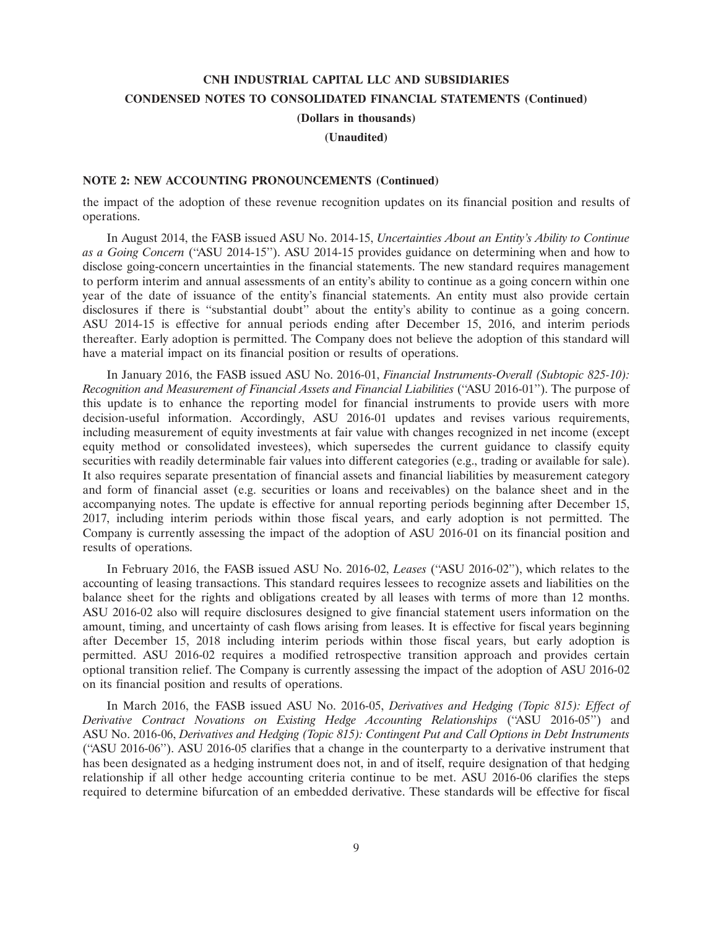#### **NOTE 2: NEW ACCOUNTING PRONOUNCEMENTS (Continued)**

the impact of the adoption of these revenue recognition updates on its financial position and results of operations.

In August 2014, the FASB issued ASU No. 2014-15, *Uncertainties About an Entity's Ability to Continue as a Going Concern* (''ASU 2014-15''). ASU 2014-15 provides guidance on determining when and how to disclose going-concern uncertainties in the financial statements. The new standard requires management to perform interim and annual assessments of an entity's ability to continue as a going concern within one year of the date of issuance of the entity's financial statements. An entity must also provide certain disclosures if there is "substantial doubt" about the entity's ability to continue as a going concern. ASU 2014-15 is effective for annual periods ending after December 15, 2016, and interim periods thereafter. Early adoption is permitted. The Company does not believe the adoption of this standard will have a material impact on its financial position or results of operations.

In January 2016, the FASB issued ASU No. 2016-01, *Financial Instruments-Overall (Subtopic 825-10): Recognition and Measurement of Financial Assets and Financial Liabilities* (''ASU 2016-01''). The purpose of this update is to enhance the reporting model for financial instruments to provide users with more decision-useful information. Accordingly, ASU 2016-01 updates and revises various requirements, including measurement of equity investments at fair value with changes recognized in net income (except equity method or consolidated investees), which supersedes the current guidance to classify equity securities with readily determinable fair values into different categories (e.g., trading or available for sale). It also requires separate presentation of financial assets and financial liabilities by measurement category and form of financial asset (e.g. securities or loans and receivables) on the balance sheet and in the accompanying notes. The update is effective for annual reporting periods beginning after December 15, 2017, including interim periods within those fiscal years, and early adoption is not permitted. The Company is currently assessing the impact of the adoption of ASU 2016-01 on its financial position and results of operations.

In February 2016, the FASB issued ASU No. 2016-02, *Leases* (''ASU 2016-02''), which relates to the accounting of leasing transactions. This standard requires lessees to recognize assets and liabilities on the balance sheet for the rights and obligations created by all leases with terms of more than 12 months. ASU 2016-02 also will require disclosures designed to give financial statement users information on the amount, timing, and uncertainty of cash flows arising from leases. It is effective for fiscal years beginning after December 15, 2018 including interim periods within those fiscal years, but early adoption is permitted. ASU 2016-02 requires a modified retrospective transition approach and provides certain optional transition relief. The Company is currently assessing the impact of the adoption of ASU 2016-02 on its financial position and results of operations.

In March 2016, the FASB issued ASU No. 2016-05, *Derivatives and Hedging (Topic 815): Effect of Derivative Contract Novations on Existing Hedge Accounting Relationships* (''ASU 2016-05'') and ASU No. 2016-06, *Derivatives and Hedging (Topic 815): Contingent Put and Call Options in Debt Instruments* (''ASU 2016-06''). ASU 2016-05 clarifies that a change in the counterparty to a derivative instrument that has been designated as a hedging instrument does not, in and of itself, require designation of that hedging relationship if all other hedge accounting criteria continue to be met. ASU 2016-06 clarifies the steps required to determine bifurcation of an embedded derivative. These standards will be effective for fiscal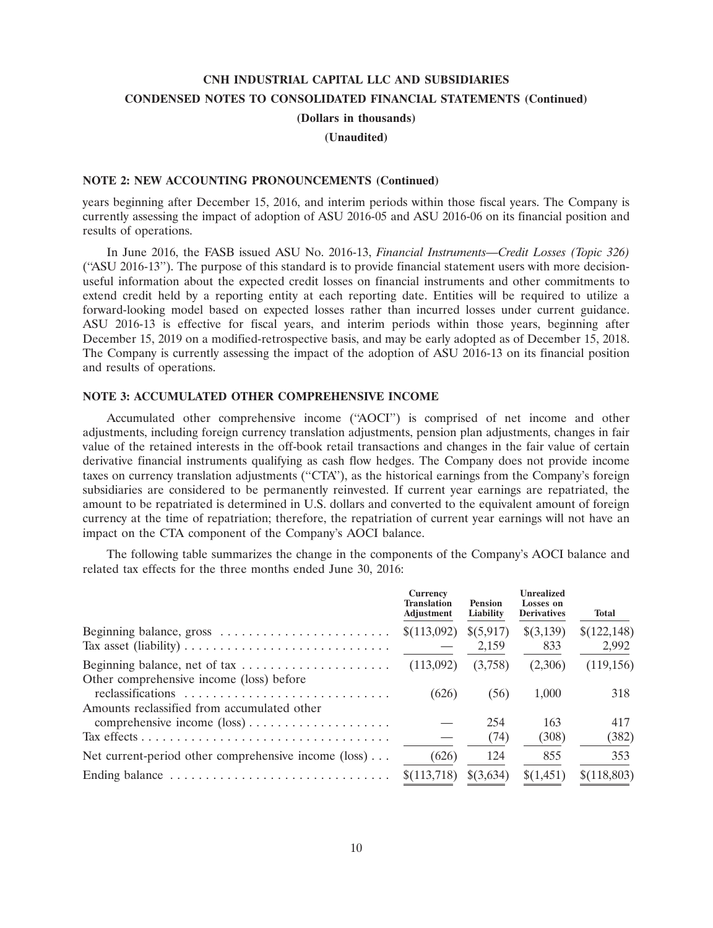**(Unaudited)**

### **NOTE 2: NEW ACCOUNTING PRONOUNCEMENTS (Continued)**

years beginning after December 15, 2016, and interim periods within those fiscal years. The Company is currently assessing the impact of adoption of ASU 2016-05 and ASU 2016-06 on its financial position and results of operations.

In June 2016, the FASB issued ASU No. 2016-13, *Financial Instruments—Credit Losses (Topic 326)* (''ASU 2016-13''). The purpose of this standard is to provide financial statement users with more decisionuseful information about the expected credit losses on financial instruments and other commitments to extend credit held by a reporting entity at each reporting date. Entities will be required to utilize a forward-looking model based on expected losses rather than incurred losses under current guidance. ASU 2016-13 is effective for fiscal years, and interim periods within those years, beginning after December 15, 2019 on a modified-retrospective basis, and may be early adopted as of December 15, 2018. The Company is currently assessing the impact of the adoption of ASU 2016-13 on its financial position and results of operations.

#### **NOTE 3: ACCUMULATED OTHER COMPREHENSIVE INCOME**

Accumulated other comprehensive income (''AOCI'') is comprised of net income and other adjustments, including foreign currency translation adjustments, pension plan adjustments, changes in fair value of the retained interests in the off-book retail transactions and changes in the fair value of certain derivative financial instruments qualifying as cash flow hedges. The Company does not provide income taxes on currency translation adjustments (''CTA''), as the historical earnings from the Company's foreign subsidiaries are considered to be permanently reinvested. If current year earnings are repatriated, the amount to be repatriated is determined in U.S. dollars and converted to the equivalent amount of foreign currency at the time of repatriation; therefore, the repatriation of current year earnings will not have an impact on the CTA component of the Company's AOCI balance.

The following table summarizes the change in the components of the Company's AOCI balance and related tax effects for the three months ended June 30, 2016:

|                                                                                     | <b>Currency</b><br><b>Translation</b><br>Adjustment | <b>Pension</b><br>Liability | <b>Unrealized</b><br><b>Losses</b> on<br><b>Derivatives</b> | <b>Total</b>         |
|-------------------------------------------------------------------------------------|-----------------------------------------------------|-----------------------------|-------------------------------------------------------------|----------------------|
| Tax asset (liability) $\dots \dots \dots \dots \dots \dots \dots \dots \dots \dots$ | \$(113,092)                                         | \$(5,917)<br>2,159          | \$(3,139)<br>833                                            | \$(122,148)<br>2,992 |
| Other comprehensive income (loss) before                                            | (113,092)                                           | (3,758)                     | (2,306)                                                     | (119, 156)           |
| reclassifications<br>Amounts reclassified from accumulated other                    | (626)                                               | (56)                        | 1,000                                                       | 318                  |
|                                                                                     |                                                     | 254                         | 163                                                         | 417                  |
|                                                                                     |                                                     | (74)                        | (308)                                                       | (382)                |
| Net current-period other comprehensive income $(\text{loss}) \dots$                 | (626)                                               | 124                         | 855                                                         | 353                  |
| Ending balance                                                                      | \$(113,718)                                         | \$(3,634)                   | \$(1,451)                                                   | \$(118,803)          |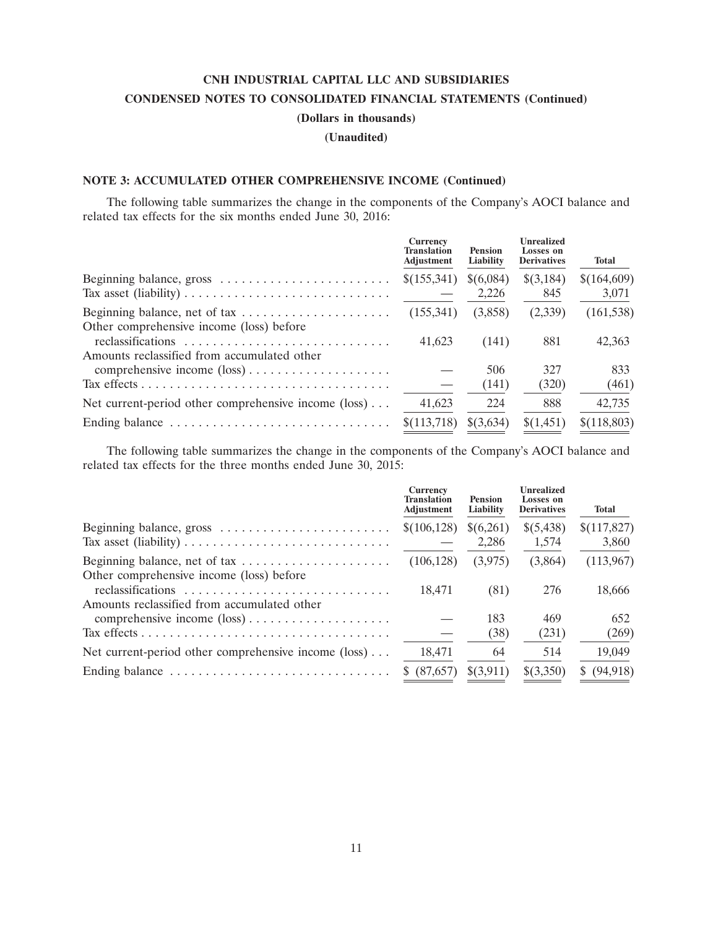### **(Unaudited)**

#### **NOTE 3: ACCUMULATED OTHER COMPREHENSIVE INCOME (Continued)**

The following table summarizes the change in the components of the Company's AOCI balance and related tax effects for the six months ended June 30, 2016:

|                                                                                                                 | <b>Currency</b><br><b>Translation</b><br>Adjustment | <b>Pension</b><br>Liability | <b>Unrealized</b><br><b>Losses</b> on<br><b>Derivatives</b> | <b>Total</b>         |
|-----------------------------------------------------------------------------------------------------------------|-----------------------------------------------------|-----------------------------|-------------------------------------------------------------|----------------------|
| Tax asset (liability) $\dots \dots \dots \dots \dots \dots \dots \dots \dots \dots$                             | \$(155,341)                                         | \$(6,084)<br>2,226          | \$(3,184)<br>845                                            | \$(164,609)<br>3,071 |
| Beginning balance, net of tax $\dots \dots \dots \dots \dots \dots$<br>Other comprehensive income (loss) before | (155,341)                                           | (3,858)                     | (2,339)                                                     | (161, 538)           |
| reclassifications<br>Amounts reclassified from accumulated other                                                | 41.623                                              | (141)                       | 881                                                         | 42,363               |
|                                                                                                                 |                                                     | 506                         | 327                                                         | 833                  |
|                                                                                                                 |                                                     | (141)                       | (320)                                                       | (461)                |
| Net current-period other comprehensive income (loss)                                                            | 41,623                                              | 224                         | 888                                                         | 42,735               |
|                                                                                                                 | \$(113,718)                                         | \$(3,634)                   | \$(1,451)                                                   | \$(118,803)          |

The following table summarizes the change in the components of the Company's AOCI balance and related tax effects for the three months ended June 30, 2015:

|                                                                           | <b>Currency</b><br><b>Translation</b><br>Adjustment | <b>Pension</b><br>Liability | <b>Unrealized</b><br><b>Losses</b> on<br><b>Derivatives</b> | <b>Total</b>         |
|---------------------------------------------------------------------------|-----------------------------------------------------|-----------------------------|-------------------------------------------------------------|----------------------|
| Beginning balance, gross                                                  | \$(106, 128)                                        | \$(6,261)<br>2,286          | \$(5,438)<br>1,574                                          | \$(117,827)<br>3,860 |
| Beginning balance, net of tax<br>Other comprehensive income (loss) before | (106, 128)                                          | (3,975)                     | (3,864)                                                     | (113,967)            |
| reclassifications<br>Amounts reclassified from accumulated other          | 18,471                                              | (81)                        | 276                                                         | 18,666               |
|                                                                           |                                                     | 183                         | 469                                                         | 652                  |
|                                                                           |                                                     | (38)                        | (231)                                                       | (269)                |
| Net current-period other comprehensive income (loss)                      | 18,471                                              | 64                          | 514                                                         | 19,049               |
| Ending balance                                                            | \$ (87,657)                                         | \$(3,911)                   | \$(3,350)                                                   | (94, 918)            |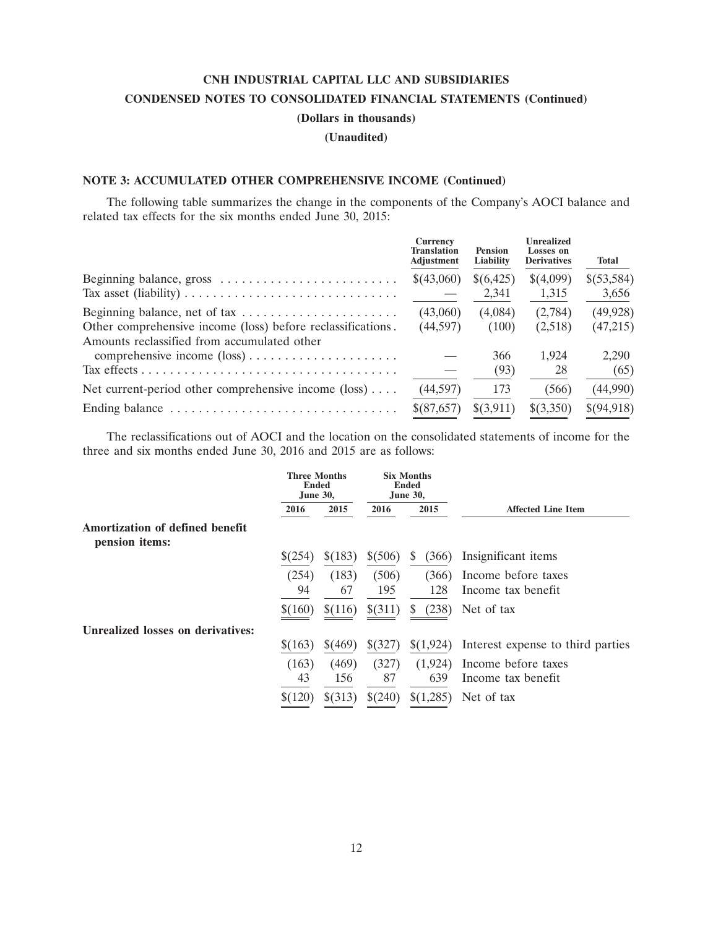### **(Unaudited)**

#### **NOTE 3: ACCUMULATED OTHER COMPREHENSIVE INCOME (Continued)**

The following table summarizes the change in the components of the Company's AOCI balance and related tax effects for the six months ended June 30, 2015:

|                                                                                                            | <b>Currency</b><br><b>Translation</b><br>Adjustment | <b>Pension</b><br>Liability | <b>Unrealized</b><br><b>Losses on</b><br><b>Derivatives</b> | <b>Total</b>          |
|------------------------------------------------------------------------------------------------------------|-----------------------------------------------------|-----------------------------|-------------------------------------------------------------|-----------------------|
| Tax asset (liability) $\dots \dots \dots \dots \dots \dots \dots \dots \dots \dots \dots$                  | \$(43,060)                                          | \$(6,425)<br>2,341          | \$(4,099)<br>1,315                                          | \$(53,584)<br>3,656   |
| Other comprehensive income (loss) before reclassifications.<br>Amounts reclassified from accumulated other | (43,060)<br>(44, 597)                               | (4,084)<br>(100)            | (2,784)<br>(2,518)                                          | (49, 928)<br>(47,215) |
|                                                                                                            |                                                     | 366<br>(93)                 | 1.924<br>28                                                 | 2,290<br>(65)         |
| Net current-period other comprehensive income (loss)                                                       | (44,597)                                            | 173                         | (566)                                                       | (44,990)              |
| Ending balance                                                                                             | \$(87,657)                                          | \$(3,911)                   | \$(3,350)                                                   | \$(94,918)            |

The reclassifications out of AOCI and the location on the consolidated statements of income for the three and six months ended June 30, 2016 and 2015 are as follows:

|                                                   | <b>Three Months</b><br><b>Ended</b><br>June 30, |         |         | <b>Six Months</b><br><b>Ended</b><br>June 30, |                                   |
|---------------------------------------------------|-------------------------------------------------|---------|---------|-----------------------------------------------|-----------------------------------|
|                                                   | 2016                                            | 2015    | 2016    | 2015                                          | <b>Affected Line Item</b>         |
| Amortization of defined benefit<br>pension items: |                                                 |         |         |                                               |                                   |
|                                                   | \$(254)                                         | \$(183) | \$(506) | (366)<br>S                                    | Insignificant items               |
|                                                   | (254)                                           | (183)   | (506)   | (366)                                         | Income before taxes               |
|                                                   | 94                                              | 67      | 195     | 128                                           | Income tax benefit                |
|                                                   | \$(160)                                         | \$(116) | \$(311) | (238)<br>S                                    | Net of tax                        |
| <b>Unrealized losses on derivatives:</b>          |                                                 |         |         |                                               |                                   |
|                                                   | \$(163)                                         | \$(469) | \$(327) | \$(1,924)                                     | Interest expense to third parties |
|                                                   | (163)                                           | (469)   | (327)   | (1,924)                                       | Income before taxes               |
|                                                   | 43                                              | 156     | 87      | 639                                           | Income tax benefit                |
|                                                   | \$(120)                                         | \$(313) | \$(240) | \$(1,285)                                     | Net of tax                        |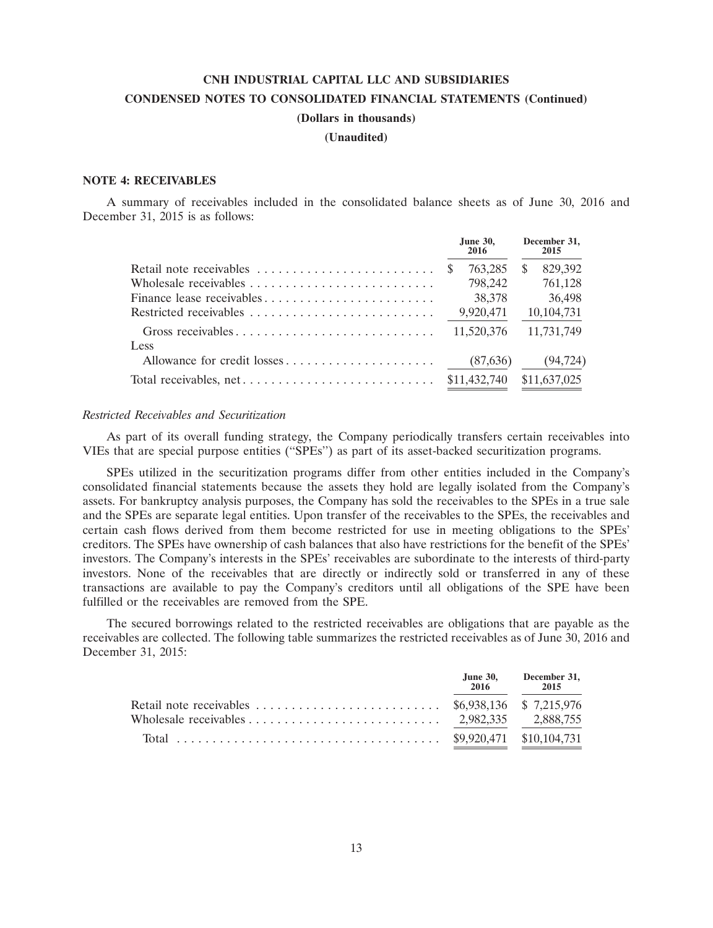#### **(Unaudited)**

#### **NOTE 4: RECEIVABLES**

A summary of receivables included in the consolidated balance sheets as of June 30, 2016 and December 31, 2015 is as follows:

|                           | <b>June 30,</b><br>2016 | December 31,<br>2015     |
|---------------------------|-------------------------|--------------------------|
| Retail note receivables   | 763,285<br>-S           | 829,392<br><sup>\$</sup> |
|                           | 798,242                 | 761,128                  |
| Finance lease receivables | 38,378                  | 36,498                   |
| Restricted receivables    | 9,920,471               | 10, 104, 731             |
|                           | 11,520,376              | 11,731,749               |
| Less                      |                         |                          |
|                           | (87,636)                | (94, 724)                |
|                           | \$11,432,740            | \$11,637,025             |

#### *Restricted Receivables and Securitization*

As part of its overall funding strategy, the Company periodically transfers certain receivables into VIEs that are special purpose entities (''SPEs'') as part of its asset-backed securitization programs.

SPEs utilized in the securitization programs differ from other entities included in the Company's consolidated financial statements because the assets they hold are legally isolated from the Company's assets. For bankruptcy analysis purposes, the Company has sold the receivables to the SPEs in a true sale and the SPEs are separate legal entities. Upon transfer of the receivables to the SPEs, the receivables and certain cash flows derived from them become restricted for use in meeting obligations to the SPEs' creditors. The SPEs have ownership of cash balances that also have restrictions for the benefit of the SPEs' investors. The Company's interests in the SPEs' receivables are subordinate to the interests of third-party investors. None of the receivables that are directly or indirectly sold or transferred in any of these transactions are available to pay the Company's creditors until all obligations of the SPE have been fulfilled or the receivables are removed from the SPE.

The secured borrowings related to the restricted receivables are obligations that are payable as the receivables are collected. The following table summarizes the restricted receivables as of June 30, 2016 and December 31, 2015:

|  | June 30, December 31,<br>2016 2015 |
|--|------------------------------------|
|  |                                    |
|  |                                    |
|  |                                    |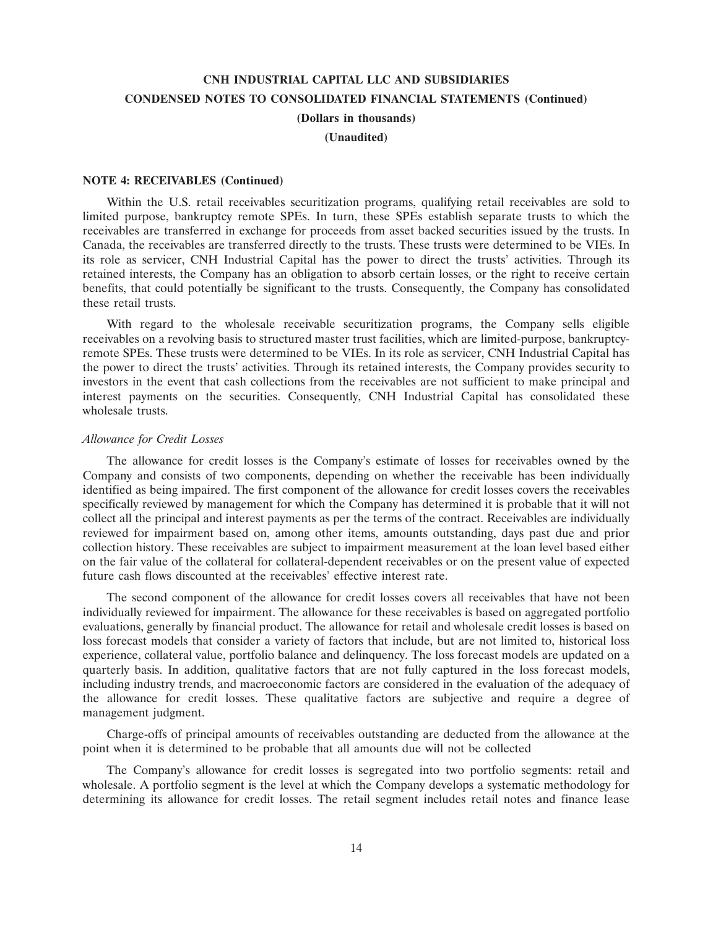**(Unaudited)**

#### **NOTE 4: RECEIVABLES (Continued)**

Within the U.S. retail receivables securitization programs, qualifying retail receivables are sold to limited purpose, bankruptcy remote SPEs. In turn, these SPEs establish separate trusts to which the receivables are transferred in exchange for proceeds from asset backed securities issued by the trusts. In Canada, the receivables are transferred directly to the trusts. These trusts were determined to be VIEs. In its role as servicer, CNH Industrial Capital has the power to direct the trusts' activities. Through its retained interests, the Company has an obligation to absorb certain losses, or the right to receive certain benefits, that could potentially be significant to the trusts. Consequently, the Company has consolidated these retail trusts.

With regard to the wholesale receivable securitization programs, the Company sells eligible receivables on a revolving basis to structured master trust facilities, which are limited-purpose, bankruptcyremote SPEs. These trusts were determined to be VIEs. In its role as servicer, CNH Industrial Capital has the power to direct the trusts' activities. Through its retained interests, the Company provides security to investors in the event that cash collections from the receivables are not sufficient to make principal and interest payments on the securities. Consequently, CNH Industrial Capital has consolidated these wholesale trusts.

#### *Allowance for Credit Losses*

The allowance for credit losses is the Company's estimate of losses for receivables owned by the Company and consists of two components, depending on whether the receivable has been individually identified as being impaired. The first component of the allowance for credit losses covers the receivables specifically reviewed by management for which the Company has determined it is probable that it will not collect all the principal and interest payments as per the terms of the contract. Receivables are individually reviewed for impairment based on, among other items, amounts outstanding, days past due and prior collection history. These receivables are subject to impairment measurement at the loan level based either on the fair value of the collateral for collateral-dependent receivables or on the present value of expected future cash flows discounted at the receivables' effective interest rate.

The second component of the allowance for credit losses covers all receivables that have not been individually reviewed for impairment. The allowance for these receivables is based on aggregated portfolio evaluations, generally by financial product. The allowance for retail and wholesale credit losses is based on loss forecast models that consider a variety of factors that include, but are not limited to, historical loss experience, collateral value, portfolio balance and delinquency. The loss forecast models are updated on a quarterly basis. In addition, qualitative factors that are not fully captured in the loss forecast models, including industry trends, and macroeconomic factors are considered in the evaluation of the adequacy of the allowance for credit losses. These qualitative factors are subjective and require a degree of management judgment.

Charge-offs of principal amounts of receivables outstanding are deducted from the allowance at the point when it is determined to be probable that all amounts due will not be collected

The Company's allowance for credit losses is segregated into two portfolio segments: retail and wholesale. A portfolio segment is the level at which the Company develops a systematic methodology for determining its allowance for credit losses. The retail segment includes retail notes and finance lease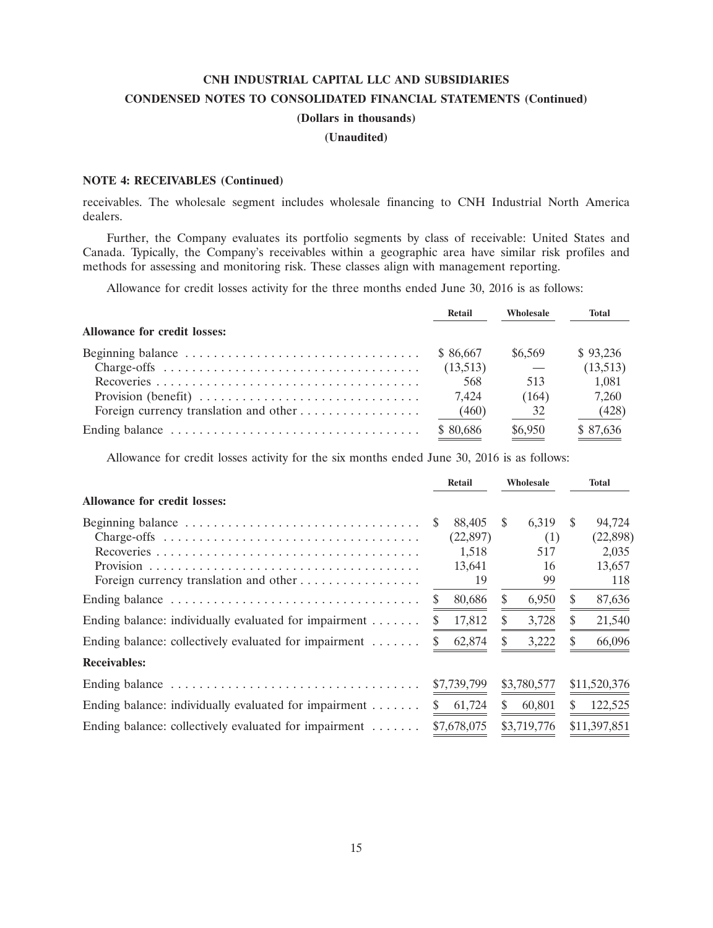#### **NOTE 4: RECEIVABLES (Continued)**

receivables. The wholesale segment includes wholesale financing to CNH Industrial North America dealers.

Further, the Company evaluates its portfolio segments by class of receivable: United States and Canada. Typically, the Company's receivables within a geographic area have similar risk profiles and methods for assessing and monitoring risk. These classes align with management reporting.

Allowance for credit losses activity for the three months ended June 30, 2016 is as follows:

|                                                                                   | Retail   | Wholesale | Total    |
|-----------------------------------------------------------------------------------|----------|-----------|----------|
| <b>Allowance for credit losses:</b>                                               |          |           |          |
|                                                                                   | \$86,667 | \$6,569   | \$93,236 |
|                                                                                   | (13,513) |           | (13,513) |
|                                                                                   | 568      | 513       | 1,081    |
| Provision (benefit) $\dots \dots \dots \dots \dots \dots \dots \dots \dots \dots$ | 7.424    | (164)     | 7,260    |
|                                                                                   | (460)    | - 32      | (428)    |
|                                                                                   | \$80,686 | \$6,950   | \$87,636 |

Allowance for credit losses activity for the six months ended June 30, 2016 is as follows:

|                                                                     |                | <b>Retail</b> |              | Wholesale   | <b>Total</b> |              |
|---------------------------------------------------------------------|----------------|---------------|--------------|-------------|--------------|--------------|
| <b>Allowance for credit losses:</b>                                 |                |               |              |             |              |              |
|                                                                     | S              | 88,405        | S            | 6.319       | -S           | 94,724       |
|                                                                     |                | (22,897)      |              | (1)         |              | (22,898)     |
|                                                                     |                | 1,518         |              | 517         |              | 2,035        |
|                                                                     |                | 13,641        |              | 16          |              | 13,657       |
| Foreign currency translation and other                              |                | 19            |              | 99          |              | 118          |
|                                                                     | <sup>\$</sup>  | 80,686        | <sup>S</sup> | 6,950       | S            | 87,636       |
| Ending balance: individually evaluated for impairment $\dots \dots$ | \$             | 17,812        | \$           | 3,728       | \$           | 21,540       |
| Ending balance: collectively evaluated for impairment               | $\mathbb{S}^-$ | 62,874        | \$           | 3,222       | \$           | 66,096       |
| <b>Receivables:</b>                                                 |                |               |              |             |              |              |
|                                                                     |                | \$7,739,799   |              | \$3,780,577 |              | \$11,520,376 |
| Ending balance: individually evaluated for impairment $\dots \dots$ | S.             | 61,724        | S.           | 60,801      | S.           | 122,525      |
| Ending balance: collectively evaluated for impairment $\dots\dots$  |                | \$7,678,075   |              | \$3,719,776 |              | \$11,397,851 |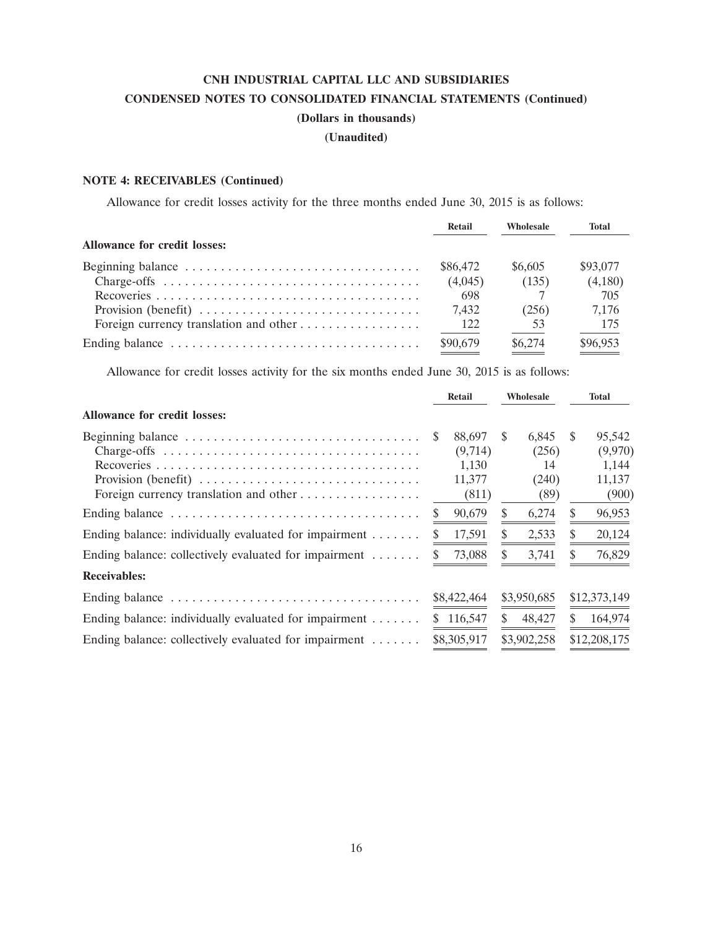### **NOTE 4: RECEIVABLES (Continued)**

Allowance for credit losses activity for the three months ended June 30, 2015 is as follows:

|                                                                                   | Retail   | Wholesale | <b>Total</b> |
|-----------------------------------------------------------------------------------|----------|-----------|--------------|
| <b>Allowance for credit losses:</b>                                               |          |           |              |
|                                                                                   | \$86,472 | \$6,605   | \$93,077     |
|                                                                                   | (4,045)  | (135)     | (4,180)      |
|                                                                                   | 698      |           | 705          |
| Provision (benefit) $\dots \dots \dots \dots \dots \dots \dots \dots \dots \dots$ | 7.432    | (256)     | 7.176        |
| Foreign currency translation and other                                            | 122      | -53       | 175          |
|                                                                                   | \$90,679 | \$6,274   | \$96,953     |

Allowance for credit losses activity for the six months ended June 30, 2015 is as follows:

|                                                                                         |              | <b>Retail</b> |               | Wholesale   |    | <b>Total</b> |
|-----------------------------------------------------------------------------------------|--------------|---------------|---------------|-------------|----|--------------|
| Allowance for credit losses:                                                            |              |               |               |             |    |              |
|                                                                                         | <sup>S</sup> | 88,697        | <sup>\$</sup> | 6,845       | -S | 95,542       |
|                                                                                         |              | (9,714)       |               | (256)       |    | (9,970)      |
|                                                                                         |              | 1,130         |               | 14          |    | 1.144        |
| Provision (benefit) $\dots \dots \dots \dots \dots \dots \dots \dots \dots \dots \dots$ |              | 11,377        |               | (240)       |    | 11,137       |
| Foreign currency translation and other                                                  |              | (811)         |               | (89)        |    | (900)        |
|                                                                                         | S.           | 90,679        | S.            | 6,274       | S  | 96,953       |
| Ending balance: individually evaluated for impairment                                   | S            | 17,591        | S.            | 2,533       | S  | 20,124       |
| Ending balance: collectively evaluated for impairment $\dots\dots$                      | \$           | 73,088        | S             | 3,741       | S  | 76,829       |
| <b>Receivables:</b>                                                                     |              |               |               |             |    |              |
|                                                                                         |              | \$8,422,464   |               | \$3,950,685 |    | \$12,373,149 |
| Ending balance: individually evaluated for impairment                                   |              | \$116,547     | \$            | 48,427      | \$ | 164,974      |
| Ending balance: collectively evaluated for impairment $\dots\dots$                      |              | \$8,305,917   |               | \$3,902,258 |    | \$12,208,175 |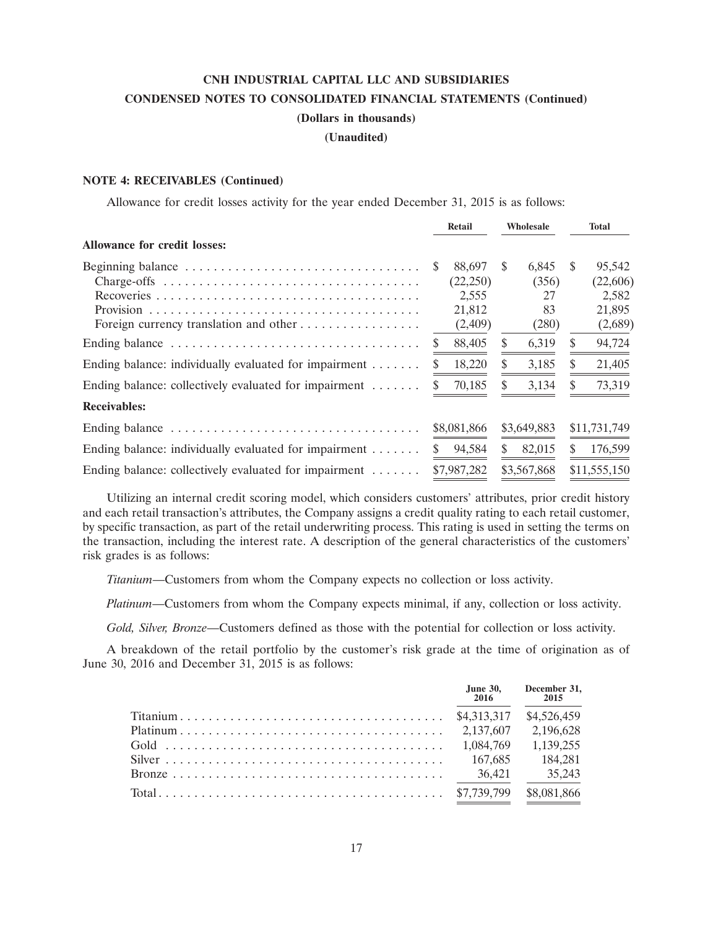**NOTE 4: RECEIVABLES (Continued)**

Allowance for credit losses activity for the year ended December 31, 2015 is as follows:

|                                                                     |    | <b>Retail</b> |    | Wholesale   |    | <b>Total</b> |
|---------------------------------------------------------------------|----|---------------|----|-------------|----|--------------|
| <b>Allowance for credit losses:</b>                                 |    |               |    |             |    |              |
|                                                                     |    | 88,697        | S  | 6.845       | -S | 95,542       |
|                                                                     |    | (22,250)      |    | (356)       |    | (22,606)     |
|                                                                     |    | 2,555         |    | 27          |    | 2,582        |
|                                                                     |    | 21,812        |    | 83          |    | 21,895       |
|                                                                     |    | (2,409)       |    | (280)       |    | (2,689)      |
|                                                                     |    | 88,405        |    | 6,319       | S  | 94,724       |
| Ending balance: individually evaluated for impairment $\dots \dots$ |    | 18,220        | S  | 3,185       | S  | 21,405       |
| Ending balance: collectively evaluated for impairment $\dots\dots$  | S. | 70,185        | S  | 3,134       | S  | 73,319       |
| <b>Receivables:</b>                                                 |    |               |    |             |    |              |
|                                                                     |    | \$8,081,866   |    | \$3,649,883 |    | \$11,731,749 |
| Ending balance: individually evaluated for impairment $\dots \dots$ |    | 94,584        | \$ | 82,015      | \$ | 176,599      |
| Ending balance: collectively evaluated for impairment               |    | \$7,987,282   |    | \$3,567,868 |    | \$11,555,150 |

Utilizing an internal credit scoring model, which considers customers' attributes, prior credit history and each retail transaction's attributes, the Company assigns a credit quality rating to each retail customer, by specific transaction, as part of the retail underwriting process. This rating is used in setting the terms on the transaction, including the interest rate. A description of the general characteristics of the customers' risk grades is as follows:

*Titanium*—Customers from whom the Company expects no collection or loss activity.

*Platinum*—Customers from whom the Company expects minimal, if any, collection or loss activity.

*Gold, Silver, Bronze*—Customers defined as those with the potential for collection or loss activity.

A breakdown of the retail portfolio by the customer's risk grade at the time of origination as of June 30, 2016 and December 31, 2015 is as follows:

| <b>June 30,</b><br>2016 | December 31,<br>2015 |
|-------------------------|----------------------|
|                         | \$4,526,459          |
|                         | 2,196,628            |
|                         | 1,139,255            |
| 167,685                 | 184,281              |
| 36,421                  | 35,243               |
|                         | \$8,081,866          |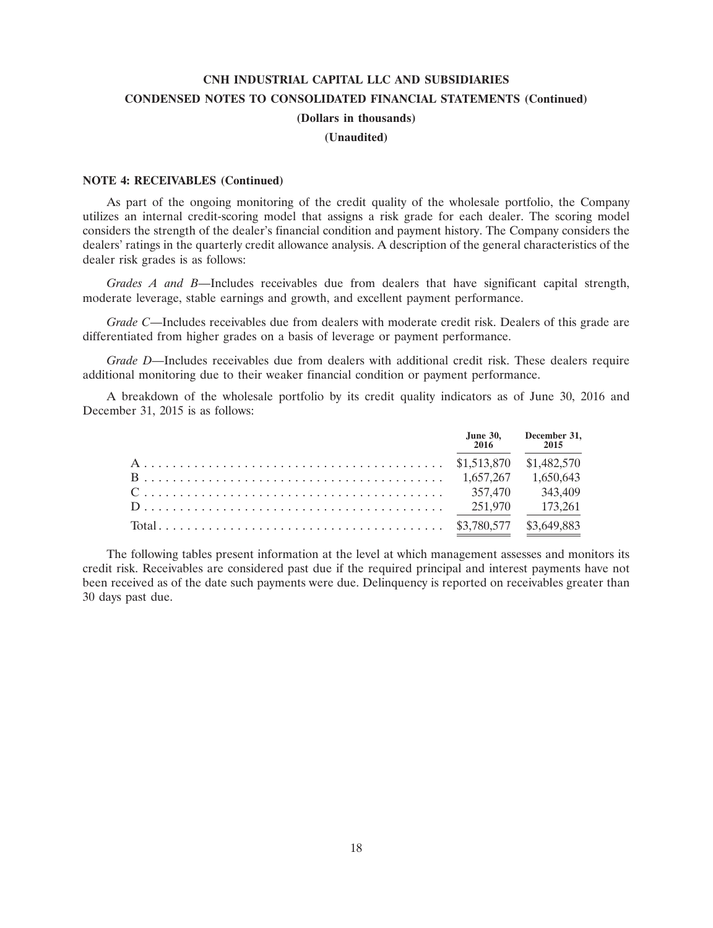#### **NOTE 4: RECEIVABLES (Continued)**

As part of the ongoing monitoring of the credit quality of the wholesale portfolio, the Company utilizes an internal credit-scoring model that assigns a risk grade for each dealer. The scoring model considers the strength of the dealer's financial condition and payment history. The Company considers the dealers' ratings in the quarterly credit allowance analysis. A description of the general characteristics of the dealer risk grades is as follows:

*Grades A and B*—Includes receivables due from dealers that have significant capital strength, moderate leverage, stable earnings and growth, and excellent payment performance.

*Grade C*—Includes receivables due from dealers with moderate credit risk. Dealers of this grade are differentiated from higher grades on a basis of leverage or payment performance.

*Grade D*—Includes receivables due from dealers with additional credit risk. These dealers require additional monitoring due to their weaker financial condition or payment performance.

A breakdown of the wholesale portfolio by its credit quality indicators as of June 30, 2016 and December 31, 2015 is as follows:

|  | June 30, December 31,<br>2016 2015 |
|--|------------------------------------|
|  |                                    |
|  |                                    |
|  |                                    |
|  |                                    |
|  |                                    |

The following tables present information at the level at which management assesses and monitors its credit risk. Receivables are considered past due if the required principal and interest payments have not been received as of the date such payments were due. Delinquency is reported on receivables greater than 30 days past due.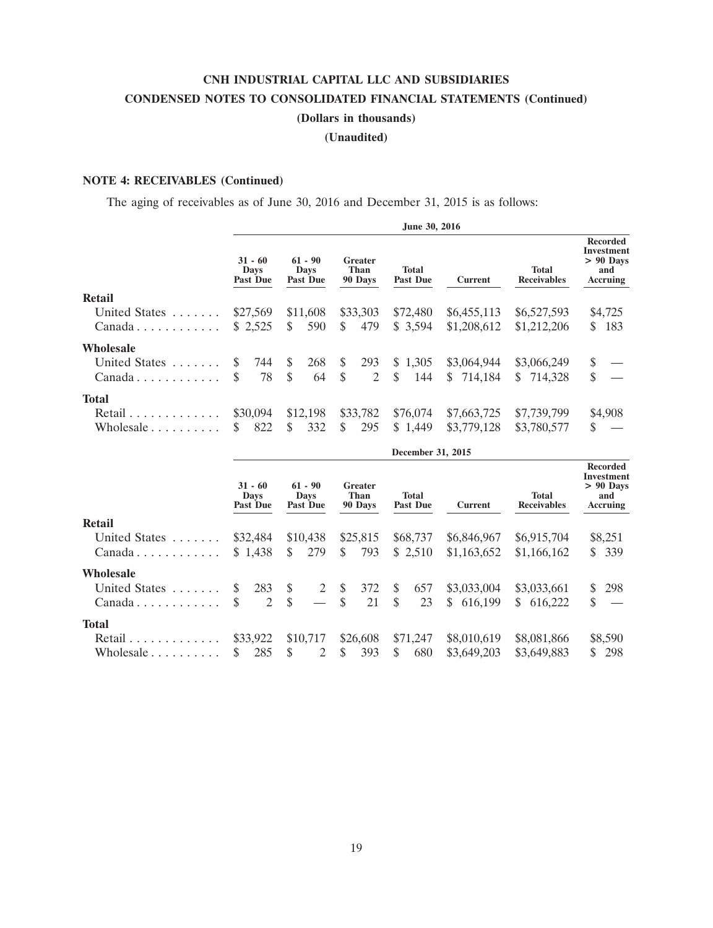#### **(Unaudited)**

### **NOTE 4: RECEIVABLES (Continued)**

The aging of receivables as of June 30, 2016 and December 31, 2015 is as follows:

|                               | June 30, 2016 |                                             |     |                                             |              |                                   |    |                                 |                |                                    |                               |                                                   |
|-------------------------------|---------------|---------------------------------------------|-----|---------------------------------------------|--------------|-----------------------------------|----|---------------------------------|----------------|------------------------------------|-------------------------------|---------------------------------------------------|
|                               |               | $31 - 60$<br><b>Days</b><br><b>Past Due</b> |     | $61 - 90$<br><b>Days</b><br><b>Past Due</b> |              | <b>Greater</b><br>Than<br>90 Days |    | <b>Total</b><br><b>Past Due</b> | <b>Current</b> | <b>Total</b><br><b>Receivables</b> | <b>Investment</b><br>Accruing | <b>Recorded</b><br>$> 90$ Days<br>and             |
| <b>Retail</b>                 |               |                                             |     |                                             |              |                                   |    |                                 |                |                                    |                               |                                                   |
| United States                 |               | \$27,569                                    |     | \$11,608                                    |              | \$33,303                          |    | \$72,480                        | \$6,455,113    | \$6,527,593                        |                               | \$4,725                                           |
| Canada                        |               | \$2,525                                     | \$. | 590                                         | S.           | 479                               |    | \$3,594                         | \$1,208,612    | \$1,212,206                        |                               | \$183                                             |
| <b>Wholesale</b>              |               |                                             |     |                                             |              |                                   |    |                                 |                |                                    |                               |                                                   |
| United States                 | \$            | 744                                         | \$  | 268                                         | \$           | 293                               |    | \$1,305                         | \$3,064,944    | \$3,066,249                        |                               |                                                   |
| Canada                        | \$            | 78                                          | \$  | 64                                          | $\mathbb{S}$ | $\overline{2}$                    | \$ | 144                             | \$714,184      | \$714,328                          | \$                            |                                                   |
| <b>Total</b>                  |               |                                             |     |                                             |              |                                   |    |                                 |                |                                    |                               |                                                   |
| Retail $\ldots$ ,             |               | \$30,094                                    |     | \$12,198                                    |              | \$33,782                          |    | \$76,074                        | \$7,663,725    | \$7,739,799                        |                               | \$4,908                                           |
| Wholesale $\ldots$ , $\ldots$ | \$            | 822                                         | \$  | 332                                         | \$           | 295                               |    | \$1,449                         | \$3,779,128    | \$3,780,577                        | \$                            |                                                   |
|                               |               |                                             |     |                                             |              |                                   |    | December 31, 2015               |                |                                    |                               |                                                   |
|                               |               | $31 - 60$<br><b>Days</b><br><b>Past Due</b> |     | $61 - 90$<br><b>Days</b><br><b>Past Due</b> |              | <b>Greater</b><br>Than<br>90 Days |    | <b>Total</b><br><b>Past Due</b> | <b>Current</b> | <b>Total</b><br><b>Receivables</b> | <b>Investment</b>             | <b>Recorded</b><br>$> 90$ Days<br>and<br>Accruing |
| Retail                        |               |                                             |     |                                             |              |                                   |    |                                 |                |                                    |                               |                                                   |
| United States                 |               | \$32,484                                    |     | \$10,438                                    |              | \$25,815                          |    | \$68,737                        | \$6,846,967    | \$6,915,704                        |                               | \$8,251                                           |
| Canada                        |               | \$1,438                                     | \$. | 279                                         | \$           | 793                               |    | \$ 2,510                        | \$1,163,652    | \$1,166,162                        | \$                            | 339                                               |
| Wholesale                     |               |                                             |     |                                             |              |                                   |    |                                 |                |                                    |                               |                                                   |
|                               |               | $\phi$ and $\phi$                           |     |                                             |              |                                   |    |                                 |                |                                    | $A \cap A$                    |                                                   |

| Canada $$1,438 \quad $279 \quad $793 \quad $2,510 \quad $1,163,652 \quad $1,166,162$                                                                                                                                                              |  |  |  |  |             | \$339           |
|---------------------------------------------------------------------------------------------------------------------------------------------------------------------------------------------------------------------------------------------------|--|--|--|--|-------------|-----------------|
| Wholesale<br>United States  \$283 \$2 \$372 \$657 \$3,033,004 \$3,033,661<br>Canada $\frac{2}{5}$ $\frac{1}{2}$ $\frac{1}{5}$ $\frac{1}{2}$ $\frac{1}{5}$ $\frac{1}{21}$ $\frac{1}{5}$ $\frac{23}{5}$ $\frac{1}{5}$ 616,199 $\frac{1}{5}$ 616,222 |  |  |  |  |             | \$298<br>$\sim$ |
| <b>Total</b>                                                                                                                                                                                                                                      |  |  |  |  |             |                 |
| Retail \$33,922 \$10,717 \$26,608 \$71,247 \$8,010,619                                                                                                                                                                                            |  |  |  |  | \$8,081,866 | \$8,590         |
| Wholesale \$285 \$2 \$393 \$680 \$3,649,203 \$3,649,883                                                                                                                                                                                           |  |  |  |  |             | \$298           |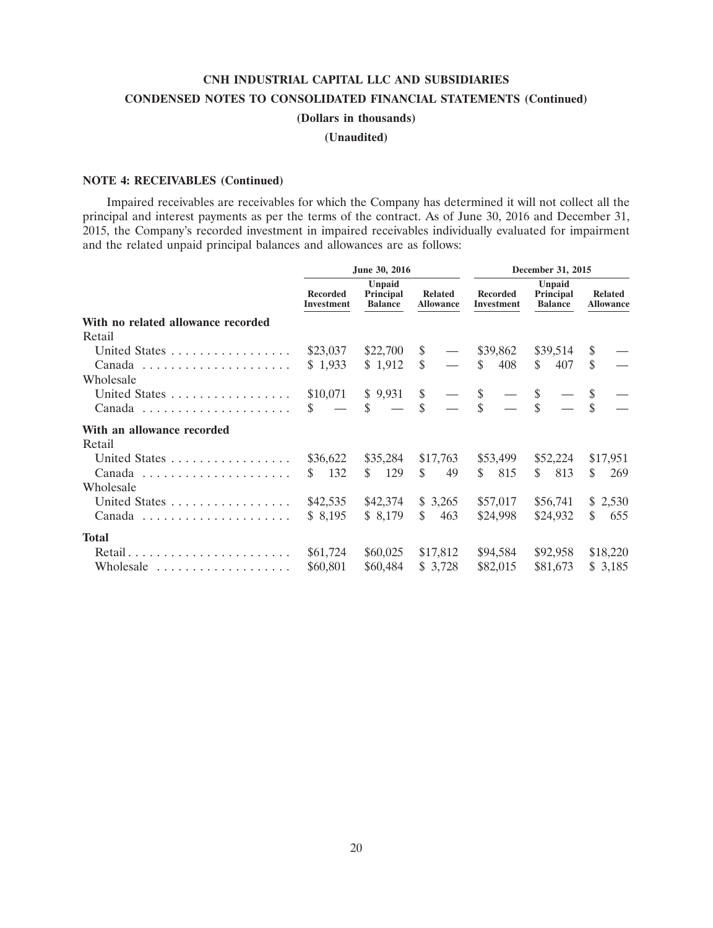**(Unaudited)**

#### **NOTE 4: RECEIVABLES (Continued)**

Impaired receivables are receivables for which the Company has determined it will not collect all the principal and interest payments as per the terms of the contract. As of June 30, 2016 and December 31, 2015, the Company's recorded investment in impaired receivables individually evaluated for impairment and the related unpaid principal balances and allowances are as follows:

|                                    |                               | June 30, 2016                                |                                    | December 31, 2015                               |                                              |                                    |  |  |  |
|------------------------------------|-------------------------------|----------------------------------------------|------------------------------------|-------------------------------------------------|----------------------------------------------|------------------------------------|--|--|--|
|                                    | <b>Recorded</b><br>Investment | <b>Unpaid</b><br>Principal<br><b>Balance</b> | <b>Related</b><br><b>Allowance</b> | <b>Recorded</b><br><b>Investment</b>            | <b>Unpaid</b><br>Principal<br><b>Balance</b> | <b>Related</b><br><b>Allowance</b> |  |  |  |
| With no related allowance recorded |                               |                                              |                                    |                                                 |                                              |                                    |  |  |  |
| Retail                             |                               |                                              |                                    |                                                 |                                              |                                    |  |  |  |
| United States                      | \$23,037                      | \$22,700                                     | \$                                 | \$39,862                                        | \$39,514                                     | \$                                 |  |  |  |
|                                    | \$1,933                       | \$1,912                                      | $\frac{1}{1}$<br>$\mathbb{S}$      | \$<br>408                                       | \$<br>407                                    | \$                                 |  |  |  |
| Wholesale                          |                               |                                              |                                    |                                                 |                                              |                                    |  |  |  |
| United States                      | \$10,071                      | \$9,931                                      | \$                                 | $\begin{array}{c} 8 \\ 8 \end{array}$<br>$-$ \$ |                                              |                                    |  |  |  |
| Canada                             | \$.                           | \$                                           | $\mathcal{S}$                      |                                                 |                                              |                                    |  |  |  |
| With an allowance recorded         |                               |                                              |                                    |                                                 |                                              |                                    |  |  |  |
| Retail                             |                               |                                              |                                    |                                                 |                                              |                                    |  |  |  |
| United States                      | \$36,622                      | \$35,284                                     | \$17,763                           | \$53,499                                        | \$52,224                                     | \$17,951                           |  |  |  |
|                                    | 132<br>S.                     | 129<br>S.                                    | \$<br>49                           | $\mathbf{\hat{S}}$<br>815                       | \$<br>813                                    | 269<br>\$                          |  |  |  |
| Wholesale                          |                               |                                              |                                    |                                                 |                                              |                                    |  |  |  |
| United States                      | \$42,535                      | \$42,374                                     | \$3,265                            | \$57,017                                        | \$56,741                                     | \$2,530                            |  |  |  |
|                                    | \$8,195                       | \$8,179                                      | \$<br>463                          | \$24,998                                        | \$24,932                                     | \$<br>655                          |  |  |  |
| <b>Total</b>                       |                               |                                              |                                    |                                                 |                                              |                                    |  |  |  |
| Retail                             | \$61,724                      | \$60,025                                     | \$17,812                           | \$94,584                                        | \$92,958                                     | \$18,220                           |  |  |  |
| Wholesale                          | \$60,801                      | \$60,484                                     | \$3,728                            | \$82,015                                        | \$81,673                                     | \$3,185                            |  |  |  |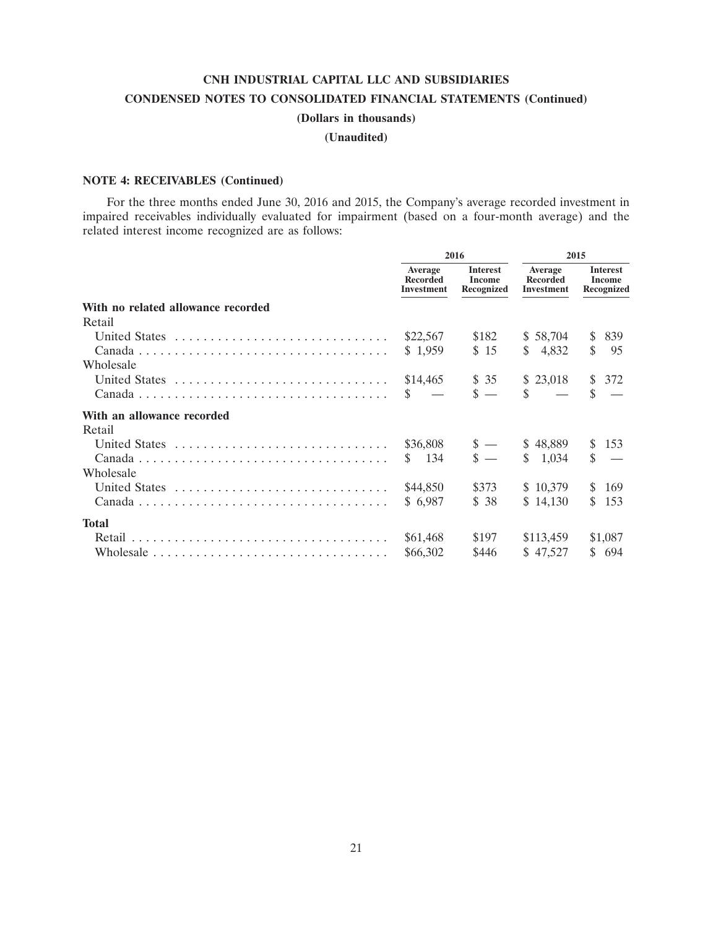**(Unaudited)**

#### **NOTE 4: RECEIVABLES (Continued)**

For the three months ended June 30, 2016 and 2015, the Company's average recorded investment in impaired receivables individually evaluated for impairment (based on a four-month average) and the related interest income recognized are as follows:

|                                    | 2016                                            |                                         | 2015                                     |                                         |  |
|------------------------------------|-------------------------------------------------|-----------------------------------------|------------------------------------------|-----------------------------------------|--|
|                                    | Average<br><b>Recorded</b><br><b>Investment</b> | <b>Interest</b><br>Income<br>Recognized | Average<br><b>Recorded</b><br>Investment | <b>Interest</b><br>Income<br>Recognized |  |
| With no related allowance recorded |                                                 |                                         |                                          |                                         |  |
| Retail                             |                                                 |                                         |                                          |                                         |  |
|                                    | \$22,567                                        | \$182                                   | \$58,704                                 | \$ 839                                  |  |
|                                    | \$1,959                                         | \$15                                    | 4,832<br>\$                              | \$<br>95                                |  |
| Wholesale                          |                                                 |                                         |                                          |                                         |  |
|                                    | \$14,465                                        | \$35                                    | \$23,018                                 | \$372                                   |  |
|                                    | <sup>\$</sup>                                   | $\sqrt{s}$ —                            | $\mathbb{S}$                             | $\mathbb{S}$                            |  |
| With an allowance recorded         |                                                 |                                         |                                          |                                         |  |
| Retail                             |                                                 |                                         |                                          |                                         |  |
|                                    | \$36,808                                        | $\sqrt[6]{}$                            | \$48,889                                 | \$153                                   |  |
|                                    | $\frac{\$}{134}$                                | $\frac{1}{2}$                           | \$1,034                                  | \$                                      |  |
| Wholesale                          |                                                 |                                         |                                          |                                         |  |
|                                    | \$44,850                                        | \$373                                   | \$10,379                                 | \$169                                   |  |
|                                    | \$6.987                                         | \$38                                    | \$14,130                                 | \$<br>153                               |  |
| <b>Total</b>                       |                                                 |                                         |                                          |                                         |  |
|                                    | \$61,468                                        | \$197                                   | \$113,459                                | \$1,087                                 |  |
|                                    | \$66,302                                        | \$446                                   | \$47,527                                 | 694<br>S.                               |  |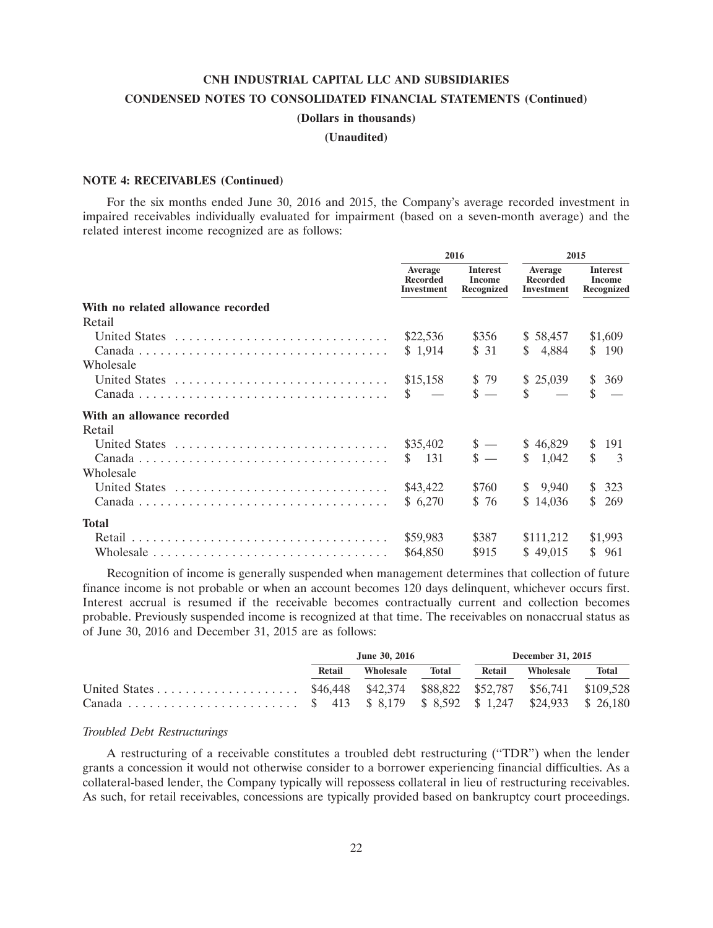**(Unaudited)**

#### **NOTE 4: RECEIVABLES (Continued)**

For the six months ended June 30, 2016 and 2015, the Company's average recorded investment in impaired receivables individually evaluated for impairment (based on a seven-month average) and the related interest income recognized are as follows:

|                                    | 2016                                            |                                                | 2015                                            |                                         |
|------------------------------------|-------------------------------------------------|------------------------------------------------|-------------------------------------------------|-----------------------------------------|
|                                    | Average<br><b>Recorded</b><br><b>Investment</b> | <b>Interest</b><br><b>Income</b><br>Recognized | Average<br><b>Recorded</b><br><b>Investment</b> | <b>Interest</b><br>Income<br>Recognized |
| With no related allowance recorded |                                                 |                                                |                                                 |                                         |
| Retail                             |                                                 |                                                |                                                 |                                         |
|                                    | \$22,536                                        | \$356                                          | \$58,457                                        | \$1,609                                 |
|                                    | \$1,914                                         | \$31                                           | \$<br>4,884                                     | \$190                                   |
| Wholesale                          |                                                 |                                                |                                                 |                                         |
|                                    | \$15,158                                        | \$79                                           | \$25,039                                        | 369<br><sup>S</sup>                     |
|                                    | <sup>\$</sup>                                   | $\frac{\text{S}}{\text{}}$ —                   | \$                                              | \$                                      |
| With an allowance recorded         |                                                 |                                                |                                                 |                                         |
| Retail                             |                                                 |                                                |                                                 |                                         |
|                                    | \$35,402                                        | $\sqrt[3]{ }$                                  | \$46,829                                        | 191<br><sup>S</sup>                     |
|                                    | 131<br>$\mathbb{S}^-$                           | $\frac{\text{S}}{\text{S}}$                    | \$<br>1,042                                     | \$<br>3                                 |
| Wholesale                          |                                                 |                                                |                                                 |                                         |
|                                    | \$43,422                                        | \$760                                          | 9,940<br>$\mathbb{S}^-$                         | \$323                                   |
|                                    | \$6,270                                         | \$76                                           | \$14,036                                        | $\mathcal{S}$<br>269                    |
| <b>Total</b>                       |                                                 |                                                |                                                 |                                         |
|                                    | \$59,983                                        | \$387                                          | \$111,212                                       | \$1,993                                 |
|                                    | \$64,850                                        | \$915                                          | \$49,015                                        | \$961                                   |

Recognition of income is generally suspended when management determines that collection of future finance income is not probable or when an account becomes 120 days delinquent, whichever occurs first. Interest accrual is resumed if the receivable becomes contractually current and collection becomes probable. Previously suspended income is recognized at that time. The receivables on nonaccrual status as of June 30, 2016 and December 31, 2015 are as follows:

|                                                                      | June 30, 2016 |           |       |        | December 31, 2015 |       |
|----------------------------------------------------------------------|---------------|-----------|-------|--------|-------------------|-------|
|                                                                      | Retail        | Wholesale | Total | Retail | Wholesale         | Total |
| United States \$46,448 \$42,374 \$88,822 \$52,787 \$56,741 \$109,528 |               |           |       |        |                   |       |
|                                                                      |               |           |       |        |                   |       |

#### *Troubled Debt Restructurings*

A restructuring of a receivable constitutes a troubled debt restructuring (''TDR'') when the lender grants a concession it would not otherwise consider to a borrower experiencing financial difficulties. As a collateral-based lender, the Company typically will repossess collateral in lieu of restructuring receivables. As such, for retail receivables, concessions are typically provided based on bankruptcy court proceedings.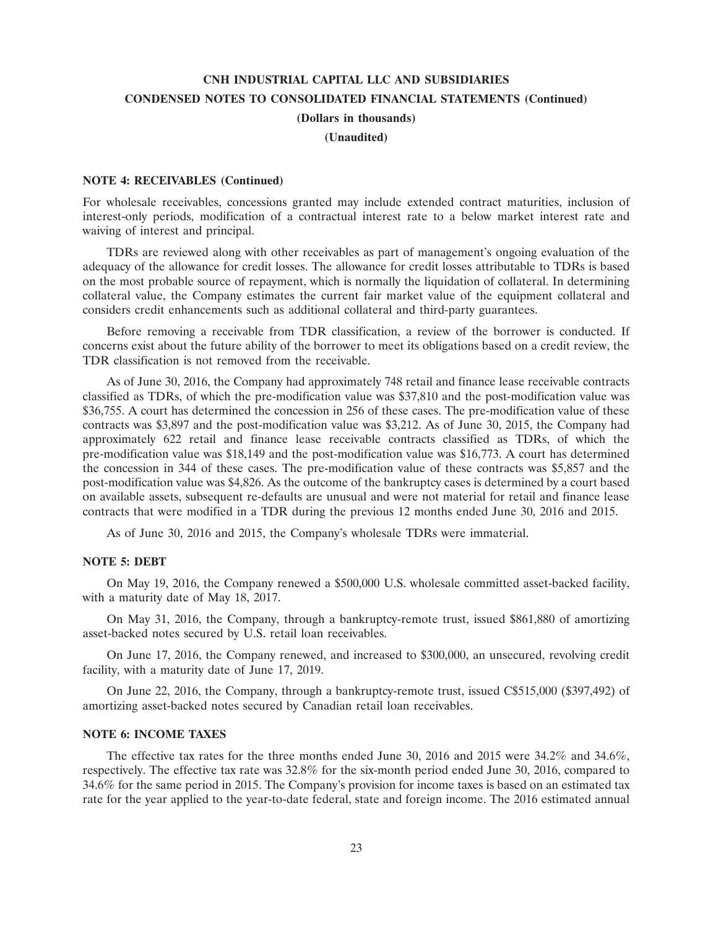**(Unaudited)**

#### **NOTE 4: RECEIVABLES (Continued)**

For wholesale receivables, concessions granted may include extended contract maturities, inclusion of interest-only periods, modification of a contractual interest rate to a below market interest rate and waiving of interest and principal.

TDRs are reviewed along with other receivables as part of management's ongoing evaluation of the adequacy of the allowance for credit losses. The allowance for credit losses attributable to TDRs is based on the most probable source of repayment, which is normally the liquidation of collateral. In determining collateral value, the Company estimates the current fair market value of the equipment collateral and considers credit enhancements such as additional collateral and third-party guarantees.

Before removing a receivable from TDR classification, a review of the borrower is conducted. If concerns exist about the future ability of the borrower to meet its obligations based on a credit review, the TDR classification is not removed from the receivable.

As of June 30, 2016, the Company had approximately 748 retail and finance lease receivable contracts classified as TDRs, of which the pre-modification value was \$37,810 and the post-modification value was \$36,755. A court has determined the concession in 256 of these cases. The pre-modification value of these contracts was \$3,897 and the post-modification value was \$3,212. As of June 30, 2015, the Company had approximately 622 retail and finance lease receivable contracts classified as TDRs, of which the pre-modification value was \$18,149 and the post-modification value was \$16,773. A court has determined the concession in 344 of these cases. The pre-modification value of these contracts was \$5,857 and the post-modification value was \$4,826. As the outcome of the bankruptcy cases is determined by a court based on available assets, subsequent re-defaults are unusual and were not material for retail and finance lease contracts that were modified in a TDR during the previous 12 months ended June 30, 2016 and 2015.

As of June 30, 2016 and 2015, the Company's wholesale TDRs were immaterial.

#### **NOTE 5: DEBT**

On May 19, 2016, the Company renewed a \$500,000 U.S. wholesale committed asset-backed facility, with a maturity date of May 18, 2017.

On May 31, 2016, the Company, through a bankruptcy-remote trust, issued \$861,880 of amortizing asset-backed notes secured by U.S. retail loan receivables.

On June 17, 2016, the Company renewed, and increased to \$300,000, an unsecured, revolving credit facility, with a maturity date of June 17, 2019.

On June 22, 2016, the Company, through a bankruptcy-remote trust, issued C\$515,000 (\$397,492) of amortizing asset-backed notes secured by Canadian retail loan receivables.

#### **NOTE 6: INCOME TAXES**

The effective tax rates for the three months ended June 30, 2016 and 2015 were 34.2% and 34.6%, respectively. The effective tax rate was 32.8% for the six-month period ended June 30, 2016, compared to 34.6% for the same period in 2015. The Company's provision for income taxes is based on an estimated tax rate for the year applied to the year-to-date federal, state and foreign income. The 2016 estimated annual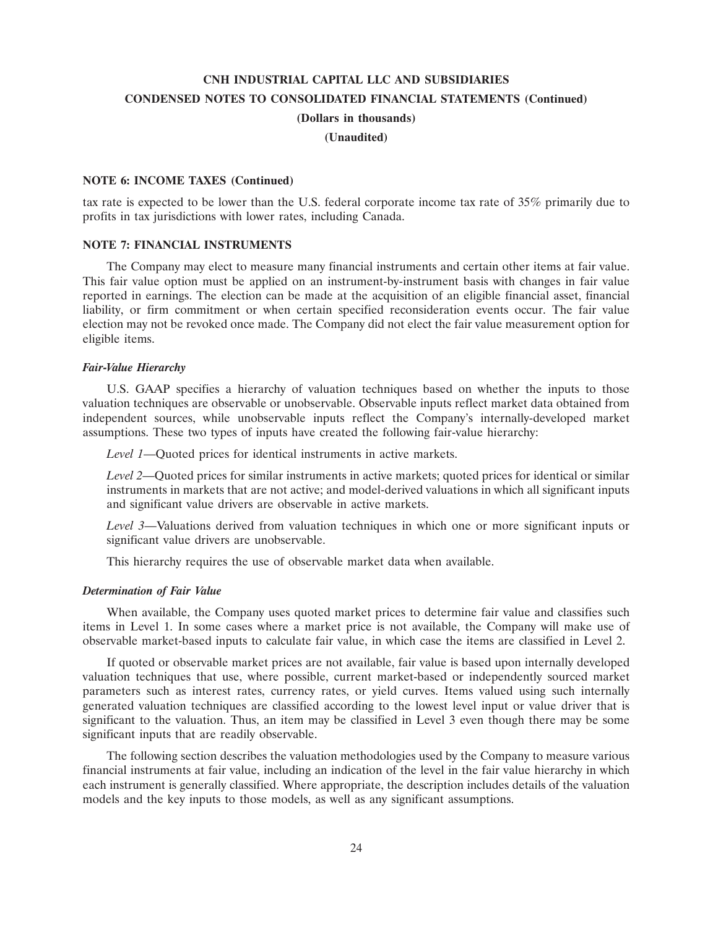### **(Unaudited)**

#### **NOTE 6: INCOME TAXES (Continued)**

tax rate is expected to be lower than the U.S. federal corporate income tax rate of 35% primarily due to profits in tax jurisdictions with lower rates, including Canada.

#### **NOTE 7: FINANCIAL INSTRUMENTS**

The Company may elect to measure many financial instruments and certain other items at fair value. This fair value option must be applied on an instrument-by-instrument basis with changes in fair value reported in earnings. The election can be made at the acquisition of an eligible financial asset, financial liability, or firm commitment or when certain specified reconsideration events occur. The fair value election may not be revoked once made. The Company did not elect the fair value measurement option for eligible items.

#### *Fair-Value Hierarchy*

U.S. GAAP specifies a hierarchy of valuation techniques based on whether the inputs to those valuation techniques are observable or unobservable. Observable inputs reflect market data obtained from independent sources, while unobservable inputs reflect the Company's internally-developed market assumptions. These two types of inputs have created the following fair-value hierarchy:

*Level 1*—Quoted prices for identical instruments in active markets.

*Level 2*—Quoted prices for similar instruments in active markets; quoted prices for identical or similar instruments in markets that are not active; and model-derived valuations in which all significant inputs and significant value drivers are observable in active markets.

*Level 3*—Valuations derived from valuation techniques in which one or more significant inputs or significant value drivers are unobservable.

This hierarchy requires the use of observable market data when available.

#### *Determination of Fair Value*

When available, the Company uses quoted market prices to determine fair value and classifies such items in Level 1. In some cases where a market price is not available, the Company will make use of observable market-based inputs to calculate fair value, in which case the items are classified in Level 2.

If quoted or observable market prices are not available, fair value is based upon internally developed valuation techniques that use, where possible, current market-based or independently sourced market parameters such as interest rates, currency rates, or yield curves. Items valued using such internally generated valuation techniques are classified according to the lowest level input or value driver that is significant to the valuation. Thus, an item may be classified in Level 3 even though there may be some significant inputs that are readily observable.

The following section describes the valuation methodologies used by the Company to measure various financial instruments at fair value, including an indication of the level in the fair value hierarchy in which each instrument is generally classified. Where appropriate, the description includes details of the valuation models and the key inputs to those models, as well as any significant assumptions.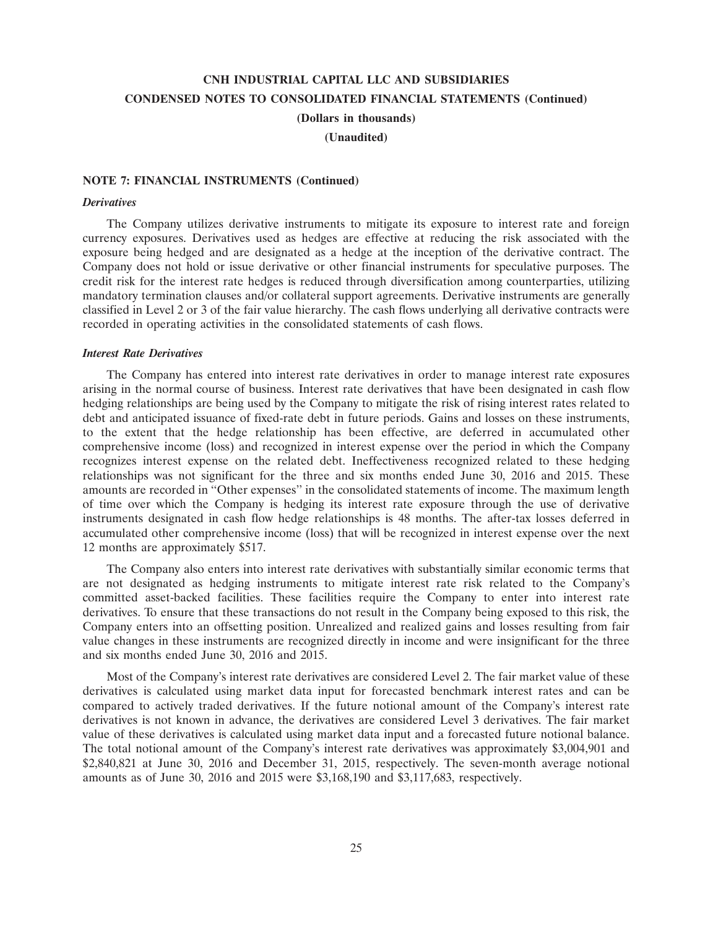#### **NOTE 7: FINANCIAL INSTRUMENTS (Continued)**

#### *Derivatives*

The Company utilizes derivative instruments to mitigate its exposure to interest rate and foreign currency exposures. Derivatives used as hedges are effective at reducing the risk associated with the exposure being hedged and are designated as a hedge at the inception of the derivative contract. The Company does not hold or issue derivative or other financial instruments for speculative purposes. The credit risk for the interest rate hedges is reduced through diversification among counterparties, utilizing mandatory termination clauses and/or collateral support agreements. Derivative instruments are generally classified in Level 2 or 3 of the fair value hierarchy. The cash flows underlying all derivative contracts were recorded in operating activities in the consolidated statements of cash flows.

#### *Interest Rate Derivatives*

The Company has entered into interest rate derivatives in order to manage interest rate exposures arising in the normal course of business. Interest rate derivatives that have been designated in cash flow hedging relationships are being used by the Company to mitigate the risk of rising interest rates related to debt and anticipated issuance of fixed-rate debt in future periods. Gains and losses on these instruments, to the extent that the hedge relationship has been effective, are deferred in accumulated other comprehensive income (loss) and recognized in interest expense over the period in which the Company recognizes interest expense on the related debt. Ineffectiveness recognized related to these hedging relationships was not significant for the three and six months ended June 30, 2016 and 2015. These amounts are recorded in ''Other expenses'' in the consolidated statements of income. The maximum length of time over which the Company is hedging its interest rate exposure through the use of derivative instruments designated in cash flow hedge relationships is 48 months. The after-tax losses deferred in accumulated other comprehensive income (loss) that will be recognized in interest expense over the next 12 months are approximately \$517.

The Company also enters into interest rate derivatives with substantially similar economic terms that are not designated as hedging instruments to mitigate interest rate risk related to the Company's committed asset-backed facilities. These facilities require the Company to enter into interest rate derivatives. To ensure that these transactions do not result in the Company being exposed to this risk, the Company enters into an offsetting position. Unrealized and realized gains and losses resulting from fair value changes in these instruments are recognized directly in income and were insignificant for the three and six months ended June 30, 2016 and 2015.

Most of the Company's interest rate derivatives are considered Level 2. The fair market value of these derivatives is calculated using market data input for forecasted benchmark interest rates and can be compared to actively traded derivatives. If the future notional amount of the Company's interest rate derivatives is not known in advance, the derivatives are considered Level 3 derivatives. The fair market value of these derivatives is calculated using market data input and a forecasted future notional balance. The total notional amount of the Company's interest rate derivatives was approximately \$3,004,901 and \$2,840,821 at June 30, 2016 and December 31, 2015, respectively. The seven-month average notional amounts as of June 30, 2016 and 2015 were \$3,168,190 and \$3,117,683, respectively.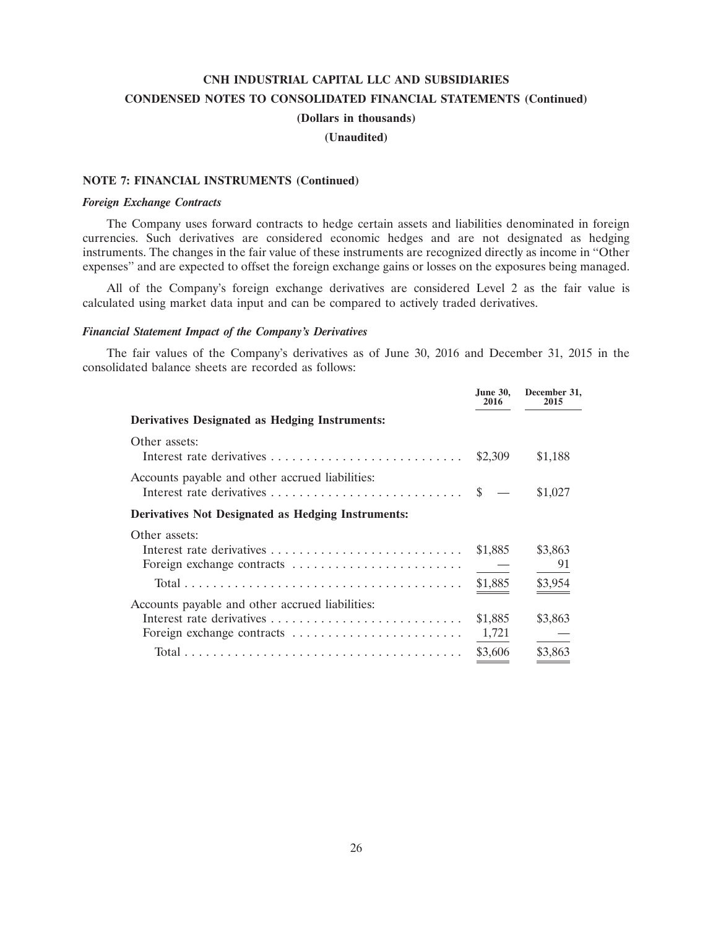#### **NOTE 7: FINANCIAL INSTRUMENTS (Continued)**

#### *Foreign Exchange Contracts*

The Company uses forward contracts to hedge certain assets and liabilities denominated in foreign currencies. Such derivatives are considered economic hedges and are not designated as hedging instruments. The changes in the fair value of these instruments are recognized directly as income in ''Other expenses'' and are expected to offset the foreign exchange gains or losses on the exposures being managed.

All of the Company's foreign exchange derivatives are considered Level 2 as the fair value is calculated using market data input and can be compared to actively traded derivatives.

#### *Financial Statement Impact of the Company's Derivatives*

The fair values of the Company's derivatives as of June 30, 2016 and December 31, 2015 in the consolidated balance sheets are recorded as follows:

|                                                       | <b>June 30,</b><br>2016 | December 31,<br>2015 |
|-------------------------------------------------------|-------------------------|----------------------|
| <b>Derivatives Designated as Hedging Instruments:</b> |                         |                      |
| Other assets:                                         | \$2,309                 | \$1,188              |
| Accounts payable and other accrued liabilities:       |                         | \$1,027              |
| Derivatives Not Designated as Hedging Instruments:    |                         |                      |
| Other assets:                                         | \$1,885                 | \$3,863<br>91        |
|                                                       | \$1,885                 | \$3,954              |
| Accounts payable and other accrued liabilities:       | \$1,885<br>1,721        | \$3,863              |
|                                                       | \$3,606                 | \$3,863              |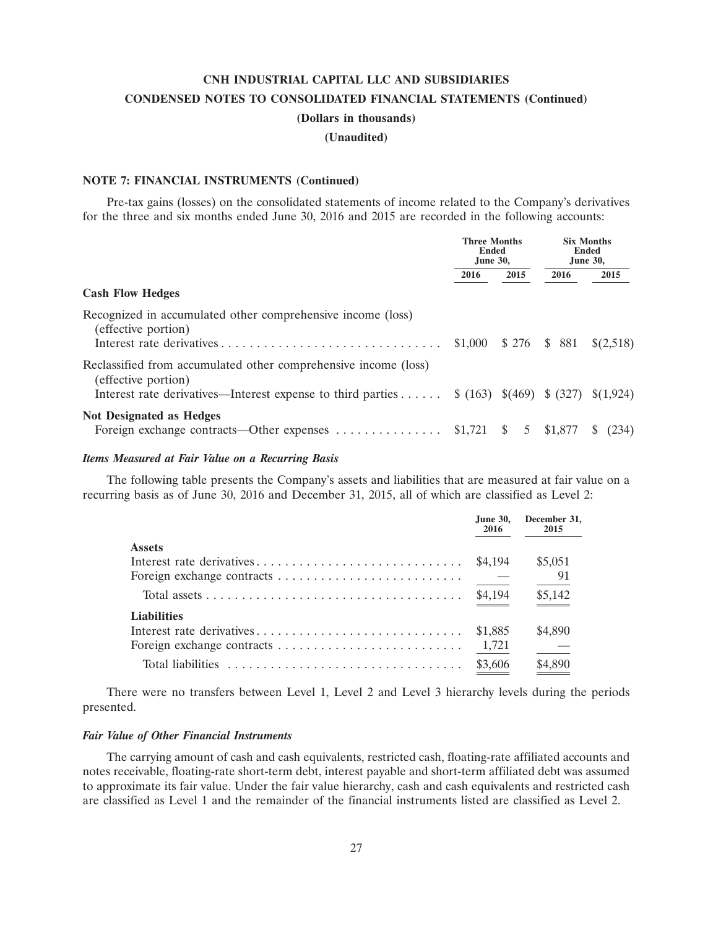**(Unaudited)**

#### **NOTE 7: FINANCIAL INSTRUMENTS (Continued)**

Pre-tax gains (losses) on the consolidated statements of income related to the Company's derivatives for the three and six months ended June 30, 2016 and 2015 are recorded in the following accounts:

|                                                                                                                                                                                           | <b>Three Months</b><br>Ended<br>June 30. |      | <b>Six Months</b><br>Ended<br><b>June 30,</b> |           |
|-------------------------------------------------------------------------------------------------------------------------------------------------------------------------------------------|------------------------------------------|------|-----------------------------------------------|-----------|
|                                                                                                                                                                                           | 2016                                     | 2015 | 2016                                          | 2015      |
| <b>Cash Flow Hedges</b>                                                                                                                                                                   |                                          |      |                                               |           |
| Recognized in accumulated other comprehensive income (loss)<br>(effective portion)                                                                                                        |                                          |      | $$1,000 \quad $276 \quad $881$                | \$(2,518) |
| Reclassified from accumulated other comprehensive income (loss)<br>(effective portion)<br>Interest rate derivatives—Interest expense to third parties \$ (163) $(469)$ \$ (327) \$(1,924) |                                          |      |                                               |           |
| <b>Not Designated as Hedges</b><br>Foreign exchange contracts—Other expenses $\dots \dots \dots \dots$ \$1,721 \$                                                                         |                                          | 5    | \$1,877                                       | (234)     |

#### *Items Measured at Fair Value on a Recurring Basis*

The following table presents the Company's assets and liabilities that are measured at fair value on a recurring basis as of June 30, 2016 and December 31, 2015, all of which are classified as Level 2:

|                    | 2016    | June 30, December 31,<br>2015 |
|--------------------|---------|-------------------------------|
| <b>Assets</b>      |         |                               |
|                    |         | \$5,051                       |
|                    |         | - 91                          |
|                    |         | \$5,142                       |
| <b>Liabilities</b> |         |                               |
|                    | \$1,885 | \$4,890                       |
|                    | 1,721   |                               |
| Total liabilities  | \$3,606 | \$4,890                       |

There were no transfers between Level 1, Level 2 and Level 3 hierarchy levels during the periods presented.

#### *Fair Value of Other Financial Instruments*

The carrying amount of cash and cash equivalents, restricted cash, floating-rate affiliated accounts and notes receivable, floating-rate short-term debt, interest payable and short-term affiliated debt was assumed to approximate its fair value. Under the fair value hierarchy, cash and cash equivalents and restricted cash are classified as Level 1 and the remainder of the financial instruments listed are classified as Level 2.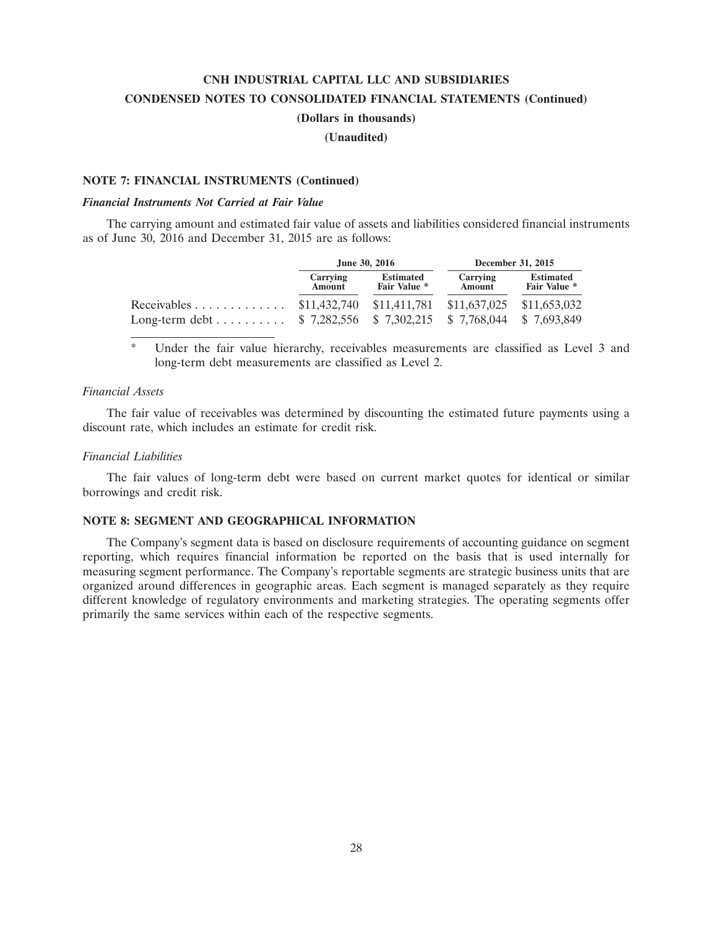#### **NOTE 7: FINANCIAL INSTRUMENTS (Continued)**

#### *Financial Instruments Not Carried at Fair Value*

The carrying amount and estimated fair value of assets and liabilities considered financial instruments as of June 30, 2016 and December 31, 2015 are as follows:

|                                                       | December 31, 2015<br>June 30, 2016 |                                         |                           |                                         |
|-------------------------------------------------------|------------------------------------|-----------------------------------------|---------------------------|-----------------------------------------|
|                                                       | Carrying<br>Amount                 | <b>Estimated</b><br><b>Fair Value *</b> | Carrying<br><b>Amount</b> | <b>Estimated</b><br><b>Fair Value *</b> |
| Receivables \$11,432,740                              |                                    | \$11,411,781 \$11,637,025               |                           | \$11,653,032                            |
| Long-term debt \$ 7,282,556 \$ 7,302,215 \$ 7,768,044 |                                    |                                         |                           | \$7,693,849                             |

Under the fair value hierarchy, receivables measurements are classified as Level 3 and long-term debt measurements are classified as Level 2.

#### *Financial Assets*

The fair value of receivables was determined by discounting the estimated future payments using a discount rate, which includes an estimate for credit risk.

#### *Financial Liabilities*

The fair values of long-term debt were based on current market quotes for identical or similar borrowings and credit risk.

### **NOTE 8: SEGMENT AND GEOGRAPHICAL INFORMATION**

The Company's segment data is based on disclosure requirements of accounting guidance on segment reporting, which requires financial information be reported on the basis that is used internally for measuring segment performance. The Company's reportable segments are strategic business units that are organized around differences in geographic areas. Each segment is managed separately as they require different knowledge of regulatory environments and marketing strategies. The operating segments offer primarily the same services within each of the respective segments.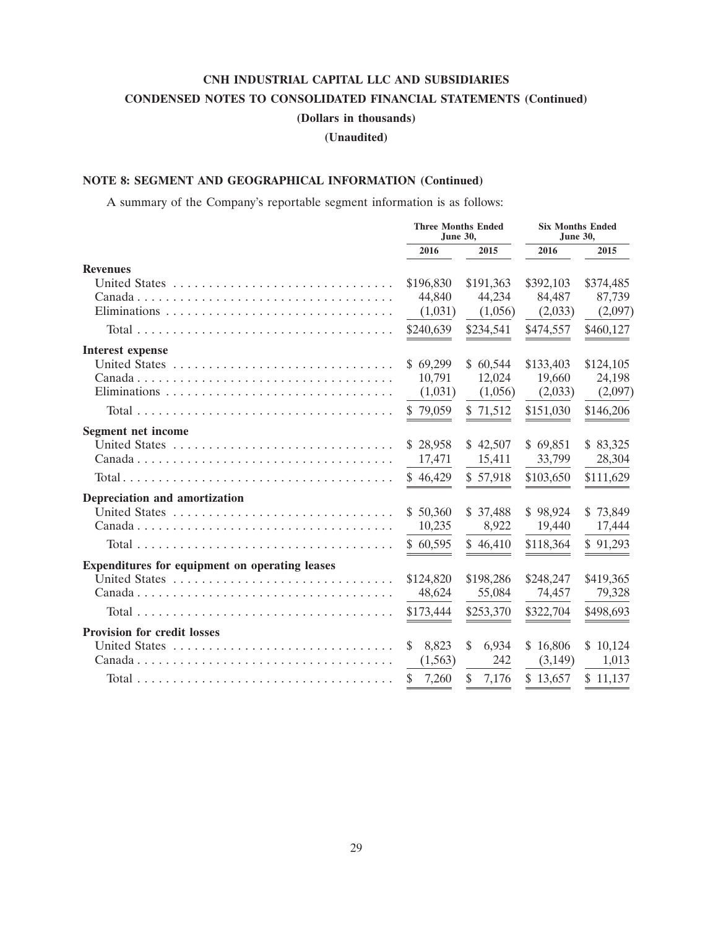#### **(Unaudited)**

### **NOTE 8: SEGMENT AND GEOGRAPHICAL INFORMATION (Continued)**

A summary of the Company's reportable segment information is as follows:

|                                                | <b>Three Months Ended</b><br>June 30, |             | <b>Six Months Ended</b><br>June 30, |           |
|------------------------------------------------|---------------------------------------|-------------|-------------------------------------|-----------|
|                                                | 2016                                  | 2015        | 2016                                | 2015      |
| <b>Revenues</b>                                |                                       |             |                                     |           |
|                                                | \$196,830                             | \$191,363   | \$392,103                           | \$374,485 |
|                                                | 44,840                                | 44,234      | 84,487                              | 87,739    |
|                                                | (1,031)                               | (1,056)     | (2,033)                             | (2,097)   |
|                                                | \$240,639                             | \$234,541   | \$474,557                           | \$460,127 |
| <b>Interest expense</b>                        |                                       |             |                                     |           |
|                                                | \$69,299                              | \$60,544    | \$133,403                           | \$124,105 |
|                                                | 10,791                                | 12,024      | 19,660                              | 24,198    |
|                                                | (1,031)                               | (1,056)     | (2,033)                             | (2,097)   |
|                                                | \$79,059                              | \$71,512    | \$151,030                           | \$146,206 |
| Segment net income                             |                                       |             |                                     |           |
|                                                | \$28,958                              | \$42,507    | \$69,851                            | \$83,325  |
|                                                | 17,471                                | 15,411      | 33,799                              | 28,304    |
|                                                | \$46,429                              | \$57,918    | \$103,650                           | \$111,629 |
| Depreciation and amortization                  |                                       |             |                                     |           |
|                                                | \$50,360                              | \$37,488    | \$98,924                            | \$73,849  |
|                                                | 10,235                                | 8,922       | 19,440                              | 17,444    |
|                                                | \$60,595                              | \$46,410    | \$118,364                           | \$91,293  |
| Expenditures for equipment on operating leases |                                       |             |                                     |           |
|                                                | \$124,820                             | \$198,286   | \$248,247                           | \$419,365 |
|                                                | 48,624                                | 55,084      | 74,457                              | 79,328    |
|                                                | \$173,444                             | \$253,370   | \$322,704                           | \$498,693 |
| <b>Provision for credit losses</b>             |                                       |             |                                     |           |
|                                                | \$<br>8,823                           | \$<br>6,934 | \$16,806                            | \$10,124  |
|                                                | (1,563)                               | 242         | (3,149)                             | 1,013     |
|                                                | \$<br>7,260                           | 7,176<br>\$ | \$13,657                            | \$11,137  |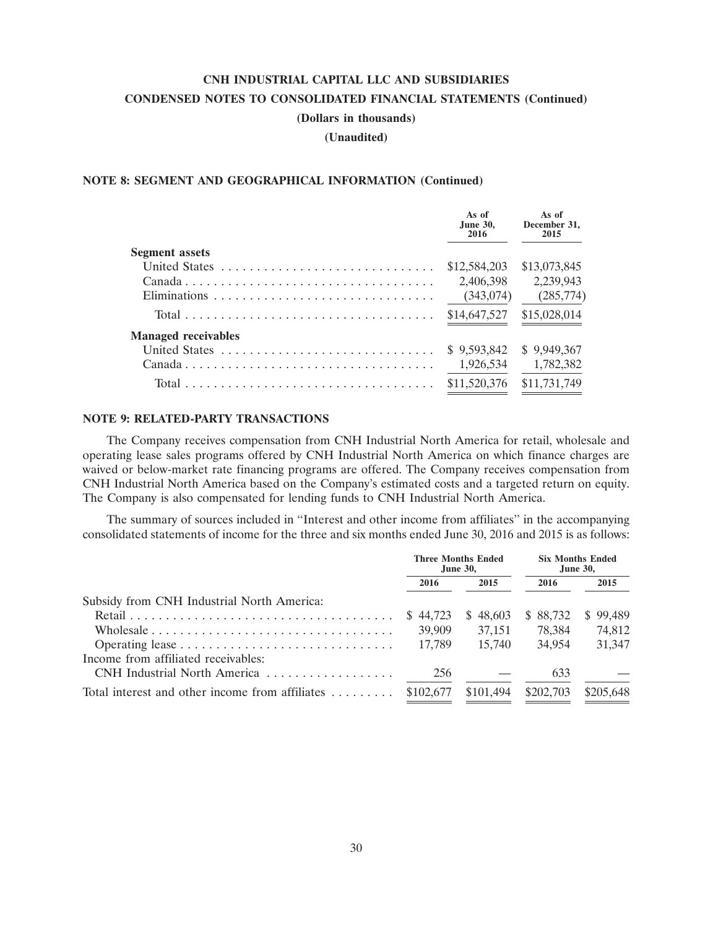**(Unaudited)**

#### **NOTE 8: SEGMENT AND GEOGRAPHICAL INFORMATION (Continued)**

|                                                                                        | As of<br><b>June 30,</b><br>2016 | As of<br>December 31,<br>2015 |
|----------------------------------------------------------------------------------------|----------------------------------|-------------------------------|
| <b>Segment assets</b>                                                                  |                                  |                               |
|                                                                                        | \$12,584,203                     | \$13,073,845                  |
|                                                                                        | 2,406,398                        | 2,239,943                     |
| $Eliminations \dots \dots \dots \dots \dots \dots \dots \dots \dots \dots \dots \dots$ | (343,074)                        | (285,774)                     |
|                                                                                        | \$14,647,527                     | \$15,028,014                  |
| <b>Managed receivables</b>                                                             |                                  |                               |
|                                                                                        | \$9,593,842                      | \$9,949,367                   |
|                                                                                        | 1,926,534                        | 1,782,382                     |
|                                                                                        | \$11,520,376                     | \$11,731,749                  |

#### **NOTE 9: RELATED-PARTY TRANSACTIONS**

The Company receives compensation from CNH Industrial North America for retail, wholesale and operating lease sales programs offered by CNH Industrial North America on which finance charges are waived or below-market rate financing programs are offered. The Company receives compensation from CNH Industrial North America based on the Company's estimated costs and a targeted return on equity. The Company is also compensated for lending funds to CNH Industrial North America.

The summary of sources included in ''Interest and other income from affiliates'' in the accompanying consolidated statements of income for the three and six months ended June 30, 2016 and 2015 is as follows:

|                                                               | <b>Three Months Ended</b><br><b>June 30,</b> |           | <b>Six Months Ended</b><br>June 30, |           |
|---------------------------------------------------------------|----------------------------------------------|-----------|-------------------------------------|-----------|
|                                                               | 2016                                         | 2015      | 2016                                | 2015      |
| Subsidy from CNH Industrial North America:                    |                                              |           |                                     |           |
|                                                               | \$44,723                                     | \$48,603  | \$ 88,732                           | \$99,489  |
|                                                               | 39,909                                       | 37,151    | 78.384                              | 74,812    |
|                                                               | 17.789                                       | 15,740    | 34,954                              | 31,347    |
| Income from affiliated receivables:                           |                                              |           |                                     |           |
| CNH Industrial North America                                  | 256                                          |           | 633                                 |           |
| Total interest and other income from affiliates $\dots \dots$ | \$102,677                                    | \$101,494 | \$202,703                           | \$205,648 |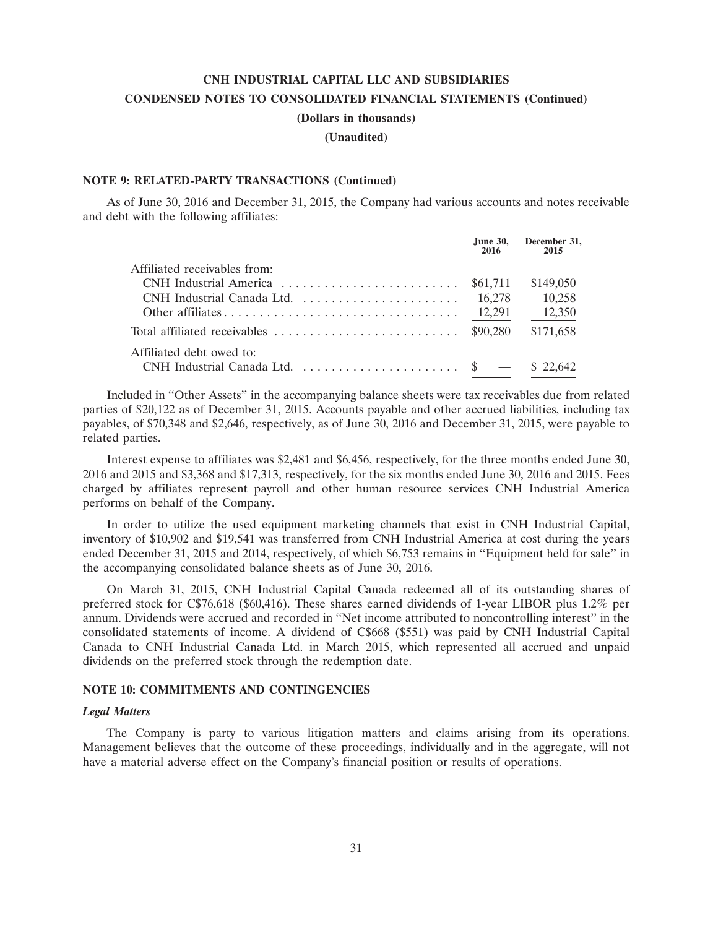**(Unaudited)**

#### **NOTE 9: RELATED-PARTY TRANSACTIONS (Continued)**

As of June 30, 2016 and December 31, 2015, the Company had various accounts and notes receivable and debt with the following affiliates:

|                                                                                                                         | <b>June 30,</b><br>2016 | December 31,<br>2015 |
|-------------------------------------------------------------------------------------------------------------------------|-------------------------|----------------------|
| Affiliated receivables from:                                                                                            |                         |                      |
|                                                                                                                         |                         | \$149,050            |
|                                                                                                                         | 16,278                  | 10,258               |
|                                                                                                                         | 12,291                  | 12,350               |
|                                                                                                                         |                         | \$171,658            |
| Affiliated debt owed to:<br>CNH Industrial Canada Ltd. $\ldots \ldots \ldots \ldots \ldots \ldots$ \$ $\ldots$ \$22,642 |                         |                      |

Included in ''Other Assets'' in the accompanying balance sheets were tax receivables due from related parties of \$20,122 as of December 31, 2015. Accounts payable and other accrued liabilities, including tax payables, of \$70,348 and \$2,646, respectively, as of June 30, 2016 and December 31, 2015, were payable to related parties.

Interest expense to affiliates was \$2,481 and \$6,456, respectively, for the three months ended June 30, 2016 and 2015 and \$3,368 and \$17,313, respectively, for the six months ended June 30, 2016 and 2015. Fees charged by affiliates represent payroll and other human resource services CNH Industrial America performs on behalf of the Company.

In order to utilize the used equipment marketing channels that exist in CNH Industrial Capital, inventory of \$10,902 and \$19,541 was transferred from CNH Industrial America at cost during the years ended December 31, 2015 and 2014, respectively, of which \$6,753 remains in ''Equipment held for sale'' in the accompanying consolidated balance sheets as of June 30, 2016.

On March 31, 2015, CNH Industrial Capital Canada redeemed all of its outstanding shares of preferred stock for C\$76,618 (\$60,416). These shares earned dividends of 1-year LIBOR plus 1.2% per annum. Dividends were accrued and recorded in ''Net income attributed to noncontrolling interest'' in the consolidated statements of income. A dividend of C\$668 (\$551) was paid by CNH Industrial Capital Canada to CNH Industrial Canada Ltd. in March 2015, which represented all accrued and unpaid dividends on the preferred stock through the redemption date.

#### **NOTE 10: COMMITMENTS AND CONTINGENCIES**

#### *Legal Matters*

The Company is party to various litigation matters and claims arising from its operations. Management believes that the outcome of these proceedings, individually and in the aggregate, will not have a material adverse effect on the Company's financial position or results of operations.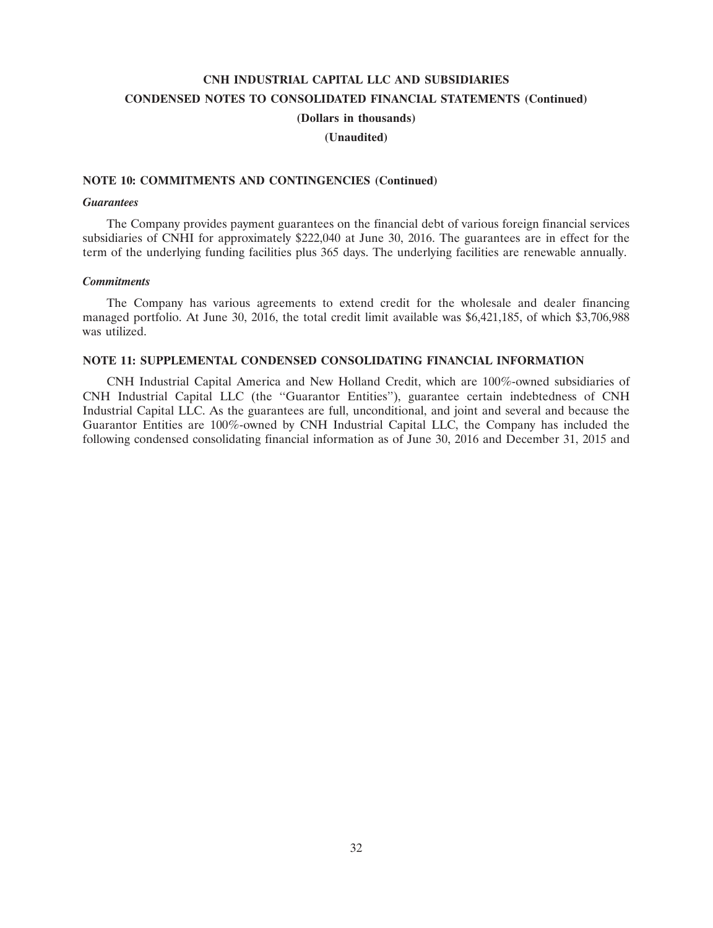#### **NOTE 10: COMMITMENTS AND CONTINGENCIES (Continued)**

#### *Guarantees*

The Company provides payment guarantees on the financial debt of various foreign financial services subsidiaries of CNHI for approximately \$222,040 at June 30, 2016. The guarantees are in effect for the term of the underlying funding facilities plus 365 days. The underlying facilities are renewable annually.

#### *Commitments*

The Company has various agreements to extend credit for the wholesale and dealer financing managed portfolio. At June 30, 2016, the total credit limit available was \$6,421,185, of which \$3,706,988 was utilized.

#### **NOTE 11: SUPPLEMENTAL CONDENSED CONSOLIDATING FINANCIAL INFORMATION**

CNH Industrial Capital America and New Holland Credit, which are 100%-owned subsidiaries of CNH Industrial Capital LLC (the ''Guarantor Entities''), guarantee certain indebtedness of CNH Industrial Capital LLC. As the guarantees are full, unconditional, and joint and several and because the Guarantor Entities are 100%-owned by CNH Industrial Capital LLC, the Company has included the following condensed consolidating financial information as of June 30, 2016 and December 31, 2015 and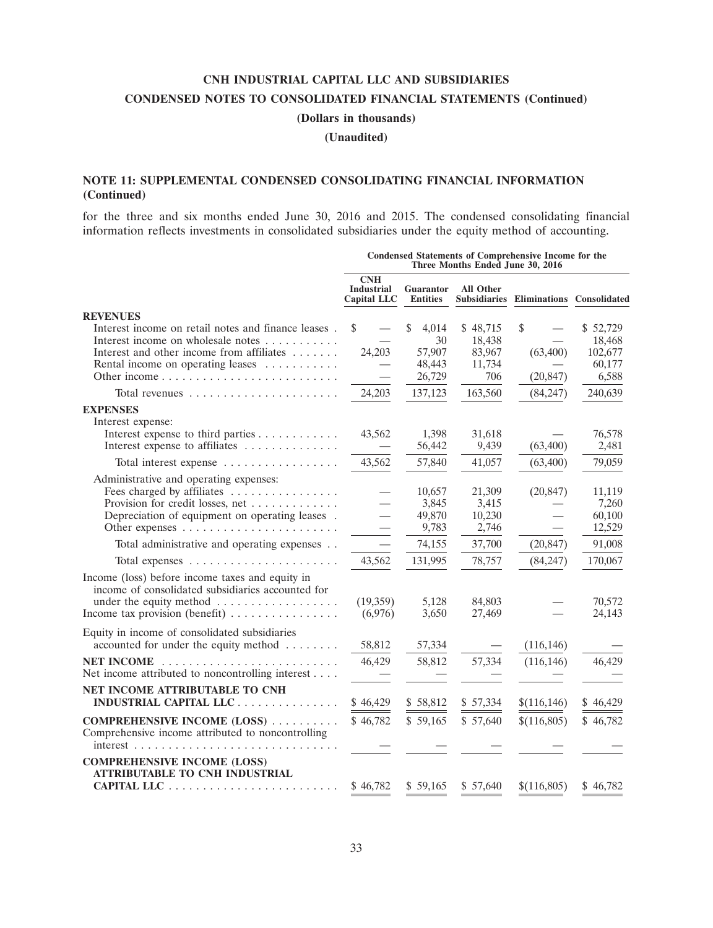### **NOTE 11: SUPPLEMENTAL CONDENSED CONSOLIDATING FINANCIAL INFORMATION (Continued)**

for the three and six months ended June 30, 2016 and 2015. The condensed consolidating financial information reflects investments in consolidated subsidiaries under the equity method of accounting.

|                                                                                                                                                                   | Condensed Statements of Comprehensive Income for the<br>Three Months Ended June 30, 2016 |                                     |                                    |                                        |                                     |
|-------------------------------------------------------------------------------------------------------------------------------------------------------------------|------------------------------------------------------------------------------------------|-------------------------------------|------------------------------------|----------------------------------------|-------------------------------------|
|                                                                                                                                                                   | <b>CNH</b><br><b>Industrial</b><br>Capital LLC                                           | <b>Guarantor</b><br><b>Entities</b> | All Other                          | Subsidiaries Eliminations Consolidated |                                     |
| <b>REVENUES</b>                                                                                                                                                   |                                                                                          |                                     |                                    |                                        |                                     |
| Interest income on retail notes and finance leases.<br>Interest income on wholesale notes                                                                         | \$                                                                                       | \$<br>4,014<br>30                   | \$48,715<br>18,438                 | \$                                     | \$52,729<br>18,468                  |
| Interest and other income from affiliates<br>Rental income on operating leases                                                                                    | 24,203                                                                                   | 57,907<br>48,443<br>26,729          | 83,967<br>11,734<br>706            | (63,400)<br>(20, 847)                  | 102,677<br>60,177<br>6,588          |
|                                                                                                                                                                   | 24,203                                                                                   | 137,123                             | 163,560                            | (84,247)                               | 240,639                             |
| <b>EXPENSES</b><br>Interest expense:<br>Interest expense to third parties                                                                                         | 43,562                                                                                   | 1,398                               | 31,618                             |                                        | 76,578                              |
| Interest expense to affiliates                                                                                                                                    |                                                                                          | 56,442                              | 9,439                              | (63,400)                               | 2,481                               |
| Total interest expense                                                                                                                                            | 43,562                                                                                   | 57,840                              | 41,057                             | (63,400)                               | 79,059                              |
| Administrative and operating expenses:<br>Fees charged by affiliates<br>Provision for credit losses, net<br>Depreciation of equipment on operating leases.        |                                                                                          | 10,657<br>3,845<br>49,870<br>9,783  | 21,309<br>3,415<br>10,230<br>2,746 | (20, 847)                              | 11,119<br>7,260<br>60,100<br>12,529 |
| Total administrative and operating expenses                                                                                                                       |                                                                                          | 74,155                              | 37,700                             | (20, 847)                              | 91,008                              |
|                                                                                                                                                                   | 43.562                                                                                   | 131,995                             | 78,757                             | (84,247)                               | 170,067                             |
| Income (loss) before income taxes and equity in<br>income of consolidated subsidiaries accounted for<br>under the equity method<br>Income tax provision (benefit) | (19,359)<br>(6,976)                                                                      | 5,128<br>3,650                      | 84,803<br>27,469                   |                                        | 70,572<br>24,143                    |
| Equity in income of consolidated subsidiaries<br>accounted for under the equity method                                                                            | 58,812                                                                                   | 57,334                              |                                    | (116, 146)                             |                                     |
| NET INCOME<br>Net income attributed to noncontrolling interest                                                                                                    | 46,429                                                                                   | 58,812<br>$\overline{\phantom{m}}$  | 57,334<br>Ξ                        | (116, 146)                             | 46,429                              |
| NET INCOME ATTRIBUTABLE TO CNH<br>INDUSTRIAL CAPITAL LLC                                                                                                          | \$46,429                                                                                 | \$58,812                            | \$57,334                           | \$(116, 146)                           | \$46,429                            |
| <b>COMPREHENSIVE INCOME (LOSS) </b><br>Comprehensive income attributed to noncontrolling                                                                          | \$46,782                                                                                 | \$59,165                            | \$57,640                           | \$(116,805)                            | \$46,782                            |
| <b>COMPREHENSIVE INCOME (LOSS)</b><br><b>ATTRIBUTABLE TO CNH INDUSTRIAL</b>                                                                                       | \$46,782                                                                                 | \$59,165                            | \$57,640                           | \$(116,805)                            | \$46,782                            |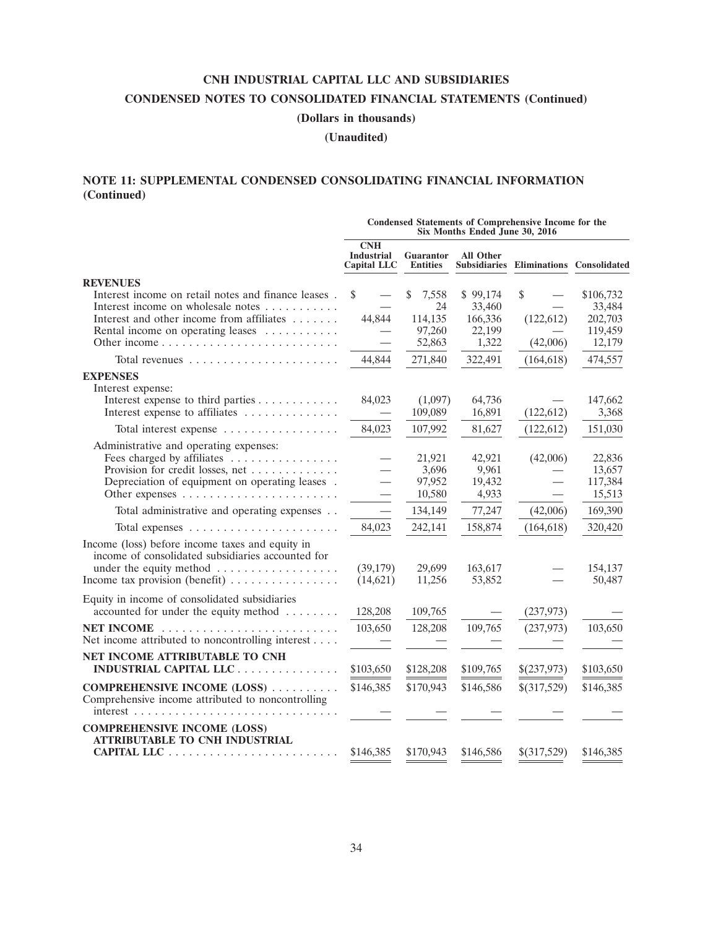**(Unaudited)**

|                                                                                                                                                                   | Condensed Statements of Comprehensive Income for the<br>Six Months Ended June 30, 2016 |                                     |                   |                                        |                   |  |  |
|-------------------------------------------------------------------------------------------------------------------------------------------------------------------|----------------------------------------------------------------------------------------|-------------------------------------|-------------------|----------------------------------------|-------------------|--|--|
|                                                                                                                                                                   | <b>CNH</b><br><b>Industrial</b><br>Capital LLC                                         | <b>Guarantor</b><br><b>Entities</b> | All Other         | Subsidiaries Eliminations Consolidated |                   |  |  |
| <b>REVENUES</b>                                                                                                                                                   |                                                                                        |                                     |                   |                                        |                   |  |  |
| Interest income on retail notes and finance leases.                                                                                                               | S                                                                                      | \$<br>7,558                         | \$99,174          | \$                                     | \$106,732         |  |  |
| Interest income on wholesale notes                                                                                                                                |                                                                                        | 24                                  | 33,460            |                                        | 33,484            |  |  |
| Interest and other income from affiliates                                                                                                                         | 44.844                                                                                 | 114,135                             | 166,336           | (122, 612)                             | 202,703           |  |  |
| Rental income on operating leases                                                                                                                                 |                                                                                        | 97,260                              | 22,199            |                                        | 119,459           |  |  |
|                                                                                                                                                                   |                                                                                        | 52,863                              | 1,322             | (42,006)                               | 12,179            |  |  |
| Total revenues $\ldots \ldots \ldots \ldots \ldots \ldots$                                                                                                        | 44,844                                                                                 | 271,840                             | 322,491           | (164, 618)                             | 474,557           |  |  |
| <b>EXPENSES</b><br>Interest expense:                                                                                                                              |                                                                                        |                                     |                   |                                        |                   |  |  |
| Interest expense to third parties                                                                                                                                 | 84,023                                                                                 | (1,097)                             | 64,736            |                                        | 147,662           |  |  |
| Interest expense to affiliates                                                                                                                                    |                                                                                        | 109,089                             | 16,891            | (122, 612)                             | 3,368             |  |  |
| Total interest expense                                                                                                                                            | 84,023                                                                                 | 107,992                             | 81,627            | (122, 612)                             | 151,030           |  |  |
| Administrative and operating expenses:                                                                                                                            |                                                                                        |                                     |                   |                                        |                   |  |  |
| Fees charged by affiliates                                                                                                                                        |                                                                                        | 21,921                              | 42,921            | (42,006)                               | 22,836            |  |  |
| Provision for credit losses, net                                                                                                                                  |                                                                                        | 3,696                               | 9,961             |                                        | 13,657            |  |  |
| Depreciation of equipment on operating leases.                                                                                                                    |                                                                                        | 97,952                              | 19,432            |                                        | 117,384           |  |  |
|                                                                                                                                                                   |                                                                                        | 10,580                              | 4,933             |                                        | 15,513            |  |  |
| Total administrative and operating expenses                                                                                                                       | $\overline{\phantom{0}}$                                                               | 134,149                             | 77,247            | (42,006)                               | 169,390           |  |  |
|                                                                                                                                                                   | 84,023                                                                                 | 242,141                             | 158,874           | (164, 618)                             | 320,420           |  |  |
| Income (loss) before income taxes and equity in<br>income of consolidated subsidiaries accounted for<br>under the equity method<br>Income tax provision (benefit) | (39,179)<br>(14,621)                                                                   | 29,699<br>11,256                    | 163,617<br>53,852 |                                        | 154,137<br>50,487 |  |  |
| Equity in income of consolidated subsidiaries                                                                                                                     |                                                                                        |                                     |                   |                                        |                   |  |  |
| accounted for under the equity method                                                                                                                             | 128,208                                                                                | 109,765                             |                   | (237, 973)                             |                   |  |  |
| NET INCOME                                                                                                                                                        | 103,650                                                                                | 128,208                             | 109,765           | (237,973)                              | 103,650           |  |  |
| Net income attributed to noncontrolling interest                                                                                                                  |                                                                                        |                                     |                   |                                        |                   |  |  |
| NET INCOME ATTRIBUTABLE TO CNH<br>INDUSTRIAL CAPITAL LLC                                                                                                          | \$103,650                                                                              | \$128,208                           | \$109,765         | \$(237,973)                            | \$103,650         |  |  |
| COMPREHENSIVE INCOME (LOSS)                                                                                                                                       | \$146,385                                                                              | \$170,943                           | \$146,586         | \$(317,529)                            | \$146,385         |  |  |
| Comprehensive income attributed to noncontrolling                                                                                                                 |                                                                                        |                                     |                   |                                        |                   |  |  |
| <b>COMPREHENSIVE INCOME (LOSS)</b><br><b>ATTRIBUTABLE TO CNH INDUSTRIAL</b>                                                                                       |                                                                                        |                                     |                   |                                        |                   |  |  |
|                                                                                                                                                                   | \$146,385                                                                              | \$170,943                           | \$146,586         | \$(317,529)                            | \$146,385         |  |  |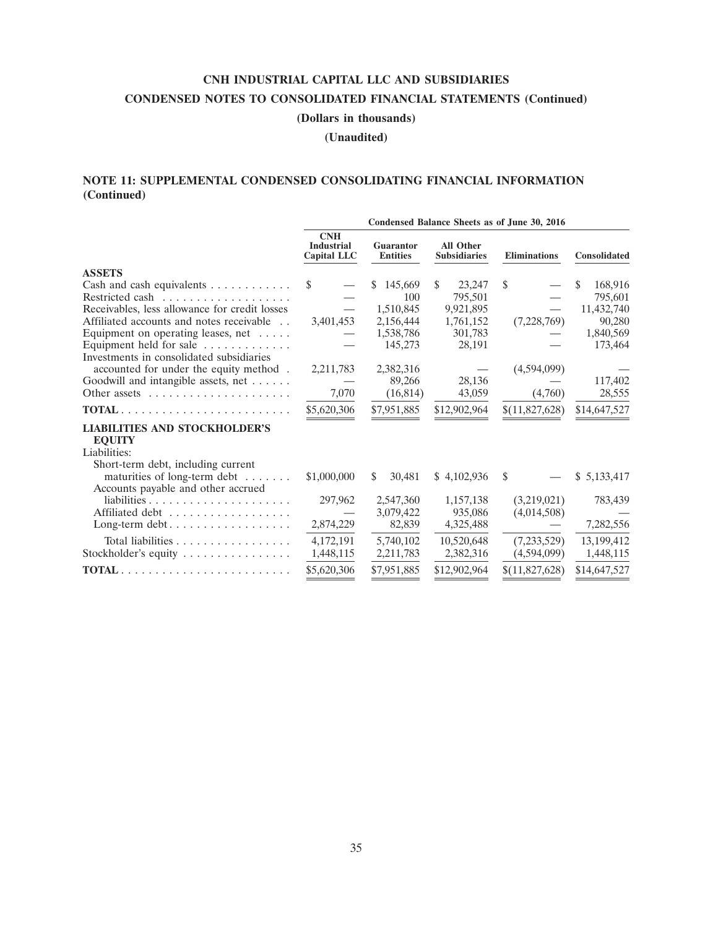|                                                                    | Condensed Balance Sheets as of June 30, 2016   |                                     |                                         |                     |                     |  |  |  |
|--------------------------------------------------------------------|------------------------------------------------|-------------------------------------|-----------------------------------------|---------------------|---------------------|--|--|--|
|                                                                    | <b>CNH</b><br><b>Industrial</b><br>Capital LLC | <b>Guarantor</b><br><b>Entities</b> | <b>All Other</b><br><b>Subsidiaries</b> | <b>Eliminations</b> | <b>Consolidated</b> |  |  |  |
| <b>ASSETS</b>                                                      |                                                |                                     |                                         |                     |                     |  |  |  |
| Cash and cash equivalents $\dots \dots \dots$                      | \$.                                            | 145,669<br>\$.                      | \$<br>23,247                            | \$                  | \$<br>168,916       |  |  |  |
|                                                                    |                                                | 100                                 | 795,501                                 |                     | 795,601             |  |  |  |
| Receivables, less allowance for credit losses                      |                                                | 1,510,845                           | 9,921,895                               |                     | 11,432,740          |  |  |  |
| Affiliated accounts and notes receivable                           | 3,401,453                                      | 2,156,444                           | 1,761,152                               | (7,228,769)         | 90,280              |  |  |  |
| Equipment on operating leases, net $\dots$                         |                                                | 1,538,786                           | 301,783                                 |                     | 1,840,569           |  |  |  |
| Equipment held for sale $\dots \dots \dots$                        |                                                | 145,273                             | 28,191                                  |                     | 173,464             |  |  |  |
| Investments in consolidated subsidiaries                           |                                                |                                     |                                         |                     |                     |  |  |  |
| accounted for under the equity method.                             | 2,211,783                                      | 2,382,316                           |                                         | (4,594,099)         |                     |  |  |  |
| Goodwill and intangible assets, net                                |                                                | 89,266                              | 28.136                                  |                     | 117,402             |  |  |  |
|                                                                    | 7,070                                          | (16, 814)                           | 43,059                                  | (4,760)             | 28,555              |  |  |  |
|                                                                    | \$5,620,306                                    | \$7,951,885                         | \$12,902,964                            | \$(11,827,628)      | \$14,647,527        |  |  |  |
| <b>LIABILITIES AND STOCKHOLDER'S</b><br><b>EQUITY</b>              |                                                |                                     |                                         |                     |                     |  |  |  |
| Liabilities:                                                       |                                                |                                     |                                         |                     |                     |  |  |  |
| Short-term debt, including current                                 |                                                | \$                                  |                                         | <sup>\$</sup>       |                     |  |  |  |
| maturities of long-term debt<br>Accounts payable and other accrued | \$1,000,000                                    | 30,481                              | \$4,102,936                             |                     | \$5,133,417         |  |  |  |
| liabilities                                                        | 297,962                                        | 2,547,360                           | 1,157,138                               | (3,219,021)         | 783,439             |  |  |  |
| Affiliated debt                                                    |                                                | 3,079,422                           | 935,086                                 | (4,014,508)         |                     |  |  |  |
| Long-term $debt \ldots \ldots \ldots \ldots \ldots$                | 2,874,229                                      | 82,839                              | 4,325,488                               |                     | 7,282,556           |  |  |  |
| Total liabilities                                                  | 4,172,191                                      | 5,740,102                           | 10,520,648                              | (7,233,529)         | 13,199,412          |  |  |  |
| Stockholder's equity $\dots \dots \dots \dots$                     | 1,448,115                                      | 2,211,783                           | 2,382,316                               | (4,594,099)         | 1,448,115           |  |  |  |
|                                                                    | \$5,620,306                                    | \$7,951,885                         | \$12,902,964                            | \$(11,827,628)      | \$14,647,527        |  |  |  |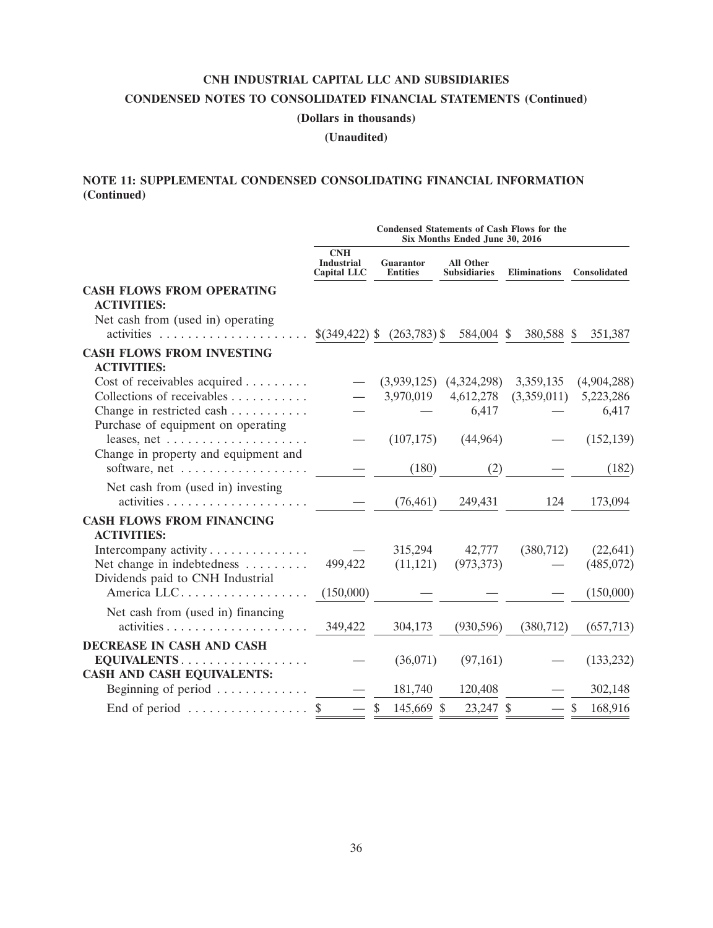| <b>CNH</b><br><b>Industrial</b><br><b>Guarantor</b><br>All Other<br><b>Subsidiaries</b><br>Consolidated<br><b>Capital LLC</b><br><b>Entities</b><br><b>Eliminations</b><br><b>ACTIVITIES:</b><br>Net cash from (used in) operating<br>$$(349,422)$ \$ $(263,783)$ \$ 584,004 \$<br>351,387<br>380,588 \$<br><b>ACTIVITIES:</b><br>Cost of receivables acquired<br>$(3,939,125)$ $(4,324,298)$ $3,359,135$ $(4,904,288)$<br>Collections of receivables<br>$(3,359,011)$ $5,223,286$<br>3,970,019 4,612,278<br>Change in restricted cash<br>6,417<br>6,417<br>Purchase of equipment on operating<br>leases, net $\dots\dots\dots\dots\dots\dots\dots\dots$<br>$(107,175)$ $(44,964)$<br>(152, 139)<br>Change in property and equipment and<br>(2)<br>(180)<br>(182)<br>Net cash from (used in) investing<br>124<br>(76, 461)<br>249,431<br>173,094<br><b>ACTIVITIES:</b><br>315,294 42,777 (380,712)<br>Intercompany activity<br>(22, 641)<br>Net change in indebtedness<br>499,422<br>(11, 121)<br>(973, 373)<br>(485,072)<br>Dividends paid to CNH Industrial<br>America LLC<br>(150,000)<br>(150,000)<br>Net cash from (used in) financing<br>349,422<br>(930, 596)<br>(380, 712)<br>304,173<br>(657, 713)<br>EQUIVALENTS<br>(36,071)<br>(97,161)<br>(133, 232)<br>CASH AND CASH EQUIVALENTS:<br>Beginning of period<br>181,740 120,408<br>302,148<br>$-$ \$<br>145,669 \$<br>23,247 \$<br>$-$ \$<br>168,916<br>End of period $\dots \dots \dots \dots \dots$ |                                  | <b>Condensed Statements of Cash Flows for the</b><br>Six Months Ended June 30, 2016 |  |  |  |  |  |  |
|----------------------------------------------------------------------------------------------------------------------------------------------------------------------------------------------------------------------------------------------------------------------------------------------------------------------------------------------------------------------------------------------------------------------------------------------------------------------------------------------------------------------------------------------------------------------------------------------------------------------------------------------------------------------------------------------------------------------------------------------------------------------------------------------------------------------------------------------------------------------------------------------------------------------------------------------------------------------------------------------------------------------------------------------------------------------------------------------------------------------------------------------------------------------------------------------------------------------------------------------------------------------------------------------------------------------------------------------------------------------------------------------------------------------------------------------------------------|----------------------------------|-------------------------------------------------------------------------------------|--|--|--|--|--|--|
|                                                                                                                                                                                                                                                                                                                                                                                                                                                                                                                                                                                                                                                                                                                                                                                                                                                                                                                                                                                                                                                                                                                                                                                                                                                                                                                                                                                                                                                                |                                  |                                                                                     |  |  |  |  |  |  |
|                                                                                                                                                                                                                                                                                                                                                                                                                                                                                                                                                                                                                                                                                                                                                                                                                                                                                                                                                                                                                                                                                                                                                                                                                                                                                                                                                                                                                                                                | <b>CASH FLOWS FROM OPERATING</b> |                                                                                     |  |  |  |  |  |  |
|                                                                                                                                                                                                                                                                                                                                                                                                                                                                                                                                                                                                                                                                                                                                                                                                                                                                                                                                                                                                                                                                                                                                                                                                                                                                                                                                                                                                                                                                |                                  |                                                                                     |  |  |  |  |  |  |
|                                                                                                                                                                                                                                                                                                                                                                                                                                                                                                                                                                                                                                                                                                                                                                                                                                                                                                                                                                                                                                                                                                                                                                                                                                                                                                                                                                                                                                                                | <b>CASH FLOWS FROM INVESTING</b> |                                                                                     |  |  |  |  |  |  |
|                                                                                                                                                                                                                                                                                                                                                                                                                                                                                                                                                                                                                                                                                                                                                                                                                                                                                                                                                                                                                                                                                                                                                                                                                                                                                                                                                                                                                                                                |                                  |                                                                                     |  |  |  |  |  |  |
|                                                                                                                                                                                                                                                                                                                                                                                                                                                                                                                                                                                                                                                                                                                                                                                                                                                                                                                                                                                                                                                                                                                                                                                                                                                                                                                                                                                                                                                                |                                  |                                                                                     |  |  |  |  |  |  |
|                                                                                                                                                                                                                                                                                                                                                                                                                                                                                                                                                                                                                                                                                                                                                                                                                                                                                                                                                                                                                                                                                                                                                                                                                                                                                                                                                                                                                                                                |                                  |                                                                                     |  |  |  |  |  |  |
|                                                                                                                                                                                                                                                                                                                                                                                                                                                                                                                                                                                                                                                                                                                                                                                                                                                                                                                                                                                                                                                                                                                                                                                                                                                                                                                                                                                                                                                                |                                  |                                                                                     |  |  |  |  |  |  |
|                                                                                                                                                                                                                                                                                                                                                                                                                                                                                                                                                                                                                                                                                                                                                                                                                                                                                                                                                                                                                                                                                                                                                                                                                                                                                                                                                                                                                                                                |                                  |                                                                                     |  |  |  |  |  |  |
|                                                                                                                                                                                                                                                                                                                                                                                                                                                                                                                                                                                                                                                                                                                                                                                                                                                                                                                                                                                                                                                                                                                                                                                                                                                                                                                                                                                                                                                                |                                  |                                                                                     |  |  |  |  |  |  |
|                                                                                                                                                                                                                                                                                                                                                                                                                                                                                                                                                                                                                                                                                                                                                                                                                                                                                                                                                                                                                                                                                                                                                                                                                                                                                                                                                                                                                                                                | <b>CASH FLOWS FROM FINANCING</b> |                                                                                     |  |  |  |  |  |  |
|                                                                                                                                                                                                                                                                                                                                                                                                                                                                                                                                                                                                                                                                                                                                                                                                                                                                                                                                                                                                                                                                                                                                                                                                                                                                                                                                                                                                                                                                |                                  |                                                                                     |  |  |  |  |  |  |
|                                                                                                                                                                                                                                                                                                                                                                                                                                                                                                                                                                                                                                                                                                                                                                                                                                                                                                                                                                                                                                                                                                                                                                                                                                                                                                                                                                                                                                                                |                                  |                                                                                     |  |  |  |  |  |  |
|                                                                                                                                                                                                                                                                                                                                                                                                                                                                                                                                                                                                                                                                                                                                                                                                                                                                                                                                                                                                                                                                                                                                                                                                                                                                                                                                                                                                                                                                |                                  |                                                                                     |  |  |  |  |  |  |
|                                                                                                                                                                                                                                                                                                                                                                                                                                                                                                                                                                                                                                                                                                                                                                                                                                                                                                                                                                                                                                                                                                                                                                                                                                                                                                                                                                                                                                                                |                                  |                                                                                     |  |  |  |  |  |  |
|                                                                                                                                                                                                                                                                                                                                                                                                                                                                                                                                                                                                                                                                                                                                                                                                                                                                                                                                                                                                                                                                                                                                                                                                                                                                                                                                                                                                                                                                | DECREASE IN CASH AND CASH        |                                                                                     |  |  |  |  |  |  |
|                                                                                                                                                                                                                                                                                                                                                                                                                                                                                                                                                                                                                                                                                                                                                                                                                                                                                                                                                                                                                                                                                                                                                                                                                                                                                                                                                                                                                                                                |                                  |                                                                                     |  |  |  |  |  |  |
|                                                                                                                                                                                                                                                                                                                                                                                                                                                                                                                                                                                                                                                                                                                                                                                                                                                                                                                                                                                                                                                                                                                                                                                                                                                                                                                                                                                                                                                                |                                  |                                                                                     |  |  |  |  |  |  |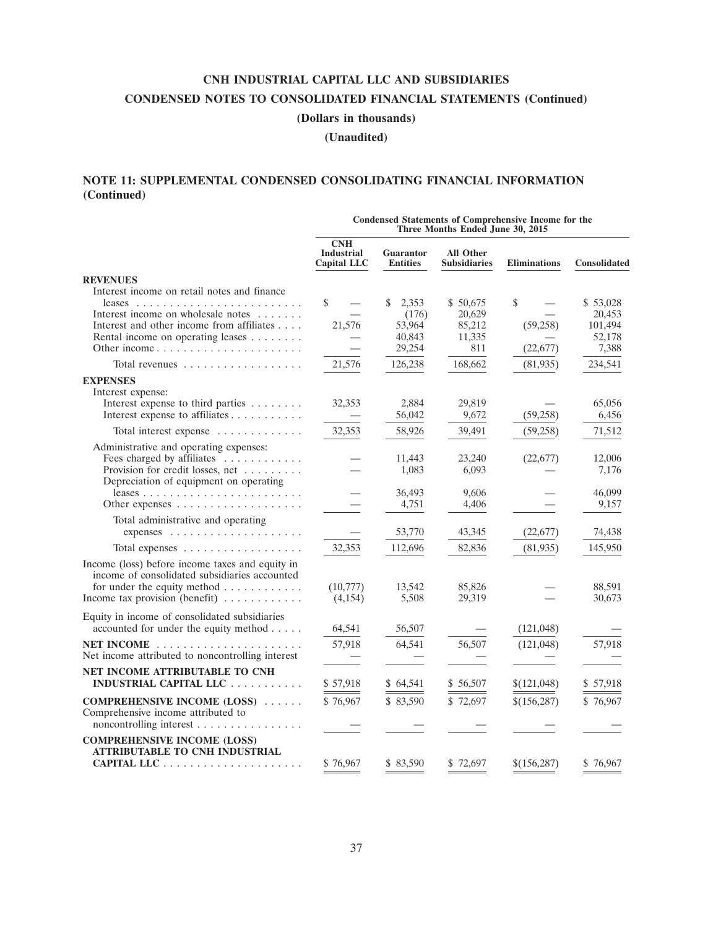#### **(Unaudited)**

|                                                                                                                                                                                       | Condensed Statements of Comprehensive Income for the<br>Three Months Ended June 30, 2015 |                                     |                                   |                       |                                      |  |
|---------------------------------------------------------------------------------------------------------------------------------------------------------------------------------------|------------------------------------------------------------------------------------------|-------------------------------------|-----------------------------------|-----------------------|--------------------------------------|--|
|                                                                                                                                                                                       | <b>CNH</b><br><b>Industrial</b><br>Capital LLC                                           | <b>Guarantor</b><br><b>Entities</b> | All Other<br><b>Subsidiaries</b>  | <b>Eliminations</b>   | <b>Consolidated</b>                  |  |
| <b>REVENUES</b>                                                                                                                                                                       |                                                                                          |                                     |                                   |                       |                                      |  |
| Interest income on retail notes and finance<br>leases $\ldots \ldots \ldots \ldots \ldots \ldots \ldots \ldots$                                                                       | \$                                                                                       | \$<br>2,353                         | \$50,675                          | \$                    | \$53,028                             |  |
| Interest income on wholesale notes<br>Interest and other income from affiliates<br>Rental income on operating leases                                                                  | 21,576                                                                                   | (176)<br>53,964<br>40,843<br>29,254 | 20,629<br>85,212<br>11,335<br>811 | (59,258)<br>(22, 677) | 20,453<br>101,494<br>52,178<br>7,388 |  |
| Total revenues $\ldots \ldots \ldots \ldots \ldots$                                                                                                                                   | 21,576                                                                                   | 126,238                             | 168,662                           | (81, 935)             | 234,541                              |  |
| <b>EXPENSES</b><br>Interest expense:<br>Interest expense to third parties                                                                                                             | 32,353                                                                                   | 2,884                               | 29,819                            |                       | 65,056                               |  |
| Interest expense to affiliates                                                                                                                                                        |                                                                                          | 56,042                              | 9,672                             | (59,258)              | 6,456                                |  |
| Total interest expense                                                                                                                                                                | 32,353                                                                                   | 58,926                              | 39,491                            | (59,258)              | 71,512                               |  |
| Administrative and operating expenses:<br>Fees charged by affiliates<br>Provision for credit losses, net<br>Depreciation of equipment on operating                                    |                                                                                          | 11,443<br>1,083                     | 23,240<br>6,093                   | (22,677)              | 12,006<br>7,176                      |  |
| Other expenses $\dots \dots \dots \dots \dots \dots$                                                                                                                                  |                                                                                          | 36,493<br>4,751                     | 9,606<br>4,406                    |                       | 46,099<br>9,157                      |  |
| Total administrative and operating<br>$express \dots \dots \dots \dots \dots \dots \dots \dots$                                                                                       | 32,353                                                                                   | 53,770                              | 43,345                            | (22,677)              | 74,438                               |  |
| Total expenses                                                                                                                                                                        |                                                                                          | 112,696                             | 82,836                            | (81, 935)             | 145,950                              |  |
| Income (loss) before income taxes and equity in<br>income of consolidated subsidiaries accounted<br>for under the equity method $\dots \dots \dots$<br>Income tax provision (benefit) | (10,777)<br>(4,154)                                                                      | 13,542<br>5,508                     | 85,826<br>29,319                  |                       | 88,591<br>30,673                     |  |
| Equity in income of consolidated subsidiaries<br>accounted for under the equity method                                                                                                | 64,541                                                                                   | 56,507                              |                                   | (121, 048)            |                                      |  |
| NET INCOME<br>Net income attributed to noncontrolling interest                                                                                                                        | 57,918                                                                                   | 64,541                              | 56,507                            | (121, 048)            | 57,918                               |  |
| NET INCOME ATTRIBUTABLE TO CNH<br>INDUSTRIAL CAPITAL LLC                                                                                                                              | \$57,918                                                                                 | \$64,541                            | \$56,507                          | \$(121,048)           | \$57,918                             |  |
| <b>COMPREHENSIVE INCOME (LOSS) </b><br>Comprehensive income attributed to<br>noncontrolling interest                                                                                  | \$76,967                                                                                 | \$83,590                            | \$72,697                          | \$(156,287)           | \$76,967                             |  |
| <b>COMPREHENSIVE INCOME (LOSS)</b><br><b>ATTRIBUTABLE TO CNH INDUSTRIAL</b>                                                                                                           | \$76,967                                                                                 | \$ 83,590                           | \$72,697                          | \$(156,287)           | \$76,967                             |  |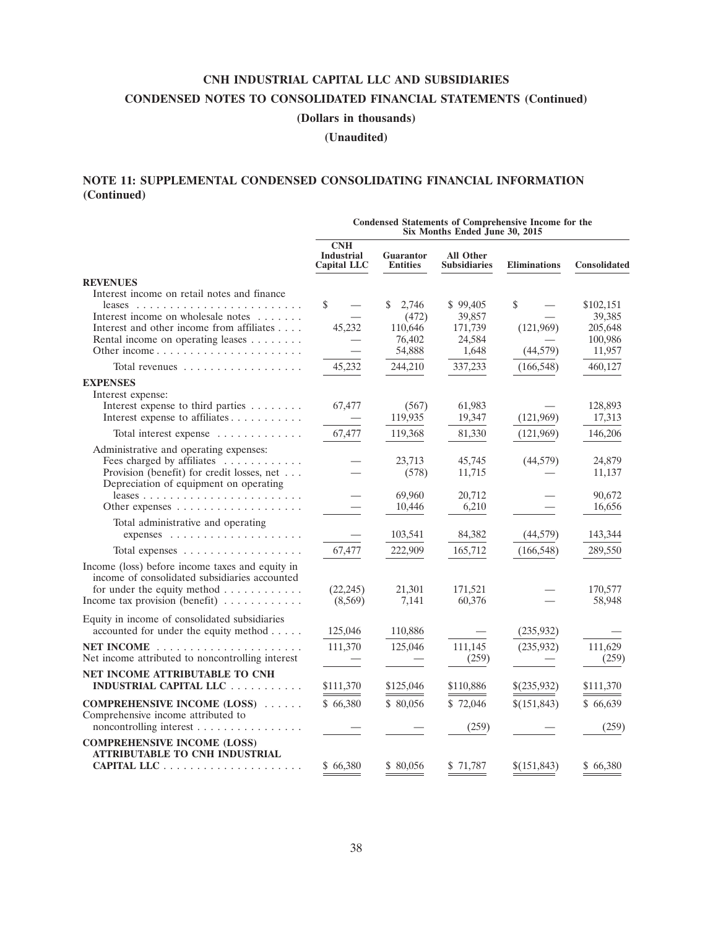#### **(Unaudited)**

|                                                                                                                                                                   | <b>Condensed Statements of Comprehensive Income for the</b><br>Six Months Ended June 30, 2015 |                                     |                                  |                     |                              |  |  |
|-------------------------------------------------------------------------------------------------------------------------------------------------------------------|-----------------------------------------------------------------------------------------------|-------------------------------------|----------------------------------|---------------------|------------------------------|--|--|
|                                                                                                                                                                   | <b>CNH</b><br><b>Industrial</b><br>Capital LLC                                                | <b>Guarantor</b><br><b>Entities</b> | All Other<br><b>Subsidiaries</b> | <b>Eliminations</b> | <b>Consolidated</b>          |  |  |
| <b>REVENUES</b>                                                                                                                                                   |                                                                                               |                                     |                                  |                     |                              |  |  |
| Interest income on retail notes and finance                                                                                                                       | \$                                                                                            | \$<br>2,746                         | \$99,405                         | \$                  | \$102,151                    |  |  |
| Interest income on wholesale notes<br>Interest and other income from affiliates<br>Rental income on operating leases                                              | 45,232                                                                                        | (472)<br>110,646<br>76,402          | 39,857<br>171,739<br>24,584      | (121,969)           | 39,385<br>205,648<br>100,986 |  |  |
|                                                                                                                                                                   |                                                                                               | 54,888                              | 1,648                            | (44, 579)           | 11,957                       |  |  |
| Total revenues $\ldots \ldots \ldots \ldots \ldots$                                                                                                               | 45,232                                                                                        | 244,210                             | 337,233                          | (166, 548)          | 460,127                      |  |  |
| <b>EXPENSES</b><br>Interest expense:                                                                                                                              |                                                                                               |                                     |                                  |                     |                              |  |  |
| Interest expense to third parties<br>Interest expense to affiliates                                                                                               | 67,477                                                                                        | (567)<br>119,935                    | 61,983<br>19,347                 | (121,969)           | 128,893<br>17,313            |  |  |
| Total interest expense $\ldots \ldots \ldots \ldots$                                                                                                              | 67,477                                                                                        | 119,368                             | 81,330                           | (121,969)           | 146,206                      |  |  |
| Administrative and operating expenses:<br>Fees charged by affiliates<br>Provision (benefit) for credit losses, net<br>Depreciation of equipment on operating      |                                                                                               | 23,713<br>(578)                     | 45,745<br>11,715                 | (44, 579)           | 24,879<br>11,137             |  |  |
|                                                                                                                                                                   |                                                                                               | 69,960<br>10,446                    | 20,712<br>6,210                  |                     | 90,672<br>16,656             |  |  |
| Total administrative and operating<br>$express \dots \dots \dots \dots \dots \dots \dots \dots$                                                                   |                                                                                               | 103,541                             | 84,382                           | (44, 579)           | 143,344                      |  |  |
| Total expenses                                                                                                                                                    | 67,477                                                                                        | 222,909                             | 165,712                          | (166, 548)          | 289,550                      |  |  |
| Income (loss) before income taxes and equity in<br>income of consolidated subsidiaries accounted<br>for under the equity method<br>Income tax provision (benefit) | (22, 245)<br>(8,569)                                                                          | 21,301<br>7,141                     | 171,521<br>60,376                |                     | 170,577<br>58,948            |  |  |
| Equity in income of consolidated subsidiaries<br>accounted for under the equity method                                                                            | 125,046                                                                                       | 110,886                             |                                  | (235,932)           |                              |  |  |
| NET INCOME<br>Net income attributed to noncontrolling interest                                                                                                    | 111,370                                                                                       | 125,046                             | 111,145<br>(259)                 | (235, 932)          | 111,629<br>(259)             |  |  |
| NET INCOME ATTRIBUTABLE TO CNH<br>INDUSTRIAL CAPITAL LLC                                                                                                          | \$111,370                                                                                     | \$125,046                           | \$110,886                        | \$(235,932)         | \$111,370                    |  |  |
| <b>COMPREHENSIVE INCOME (LOSS) </b><br>Comprehensive income attributed to                                                                                         | \$66,380                                                                                      | \$80,056                            | \$72,046                         | \$(151,843)         | \$66,639                     |  |  |
| noncontrolling interest<br><b>COMPREHENSIVE INCOME (LOSS)</b><br><b>ATTRIBUTABLE TO CNH INDUSTRIAL</b>                                                            | \$66,380                                                                                      | \$ 80,056                           | (259)<br>\$71,787                | \$(151,843)         | (259)<br>\$66,380            |  |  |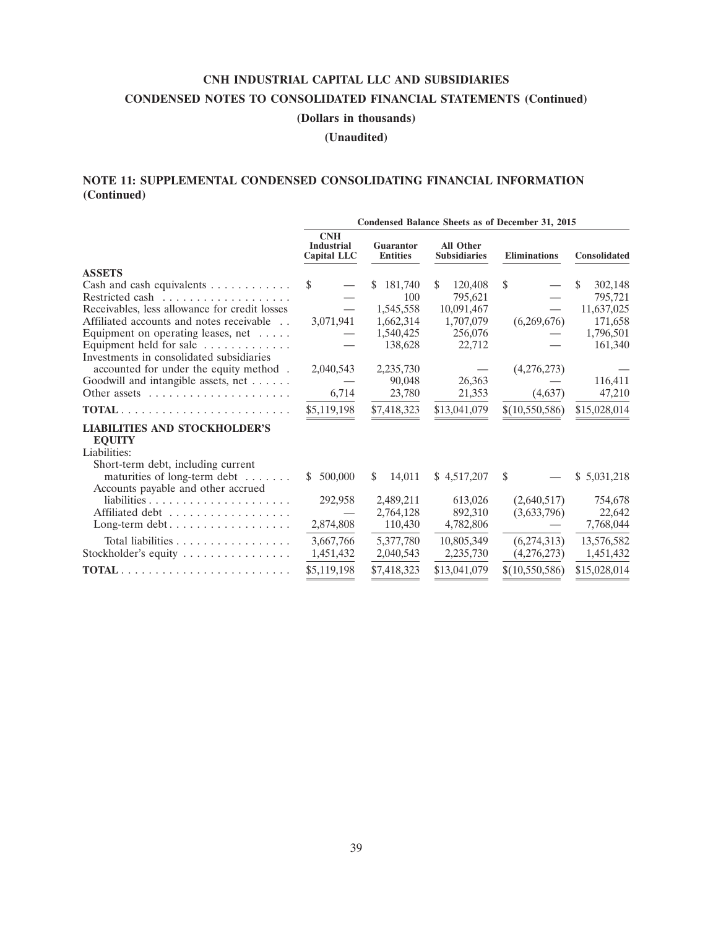| Condensed Balance Sheets as of December 31, 2015      |                                                                    |                                                            |                                                 |                                                                                      |  |  |
|-------------------------------------------------------|--------------------------------------------------------------------|------------------------------------------------------------|-------------------------------------------------|--------------------------------------------------------------------------------------|--|--|
| <b>CNH</b><br><b>Industrial</b><br><b>Capital LLC</b> | <b>Guarantor</b><br><b>Entities</b>                                | <b>All Other</b><br><b>Subsidiaries</b>                    | <b>Eliminations</b>                             | <b>Consolidated</b>                                                                  |  |  |
|                                                       |                                                                    |                                                            |                                                 |                                                                                      |  |  |
| \$.                                                   | 181,740<br>S                                                       | \$<br>120,408                                              | \$                                              | \$<br>302,148                                                                        |  |  |
|                                                       | 100                                                                | 795,621                                                    |                                                 | 795,721                                                                              |  |  |
|                                                       |                                                                    | 10,091,467                                                 |                                                 | 11,637,025                                                                           |  |  |
| 3,071,941                                             | 1,662,314                                                          | 1,707,079                                                  | (6,269,676)                                     | 171,658                                                                              |  |  |
|                                                       | 1,540,425                                                          | 256,076                                                    |                                                 | 1,796,501                                                                            |  |  |
|                                                       | 138,628                                                            | 22,712                                                     |                                                 | 161,340                                                                              |  |  |
|                                                       |                                                                    |                                                            |                                                 |                                                                                      |  |  |
| 2,040,543                                             | 2,235,730                                                          |                                                            | (4,276,273)                                     |                                                                                      |  |  |
|                                                       | 90,048                                                             | 26,363                                                     |                                                 | 116,411                                                                              |  |  |
|                                                       | 23,780                                                             | 21,353                                                     |                                                 | 47,210                                                                               |  |  |
| \$5,119,198                                           | \$7,418,323                                                        | \$13,041,079                                               | \$(10,550,586)                                  | \$15,028,014                                                                         |  |  |
|                                                       |                                                                    |                                                            |                                                 |                                                                                      |  |  |
|                                                       |                                                                    |                                                            |                                                 |                                                                                      |  |  |
|                                                       |                                                                    |                                                            |                                                 |                                                                                      |  |  |
|                                                       |                                                                    |                                                            |                                                 |                                                                                      |  |  |
| S.                                                    | \$                                                                 |                                                            |                                                 | \$5,031,218                                                                          |  |  |
|                                                       |                                                                    |                                                            |                                                 |                                                                                      |  |  |
|                                                       |                                                                    |                                                            |                                                 | 754,678                                                                              |  |  |
|                                                       |                                                                    |                                                            |                                                 | 22,642                                                                               |  |  |
|                                                       | 110,430                                                            | 4,782,806                                                  |                                                 | 7,768,044                                                                            |  |  |
|                                                       |                                                                    |                                                            |                                                 | 13,576,582                                                                           |  |  |
|                                                       | 2,040,543                                                          | 2,235,730                                                  |                                                 | 1,451,432                                                                            |  |  |
| \$5,119,198                                           | \$7,418,323                                                        | \$13,041,079                                               | \$(10,550,586)                                  | \$15,028,014                                                                         |  |  |
|                                                       | 6,714<br>500,000<br>292,958<br>2,874,808<br>3,667,766<br>1,451,432 | 1,545,558<br>14,011<br>2,489,211<br>2,764,128<br>5,377,780 | \$4,517,207<br>613,026<br>892,310<br>10,805,349 | (4,637)<br><sup>\$</sup><br>(2,640,517)<br>(3,633,796)<br>(6,274,313)<br>(4,276,273) |  |  |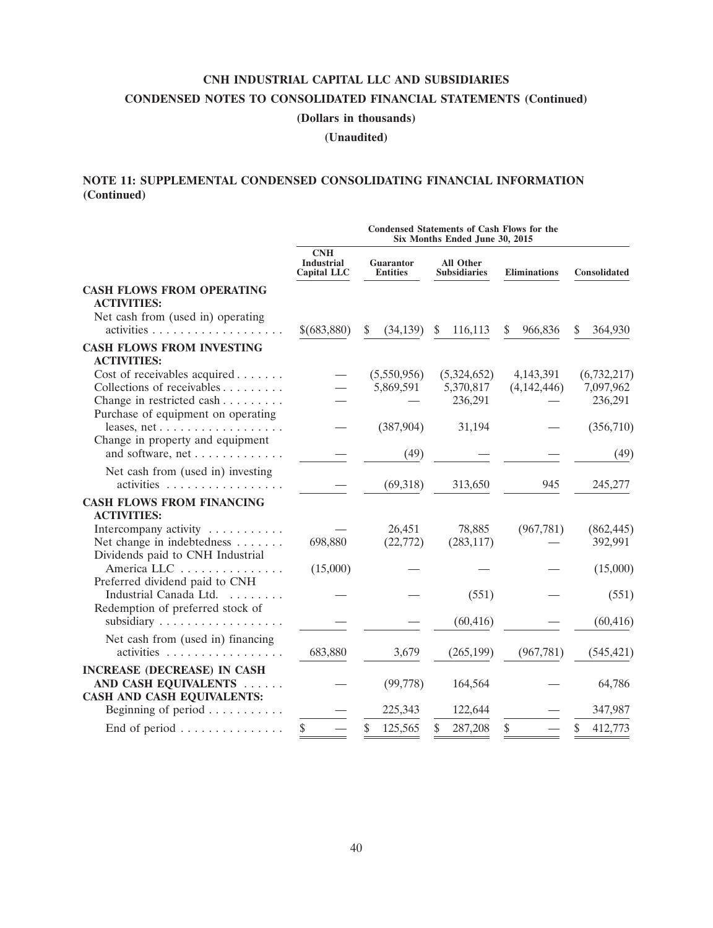|                                                                                          | <b>Condensed Statements of Cash Flows for the</b><br>Six Months Ended June 30, 2015 |                                     |                                  |                     |                         |  |  |  |
|------------------------------------------------------------------------------------------|-------------------------------------------------------------------------------------|-------------------------------------|----------------------------------|---------------------|-------------------------|--|--|--|
|                                                                                          | <b>CNH</b><br><b>Industrial</b><br><b>Capital LLC</b>                               | <b>Guarantor</b><br><b>Entities</b> | All Other<br><b>Subsidiaries</b> | <b>Eliminations</b> | <b>Consolidated</b>     |  |  |  |
| <b>CASH FLOWS FROM OPERATING</b><br><b>ACTIVITIES:</b>                                   |                                                                                     |                                     |                                  |                     |                         |  |  |  |
| Net cash from (used in) operating                                                        | \$(683,880)                                                                         | $\mathbb{S}$<br>(34, 139)           | \$<br>116,113                    | \$<br>966,836       | 364,930<br>$\mathbb{S}$ |  |  |  |
| <b>CASH FLOWS FROM INVESTING</b><br><b>ACTIVITIES:</b>                                   |                                                                                     |                                     |                                  |                     |                         |  |  |  |
| Cost of receivables acquired                                                             |                                                                                     | (5,550,956)                         | (5,324,652)                      | 4, 143, 391         | (6,732,217)             |  |  |  |
| Collections of receivables                                                               |                                                                                     | 5,869,591                           | 5,370,817                        | (4,142,446)         | 7,097,962               |  |  |  |
| Change in restricted cash<br>Purchase of equipment on operating                          |                                                                                     |                                     | 236,291                          |                     | 236,291                 |  |  |  |
| Change in property and equipment                                                         |                                                                                     | (387,904)                           | 31,194                           |                     | (356,710)               |  |  |  |
| and software, net                                                                        |                                                                                     | (49)                                |                                  |                     | (49)                    |  |  |  |
| Net cash from (used in) investing<br>activities                                          |                                                                                     | (69,318)                            | 313,650                          | 945                 | 245,277                 |  |  |  |
| <b>CASH FLOWS FROM FINANCING</b><br><b>ACTIVITIES:</b>                                   |                                                                                     |                                     |                                  |                     |                         |  |  |  |
| Intercompany activity                                                                    |                                                                                     | 26,451                              | 78,885                           | (967,781)           | (862, 445)              |  |  |  |
| Net change in indebtedness<br>Dividends paid to CNH Industrial                           | 698,880                                                                             | (22, 772)                           | (283, 117)                       |                     | 392,991                 |  |  |  |
| America LLC<br>Preferred dividend paid to CNH                                            | (15,000)                                                                            |                                     |                                  |                     | (15,000)                |  |  |  |
| Industrial Canada Ltd.<br>Redemption of preferred stock of                               |                                                                                     |                                     | (551)                            |                     | (551)                   |  |  |  |
|                                                                                          |                                                                                     |                                     | (60, 416)                        |                     | (60, 416)               |  |  |  |
| Net cash from (used in) financing<br>activities                                          | 683,880                                                                             | 3,679                               | (265, 199)                       | (967, 781)          | (545, 421)              |  |  |  |
|                                                                                          |                                                                                     |                                     |                                  |                     |                         |  |  |  |
| <b>INCREASE (DECREASE) IN CASH</b><br>AND CASH EQUIVALENTS<br>CASH AND CASH EQUIVALENTS: |                                                                                     | (99, 778)                           | 164,564                          |                     | 64,786                  |  |  |  |
| Beginning of period                                                                      |                                                                                     | 225,343                             | 122,644                          |                     | 347,987                 |  |  |  |
| End of period $\dots \dots \dots \dots$                                                  | $\mathbb{S}$                                                                        | \$<br>125,565                       | 287,208<br>\$                    | \$                  | \$<br>412,773           |  |  |  |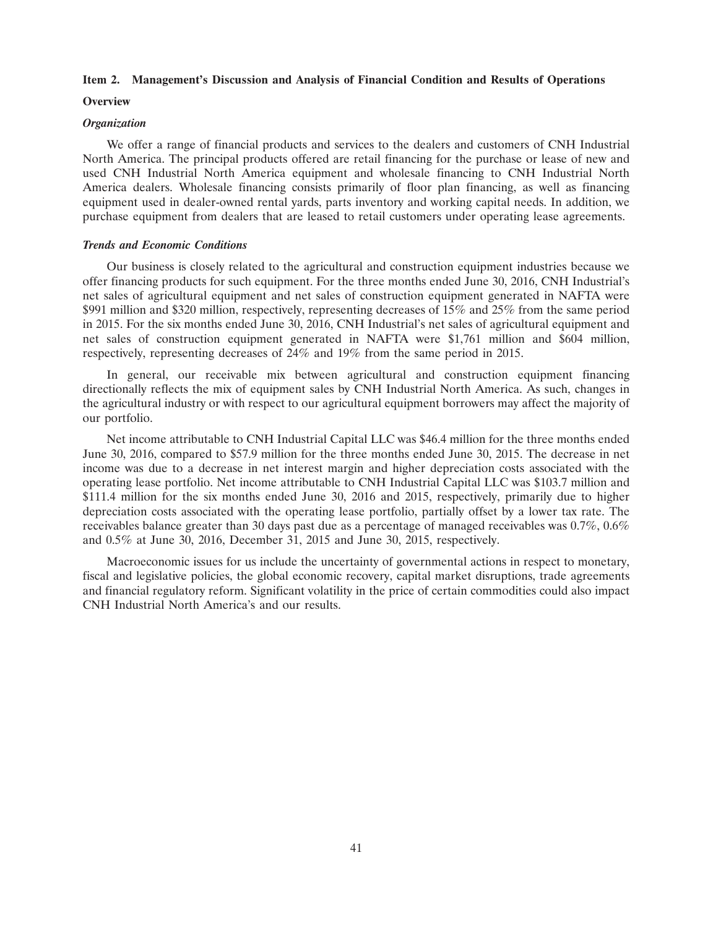#### **Item 2. Management's Discussion and Analysis of Financial Condition and Results of Operations**

#### **Overview**

#### *Organization*

We offer a range of financial products and services to the dealers and customers of CNH Industrial North America. The principal products offered are retail financing for the purchase or lease of new and used CNH Industrial North America equipment and wholesale financing to CNH Industrial North America dealers. Wholesale financing consists primarily of floor plan financing, as well as financing equipment used in dealer-owned rental yards, parts inventory and working capital needs. In addition, we purchase equipment from dealers that are leased to retail customers under operating lease agreements.

#### *Trends and Economic Conditions*

Our business is closely related to the agricultural and construction equipment industries because we offer financing products for such equipment. For the three months ended June 30, 2016, CNH Industrial's net sales of agricultural equipment and net sales of construction equipment generated in NAFTA were \$991 million and \$320 million, respectively, representing decreases of 15% and 25% from the same period in 2015. For the six months ended June 30, 2016, CNH Industrial's net sales of agricultural equipment and net sales of construction equipment generated in NAFTA were \$1,761 million and \$604 million, respectively, representing decreases of 24% and 19% from the same period in 2015.

In general, our receivable mix between agricultural and construction equipment financing directionally reflects the mix of equipment sales by CNH Industrial North America. As such, changes in the agricultural industry or with respect to our agricultural equipment borrowers may affect the majority of our portfolio.

Net income attributable to CNH Industrial Capital LLC was \$46.4 million for the three months ended June 30, 2016, compared to \$57.9 million for the three months ended June 30, 2015. The decrease in net income was due to a decrease in net interest margin and higher depreciation costs associated with the operating lease portfolio. Net income attributable to CNH Industrial Capital LLC was \$103.7 million and \$111.4 million for the six months ended June 30, 2016 and 2015, respectively, primarily due to higher depreciation costs associated with the operating lease portfolio, partially offset by a lower tax rate. The receivables balance greater than 30 days past due as a percentage of managed receivables was 0.7%, 0.6% and 0.5% at June 30, 2016, December 31, 2015 and June 30, 2015, respectively.

Macroeconomic issues for us include the uncertainty of governmental actions in respect to monetary, fiscal and legislative policies, the global economic recovery, capital market disruptions, trade agreements and financial regulatory reform. Significant volatility in the price of certain commodities could also impact CNH Industrial North America's and our results.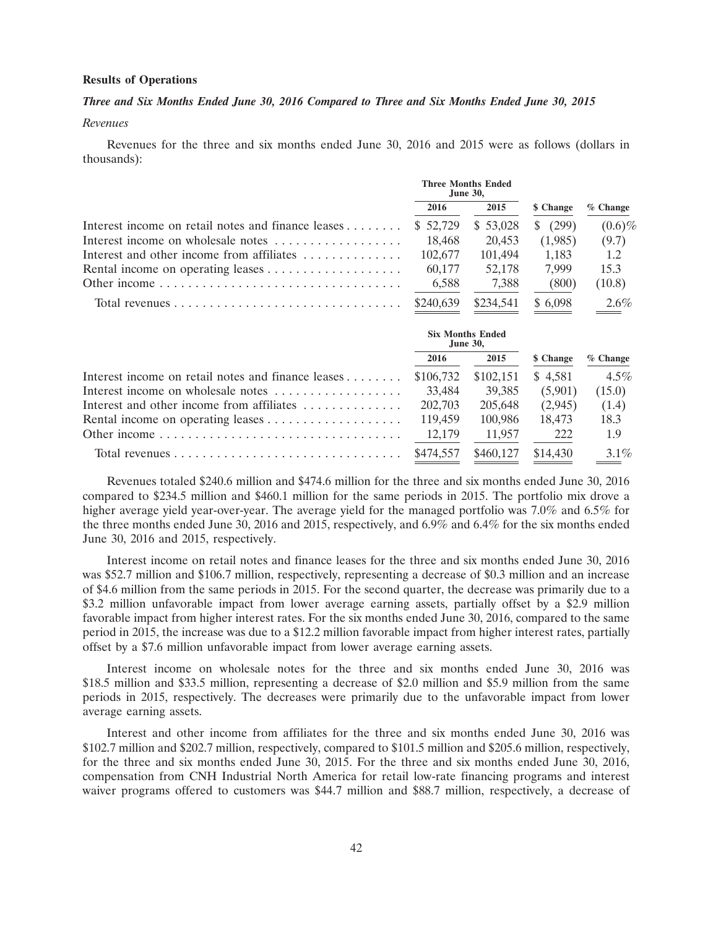#### **Results of Operations**

#### *Three and Six Months Ended June 30, 2016 Compared to Three and Six Months Ended June 30, 2015*

#### *Revenues*

Revenues for the three and six months ended June 30, 2016 and 2015 were as follows (dollars in thousands):

**Three Months Ended**

|                                                                                          | Three Months Ended<br><b>June 30,</b> |                                            |             |            |
|------------------------------------------------------------------------------------------|---------------------------------------|--------------------------------------------|-------------|------------|
|                                                                                          | 2016                                  | 2015                                       | \$ Change   | $%$ Change |
| Interest income on retail notes and finance leases $\dots \dots$                         | \$52,729                              | \$53,028                                   | (299)<br>\$ | $(0.6)\%$  |
| Interest income on wholesale notes                                                       | 18,468                                | 20,453                                     | (1,985)     | (9.7)      |
| Interest and other income from affiliates                                                | 102,677                               | 101,494                                    | 1,183       | 1.2        |
|                                                                                          | 60,177                                | 52,178                                     | 7,999       | 15.3       |
|                                                                                          | 6,588                                 | 7,388                                      | (800)       | (10.8)     |
| Total revenues $\dots \dots \dots \dots \dots \dots \dots \dots \dots \dots \dots \dots$ | \$240,639                             | \$234,541                                  | \$6,098     | $2.6\%$    |
|                                                                                          |                                       | <b>Six Months Ended</b><br><b>June 30,</b> |             |            |
|                                                                                          | 2016                                  | 2015                                       | \$ Change   | $%$ Change |
| Interest income on retail notes and finance leases                                       | \$106,732                             | \$102,151                                  | \$4,581     | $4.5\%$    |
|                                                                                          |                                       |                                            |             |            |
| Interest income on wholesale notes                                                       | 33,484                                | 39,385                                     | (5,901)     | (15.0)     |
| Interest and other income from affiliates                                                | 202,703                               | 205,648                                    | (2,945)     | (1.4)      |
| Rental income on operating leases                                                        | 119,459                               | 100,986                                    | 18,473      | 18.3       |
|                                                                                          | 12,179                                | 11,957                                     | 222         | 1.9        |

Revenues totaled \$240.6 million and \$474.6 million for the three and six months ended June 30, 2016 compared to \$234.5 million and \$460.1 million for the same periods in 2015. The portfolio mix drove a higher average yield year-over-year. The average yield for the managed portfolio was 7.0% and 6.5% for the three months ended June 30, 2016 and 2015, respectively, and 6.9% and 6.4% for the six months ended June 30, 2016 and 2015, respectively.

Interest income on retail notes and finance leases for the three and six months ended June 30, 2016 was \$52.7 million and \$106.7 million, respectively, representing a decrease of \$0.3 million and an increase of \$4.6 million from the same periods in 2015. For the second quarter, the decrease was primarily due to a \$3.2 million unfavorable impact from lower average earning assets, partially offset by a \$2.9 million favorable impact from higher interest rates. For the six months ended June 30, 2016, compared to the same period in 2015, the increase was due to a \$12.2 million favorable impact from higher interest rates, partially offset by a \$7.6 million unfavorable impact from lower average earning assets.

Interest income on wholesale notes for the three and six months ended June 30, 2016 was \$18.5 million and \$33.5 million, representing a decrease of \$2.0 million and \$5.9 million from the same periods in 2015, respectively. The decreases were primarily due to the unfavorable impact from lower average earning assets.

Interest and other income from affiliates for the three and six months ended June 30, 2016 was \$102.7 million and \$202.7 million, respectively, compared to \$101.5 million and \$205.6 million, respectively, for the three and six months ended June 30, 2015. For the three and six months ended June 30, 2016, compensation from CNH Industrial North America for retail low-rate financing programs and interest waiver programs offered to customers was \$44.7 million and \$88.7 million, respectively, a decrease of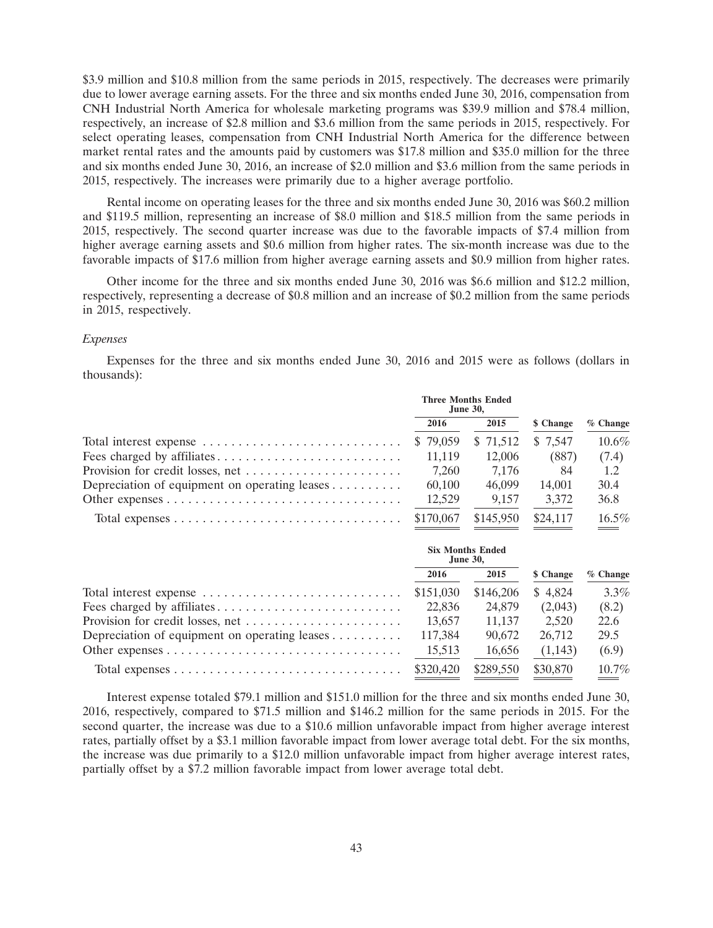\$3.9 million and \$10.8 million from the same periods in 2015, respectively. The decreases were primarily due to lower average earning assets. For the three and six months ended June 30, 2016, compensation from CNH Industrial North America for wholesale marketing programs was \$39.9 million and \$78.4 million, respectively, an increase of \$2.8 million and \$3.6 million from the same periods in 2015, respectively. For select operating leases, compensation from CNH Industrial North America for the difference between market rental rates and the amounts paid by customers was \$17.8 million and \$35.0 million for the three and six months ended June 30, 2016, an increase of \$2.0 million and \$3.6 million from the same periods in 2015, respectively. The increases were primarily due to a higher average portfolio.

Rental income on operating leases for the three and six months ended June 30, 2016 was \$60.2 million and \$119.5 million, representing an increase of \$8.0 million and \$18.5 million from the same periods in 2015, respectively. The second quarter increase was due to the favorable impacts of \$7.4 million from higher average earning assets and \$0.6 million from higher rates. The six-month increase was due to the favorable impacts of \$17.6 million from higher average earning assets and \$0.9 million from higher rates.

Other income for the three and six months ended June 30, 2016 was \$6.6 million and \$12.2 million, respectively, representing a decrease of \$0.8 million and an increase of \$0.2 million from the same periods in 2015, respectively.

#### *Expenses*

Expenses for the three and six months ended June 30, 2016 and 2015 were as follows (dollars in thousands):

|                                                                                    | <b>Three Months Ended</b><br>June 30, |           |           |            |
|------------------------------------------------------------------------------------|---------------------------------------|-----------|-----------|------------|
|                                                                                    | 2016                                  | 2015      | \$ Change | $%$ Change |
|                                                                                    | \$79,059                              | \$ 71,512 | \$ 7,547  | $10.6\%$   |
|                                                                                    | 11.119                                | 12,006    | (887)     | (7.4)      |
|                                                                                    | 7,260                                 | 7.176     | -84       | 1.2        |
| Depreciation of equipment on operating leases $\dots \dots$                        | 60.100                                | 46,099    | 14,001    | 30.4       |
|                                                                                    | 12,529                                | 9.157     | 3.372     | 36.8       |
| Total expenses $\dots \dots \dots \dots \dots \dots \dots \dots \dots \dots \dots$ | \$170,067                             | \$145,950 | \$24,117  | $16.5\%$   |

|                                               | <b>Six Months Ended</b><br>June 30, |           |           |            |
|-----------------------------------------------|-------------------------------------|-----------|-----------|------------|
|                                               | 2016                                | 2015      | \$ Change | $%$ Change |
|                                               | \$151,030                           | \$146,206 | \$4.824   | $3.3\%$    |
|                                               | 22,836                              | 24,879    | (2,043)   | (8.2)      |
|                                               | 13.657                              | 11.137    | 2,520     | 22.6       |
| Depreciation of equipment on operating leases | 117.384                             | 90.672    | 26,712    | 29.5       |
|                                               | 15,513                              | 16.656    | (1,143)   | (6.9)      |
|                                               |                                     | \$289,550 | \$30,870  | $10.7\%$   |

Interest expense totaled \$79.1 million and \$151.0 million for the three and six months ended June 30, 2016, respectively, compared to \$71.5 million and \$146.2 million for the same periods in 2015. For the second quarter, the increase was due to a \$10.6 million unfavorable impact from higher average interest rates, partially offset by a \$3.1 million favorable impact from lower average total debt. For the six months, the increase was due primarily to a \$12.0 million unfavorable impact from higher average interest rates, partially offset by a \$7.2 million favorable impact from lower average total debt.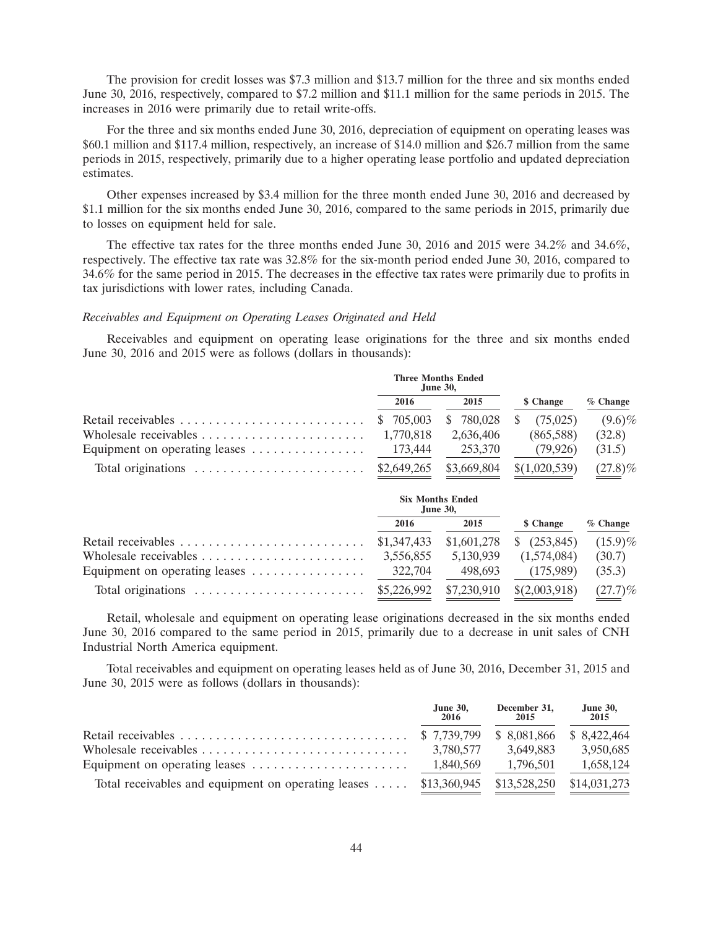The provision for credit losses was \$7.3 million and \$13.7 million for the three and six months ended June 30, 2016, respectively, compared to \$7.2 million and \$11.1 million for the same periods in 2015. The increases in 2016 were primarily due to retail write-offs.

For the three and six months ended June 30, 2016, depreciation of equipment on operating leases was \$60.1 million and \$117.4 million, respectively, an increase of \$14.0 million and \$26.7 million from the same periods in 2015, respectively, primarily due to a higher operating lease portfolio and updated depreciation estimates.

Other expenses increased by \$3.4 million for the three month ended June 30, 2016 and decreased by \$1.1 million for the six months ended June 30, 2016, compared to the same periods in 2015, primarily due to losses on equipment held for sale.

The effective tax rates for the three months ended June 30, 2016 and 2015 were 34.2% and 34.6%, respectively. The effective tax rate was 32.8% for the six-month period ended June 30, 2016, compared to 34.6% for the same period in 2015. The decreases in the effective tax rates were primarily due to profits in tax jurisdictions with lower rates, including Canada.

#### *Receivables and Equipment on Operating Leases Originated and Held*

Receivables and equipment on operating lease originations for the three and six months ended June 30, 2016 and 2015 were as follows (dollars in thousands):

|                                                                            |            | <b>Three Months Ended</b><br>June 30, |                 |            |
|----------------------------------------------------------------------------|------------|---------------------------------------|-----------------|------------|
|                                                                            | 2016       | 2015                                  | \$ Change       | $%$ Change |
|                                                                            | \$ 705,003 | \$780,028                             | (75,025)        | $(9.6)\%$  |
| Wholesale receivables $\dots \dots \dots \dots \dots \dots \dots$          | 1,770,818  | 2,636,406                             | (865,588)       | (32.8)     |
| Equipment on operating leases                                              | 173,444    | 253,370                               | (79.926)        | (31.5)     |
| Total originations $\ldots \ldots \ldots \ldots \ldots \ldots$ \$2,649,265 |            | \$3,669,804                           | $\$(1,020,539)$ | $(27.8)\%$ |

|                                                                   | <b>Six Months Ended</b><br><b>June 30,</b> |             |                  |            |
|-------------------------------------------------------------------|--------------------------------------------|-------------|------------------|------------|
|                                                                   | 2016                                       | 2015        | \$ Change        | $%$ Change |
|                                                                   | \$1,347,433                                | \$1,601,278 | $\{(253, 845)\}$ | $(15.9)\%$ |
| Wholesale receivables $\dots \dots \dots \dots \dots \dots \dots$ | 3,556,855                                  | 5,130,939   | (1,574,084)      | (30.7)     |
| Equipment on operating leases                                     | 322,704                                    | 498,693     | (175,989)        | (35.3)     |
|                                                                   |                                            |             |                  | $(27.7)\%$ |

Retail, wholesale and equipment on operating lease originations decreased in the six months ended June 30, 2016 compared to the same period in 2015, primarily due to a decrease in unit sales of CNH Industrial North America equipment.

Total receivables and equipment on operating leases held as of June 30, 2016, December 31, 2015 and June 30, 2015 were as follows (dollars in thousands):

|                                                                                | June 30,<br>2016 | December 31,<br>2015 | June 30,<br>2015 |
|--------------------------------------------------------------------------------|------------------|----------------------|------------------|
|                                                                                |                  | \$ 8,081,866         | \$8,422,464      |
| Wholesale receivables                                                          | 3.780.577        | 3.649.883            | 3,950,685        |
|                                                                                | 1,840,569        | 1.796.501            | 1,658,124        |
| Total receivables and equipment on operating leases  \$13,360,945 \$13,528,250 |                  |                      | \$14,031,273     |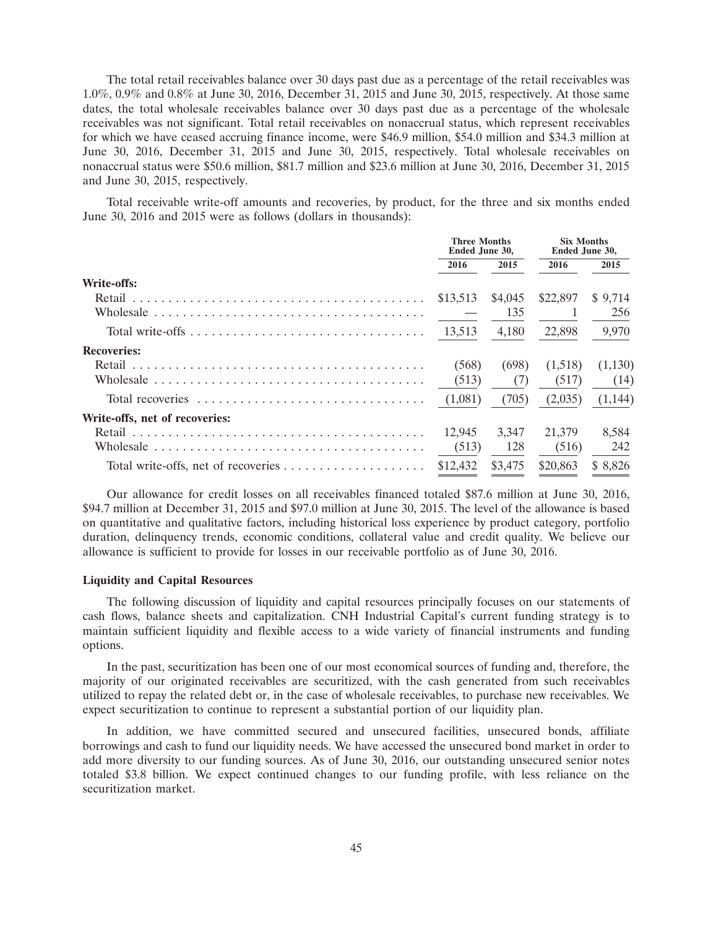The total retail receivables balance over 30 days past due as a percentage of the retail receivables was 1.0%, 0.9% and 0.8% at June 30, 2016, December 31, 2015 and June 30, 2015, respectively. At those same dates, the total wholesale receivables balance over 30 days past due as a percentage of the wholesale receivables was not significant. Total retail receivables on nonaccrual status, which represent receivables for which we have ceased accruing finance income, were \$46.9 million, \$54.0 million and \$34.3 million at June 30, 2016, December 31, 2015 and June 30, 2015, respectively. Total wholesale receivables on nonaccrual status were \$50.6 million, \$81.7 million and \$23.6 million at June 30, 2016, December 31, 2015 and June 30, 2015, respectively.

Total receivable write-off amounts and recoveries, by product, for the three and six months ended June 30, 2016 and 2015 were as follows (dollars in thousands):

|                                | <b>Six Months</b><br><b>Three Months</b><br>Ended June 30,<br>Ended June 30, |         |                |         |
|--------------------------------|------------------------------------------------------------------------------|---------|----------------|---------|
|                                | 2016                                                                         | 2015    | 2016           | 2015    |
| Write-offs:                    |                                                                              |         |                |         |
| Retail                         | \$13,513                                                                     | \$4,045 | \$22,897       | \$9,714 |
|                                |                                                                              | 135     | $\overline{1}$ | 256     |
|                                | 13,513                                                                       | 4.180   | 22,898         | 9,970   |
| <b>Recoveries:</b>             |                                                                              |         |                |         |
|                                | (568)                                                                        | (698)   | (1,518)        | (1,130) |
|                                | (513)                                                                        | (7)     | (517)          | (14)    |
|                                | (1,081)                                                                      | (705)   | (2,035)        | (1,144) |
| Write-offs, net of recoveries: |                                                                              |         |                |         |
|                                | 12.945                                                                       | 3.347   | 21.379         | 8,584   |
|                                | (513)                                                                        | -128    | (516)          | 242     |
|                                | \$12,432                                                                     | \$3,475 | \$20,863       | \$8,826 |

Our allowance for credit losses on all receivables financed totaled \$87.6 million at June 30, 2016, \$94.7 million at December 31, 2015 and \$97.0 million at June 30, 2015. The level of the allowance is based on quantitative and qualitative factors, including historical loss experience by product category, portfolio duration, delinquency trends, economic conditions, collateral value and credit quality. We believe our allowance is sufficient to provide for losses in our receivable portfolio as of June 30, 2016.

#### **Liquidity and Capital Resources**

The following discussion of liquidity and capital resources principally focuses on our statements of cash flows, balance sheets and capitalization. CNH Industrial Capital's current funding strategy is to maintain sufficient liquidity and flexible access to a wide variety of financial instruments and funding options.

In the past, securitization has been one of our most economical sources of funding and, therefore, the majority of our originated receivables are securitized, with the cash generated from such receivables utilized to repay the related debt or, in the case of wholesale receivables, to purchase new receivables. We expect securitization to continue to represent a substantial portion of our liquidity plan.

In addition, we have committed secured and unsecured facilities, unsecured bonds, affiliate borrowings and cash to fund our liquidity needs. We have accessed the unsecured bond market in order to add more diversity to our funding sources. As of June 30, 2016, our outstanding unsecured senior notes totaled \$3.8 billion. We expect continued changes to our funding profile, with less reliance on the securitization market.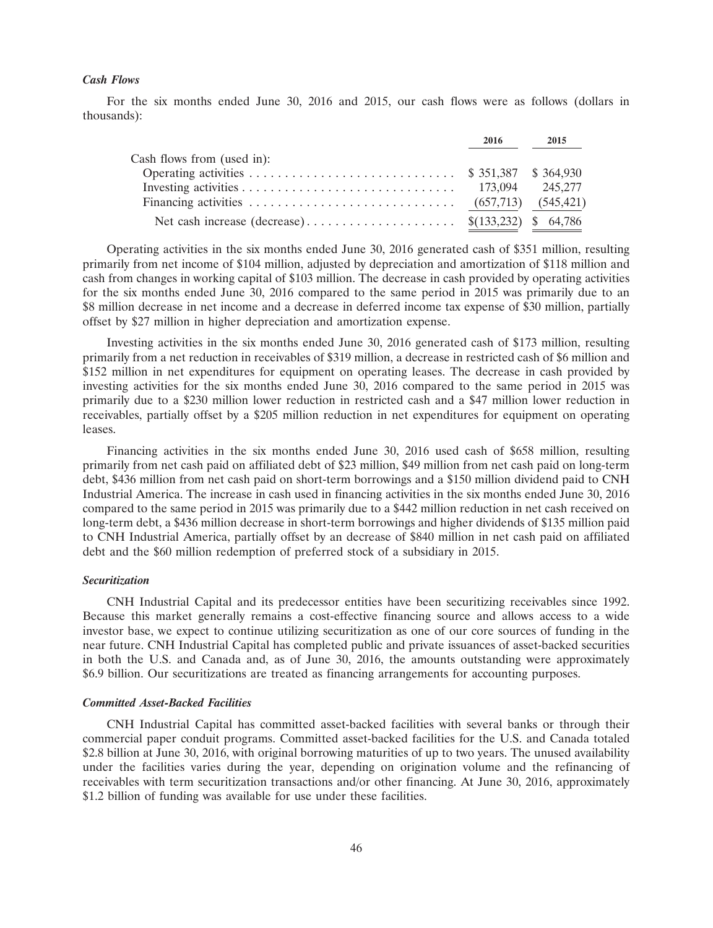#### *Cash Flows*

For the six months ended June 30, 2016 and 2015, our cash flows were as follows (dollars in thousands):

|                            | 2016 | 2015    |
|----------------------------|------|---------|
| Cash flows from (used in): |      |         |
|                            |      |         |
|                            |      | 245,277 |
|                            |      |         |
|                            |      |         |

Operating activities in the six months ended June 30, 2016 generated cash of \$351 million, resulting primarily from net income of \$104 million, adjusted by depreciation and amortization of \$118 million and cash from changes in working capital of \$103 million. The decrease in cash provided by operating activities for the six months ended June 30, 2016 compared to the same period in 2015 was primarily due to an \$8 million decrease in net income and a decrease in deferred income tax expense of \$30 million, partially offset by \$27 million in higher depreciation and amortization expense.

Investing activities in the six months ended June 30, 2016 generated cash of \$173 million, resulting primarily from a net reduction in receivables of \$319 million, a decrease in restricted cash of \$6 million and \$152 million in net expenditures for equipment on operating leases. The decrease in cash provided by investing activities for the six months ended June 30, 2016 compared to the same period in 2015 was primarily due to a \$230 million lower reduction in restricted cash and a \$47 million lower reduction in receivables, partially offset by a \$205 million reduction in net expenditures for equipment on operating leases.

Financing activities in the six months ended June 30, 2016 used cash of \$658 million, resulting primarily from net cash paid on affiliated debt of \$23 million, \$49 million from net cash paid on long-term debt, \$436 million from net cash paid on short-term borrowings and a \$150 million dividend paid to CNH Industrial America. The increase in cash used in financing activities in the six months ended June 30, 2016 compared to the same period in 2015 was primarily due to a \$442 million reduction in net cash received on long-term debt, a \$436 million decrease in short-term borrowings and higher dividends of \$135 million paid to CNH Industrial America, partially offset by an decrease of \$840 million in net cash paid on affiliated debt and the \$60 million redemption of preferred stock of a subsidiary in 2015.

#### *Securitization*

CNH Industrial Capital and its predecessor entities have been securitizing receivables since 1992. Because this market generally remains a cost-effective financing source and allows access to a wide investor base, we expect to continue utilizing securitization as one of our core sources of funding in the near future. CNH Industrial Capital has completed public and private issuances of asset-backed securities in both the U.S. and Canada and, as of June 30, 2016, the amounts outstanding were approximately \$6.9 billion. Our securitizations are treated as financing arrangements for accounting purposes.

#### *Committed Asset-Backed Facilities*

CNH Industrial Capital has committed asset-backed facilities with several banks or through their commercial paper conduit programs. Committed asset-backed facilities for the U.S. and Canada totaled \$2.8 billion at June 30, 2016, with original borrowing maturities of up to two years. The unused availability under the facilities varies during the year, depending on origination volume and the refinancing of receivables with term securitization transactions and/or other financing. At June 30, 2016, approximately \$1.2 billion of funding was available for use under these facilities.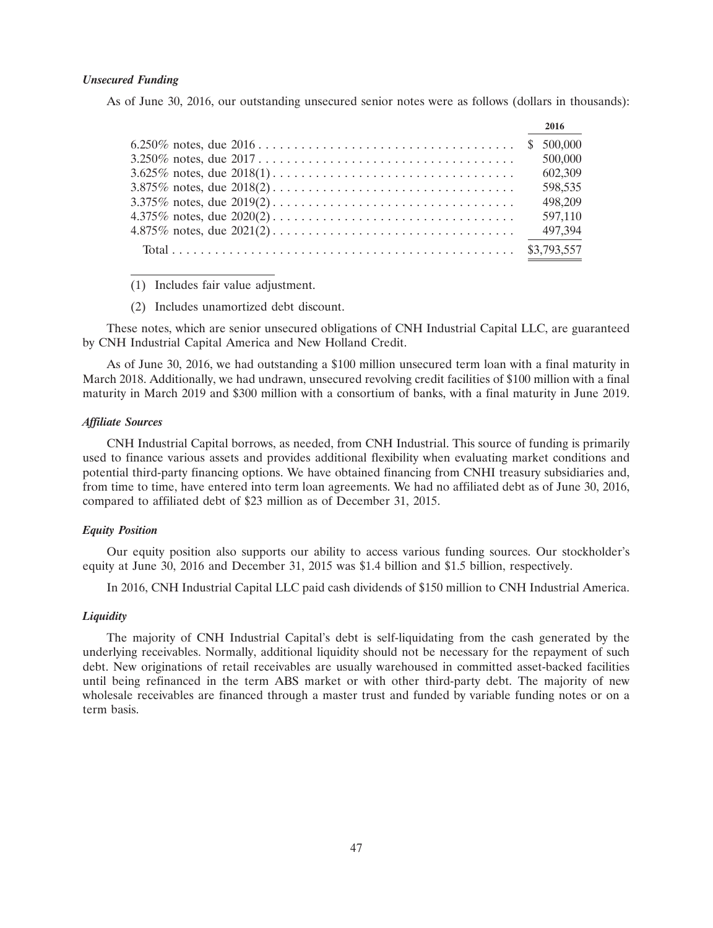#### *Unsecured Funding*

As of June 30, 2016, our outstanding unsecured senior notes were as follows (dollars in thousands):

|  | 2016    |
|--|---------|
|  |         |
|  | 500,000 |
|  | 602,309 |
|  | 598,535 |
|  | 498,209 |
|  | 597,110 |
|  | 497,394 |
|  |         |

(1) Includes fair value adjustment.

(2) Includes unamortized debt discount.

These notes, which are senior unsecured obligations of CNH Industrial Capital LLC, are guaranteed by CNH Industrial Capital America and New Holland Credit.

As of June 30, 2016, we had outstanding a \$100 million unsecured term loan with a final maturity in March 2018. Additionally, we had undrawn, unsecured revolving credit facilities of \$100 million with a final maturity in March 2019 and \$300 million with a consortium of banks, with a final maturity in June 2019.

#### *Affiliate Sources*

CNH Industrial Capital borrows, as needed, from CNH Industrial. This source of funding is primarily used to finance various assets and provides additional flexibility when evaluating market conditions and potential third-party financing options. We have obtained financing from CNHI treasury subsidiaries and, from time to time, have entered into term loan agreements. We had no affiliated debt as of June 30, 2016, compared to affiliated debt of \$23 million as of December 31, 2015.

#### *Equity Position*

Our equity position also supports our ability to access various funding sources. Our stockholder's equity at June 30, 2016 and December 31, 2015 was \$1.4 billion and \$1.5 billion, respectively.

In 2016, CNH Industrial Capital LLC paid cash dividends of \$150 million to CNH Industrial America.

#### *Liquidity*

The majority of CNH Industrial Capital's debt is self-liquidating from the cash generated by the underlying receivables. Normally, additional liquidity should not be necessary for the repayment of such debt. New originations of retail receivables are usually warehoused in committed asset-backed facilities until being refinanced in the term ABS market or with other third-party debt. The majority of new wholesale receivables are financed through a master trust and funded by variable funding notes or on a term basis.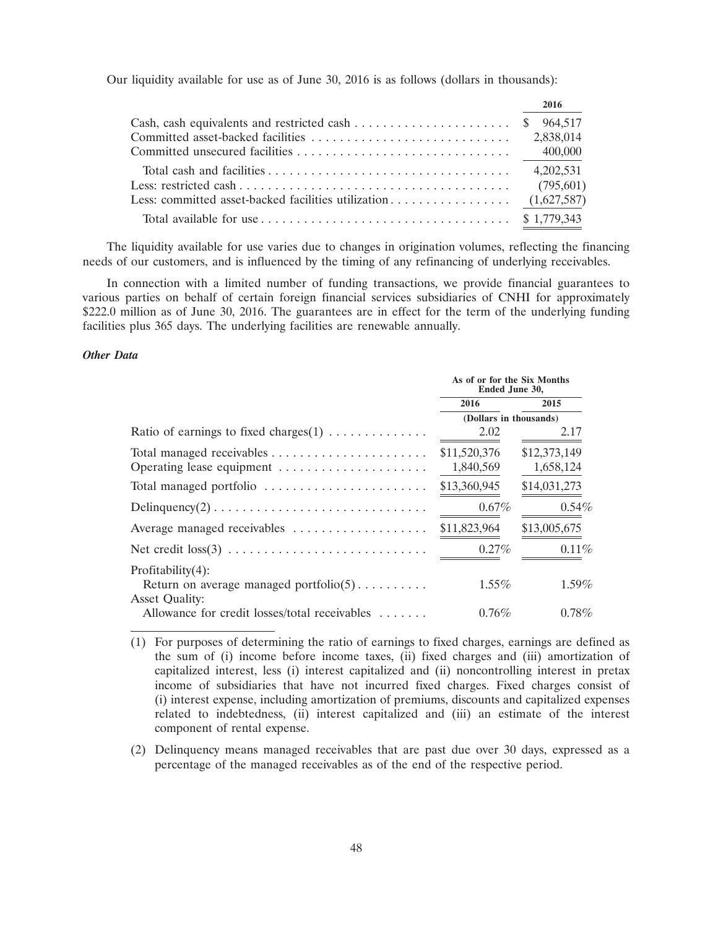Our liquidity available for use as of June 30, 2016 is as follows (dollars in thousands):

|                                                                                                          | 2016 |
|----------------------------------------------------------------------------------------------------------|------|
|                                                                                                          |      |
|                                                                                                          |      |
|                                                                                                          |      |
|                                                                                                          |      |
|                                                                                                          |      |
|                                                                                                          |      |
| Total available for use $\dots \dots \dots \dots \dots \dots \dots \dots \dots \dots \dots$ \$ 1,779,343 |      |

The liquidity available for use varies due to changes in origination volumes, reflecting the financing needs of our customers, and is influenced by the timing of any refinancing of underlying receivables.

In connection with a limited number of funding transactions, we provide financial guarantees to various parties on behalf of certain foreign financial services subsidiaries of CNHI for approximately \$222.0 million as of June 30, 2016. The guarantees are in effect for the term of the underlying funding facilities plus 365 days. The underlying facilities are renewable annually.

#### *Other Data*

|                                                                                 | As of or for the Six Months<br>Ended June 30, |              |  |  |  |  |  |  |  |
|---------------------------------------------------------------------------------|-----------------------------------------------|--------------|--|--|--|--|--|--|--|
|                                                                                 | 2016                                          | 2015         |  |  |  |  |  |  |  |
|                                                                                 | (Dollars in thousands)                        |              |  |  |  |  |  |  |  |
| Ratio of earnings to fixed charges $(1)$                                        | 2.02                                          | 2.17         |  |  |  |  |  |  |  |
|                                                                                 | \$11,520,376                                  | \$12,373,149 |  |  |  |  |  |  |  |
| Operating lease equipment                                                       | 1,840,569                                     | 1,658,124    |  |  |  |  |  |  |  |
| Total managed portfolio                                                         | \$13,360,945                                  | \$14,031,273 |  |  |  |  |  |  |  |
| $Delinquency(2) \ldots \ldots \ldots \ldots \ldots \ldots \ldots \ldots \ldots$ | $0.67\%$                                      | 0.54%        |  |  |  |  |  |  |  |
| Average managed receivables                                                     | \$11,823,964                                  | \$13,005,675 |  |  |  |  |  |  |  |
|                                                                                 | $0.27\%$                                      | 0.11%        |  |  |  |  |  |  |  |
| Profitability $(4)$ :                                                           |                                               |              |  |  |  |  |  |  |  |
| Return on average managed portfolio(5)                                          | $1.55\%$                                      | $1.59\%$     |  |  |  |  |  |  |  |
| <b>Asset Quality:</b>                                                           |                                               |              |  |  |  |  |  |  |  |
| Allowance for credit losses/total receivables                                   | 0.76%                                         | $0.78\%$     |  |  |  |  |  |  |  |

<sup>(1)</sup> For purposes of determining the ratio of earnings to fixed charges, earnings are defined as the sum of (i) income before income taxes, (ii) fixed charges and (iii) amortization of capitalized interest, less (i) interest capitalized and (ii) noncontrolling interest in pretax income of subsidiaries that have not incurred fixed charges. Fixed charges consist of (i) interest expense, including amortization of premiums, discounts and capitalized expenses related to indebtedness, (ii) interest capitalized and (iii) an estimate of the interest component of rental expense.

<sup>(2)</sup> Delinquency means managed receivables that are past due over 30 days, expressed as a percentage of the managed receivables as of the end of the respective period.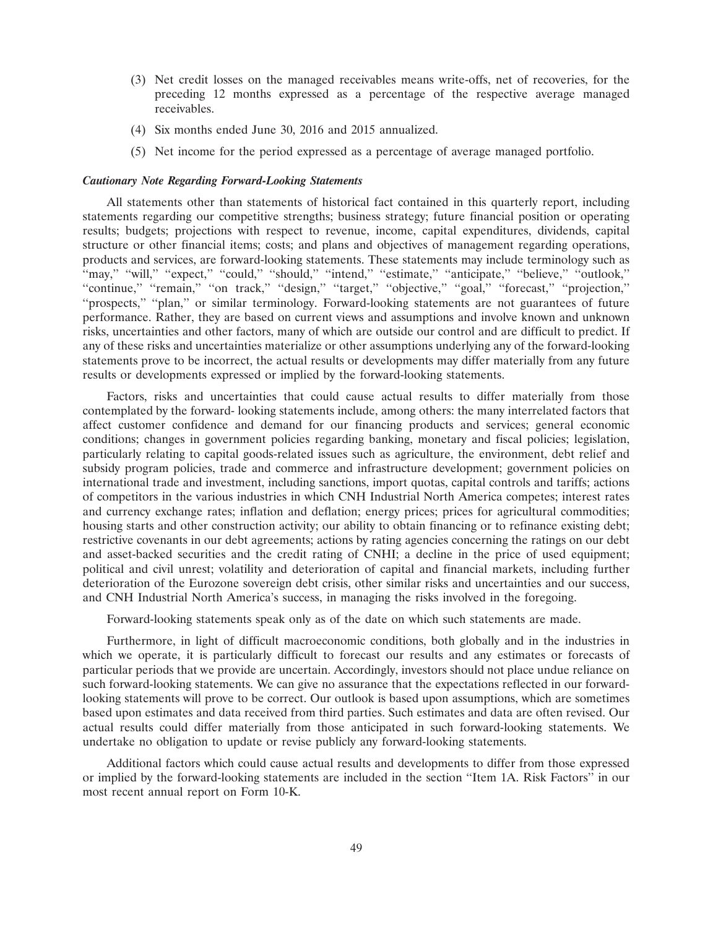- (3) Net credit losses on the managed receivables means write-offs, net of recoveries, for the preceding 12 months expressed as a percentage of the respective average managed receivables.
- (4) Six months ended June 30, 2016 and 2015 annualized.
- (5) Net income for the period expressed as a percentage of average managed portfolio.

#### *Cautionary Note Regarding Forward-Looking Statements*

All statements other than statements of historical fact contained in this quarterly report, including statements regarding our competitive strengths; business strategy; future financial position or operating results; budgets; projections with respect to revenue, income, capital expenditures, dividends, capital structure or other financial items; costs; and plans and objectives of management regarding operations, products and services, are forward-looking statements. These statements may include terminology such as "may," "will," "expect," "could," "should," "intend," "estimate," "anticipate," "believe," "outlook," "continue," "remain," "on track," "design," "target," "objective," "goal," "forecast," "projection," ''prospects,'' ''plan,'' or similar terminology. Forward-looking statements are not guarantees of future performance. Rather, they are based on current views and assumptions and involve known and unknown risks, uncertainties and other factors, many of which are outside our control and are difficult to predict. If any of these risks and uncertainties materialize or other assumptions underlying any of the forward-looking statements prove to be incorrect, the actual results or developments may differ materially from any future results or developments expressed or implied by the forward-looking statements.

Factors, risks and uncertainties that could cause actual results to differ materially from those contemplated by the forward- looking statements include, among others: the many interrelated factors that affect customer confidence and demand for our financing products and services; general economic conditions; changes in government policies regarding banking, monetary and fiscal policies; legislation, particularly relating to capital goods-related issues such as agriculture, the environment, debt relief and subsidy program policies, trade and commerce and infrastructure development; government policies on international trade and investment, including sanctions, import quotas, capital controls and tariffs; actions of competitors in the various industries in which CNH Industrial North America competes; interest rates and currency exchange rates; inflation and deflation; energy prices; prices for agricultural commodities; housing starts and other construction activity; our ability to obtain financing or to refinance existing debt; restrictive covenants in our debt agreements; actions by rating agencies concerning the ratings on our debt and asset-backed securities and the credit rating of CNHI; a decline in the price of used equipment; political and civil unrest; volatility and deterioration of capital and financial markets, including further deterioration of the Eurozone sovereign debt crisis, other similar risks and uncertainties and our success, and CNH Industrial North America's success, in managing the risks involved in the foregoing.

Forward-looking statements speak only as of the date on which such statements are made.

Furthermore, in light of difficult macroeconomic conditions, both globally and in the industries in which we operate, it is particularly difficult to forecast our results and any estimates or forecasts of particular periods that we provide are uncertain. Accordingly, investors should not place undue reliance on such forward-looking statements. We can give no assurance that the expectations reflected in our forwardlooking statements will prove to be correct. Our outlook is based upon assumptions, which are sometimes based upon estimates and data received from third parties. Such estimates and data are often revised. Our actual results could differ materially from those anticipated in such forward-looking statements. We undertake no obligation to update or revise publicly any forward-looking statements.

Additional factors which could cause actual results and developments to differ from those expressed or implied by the forward-looking statements are included in the section ''Item 1A. Risk Factors'' in our most recent annual report on Form 10-K.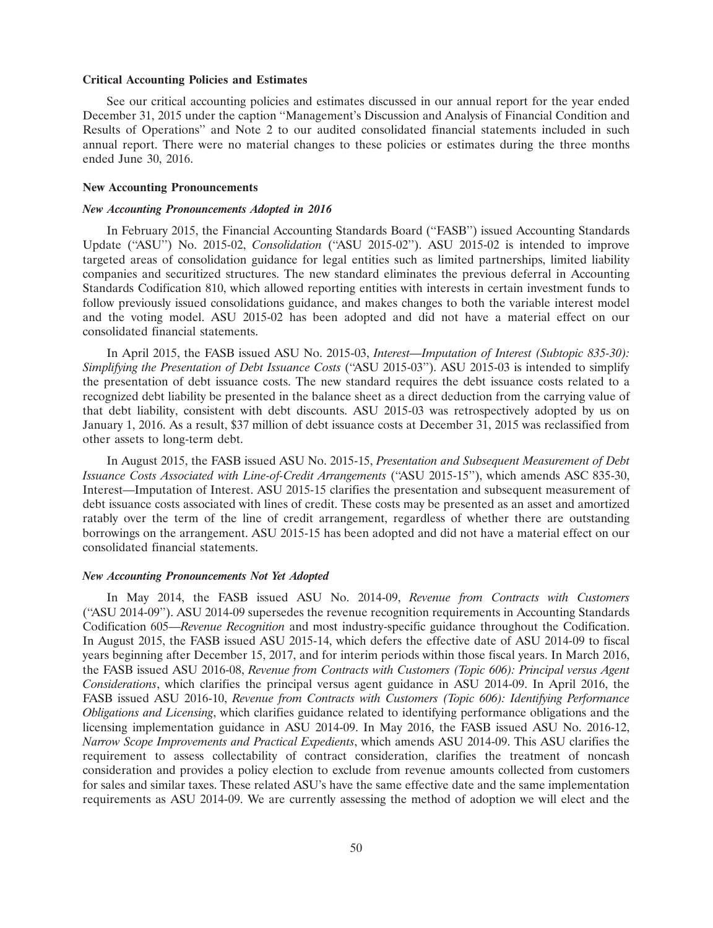#### **Critical Accounting Policies and Estimates**

See our critical accounting policies and estimates discussed in our annual report for the year ended December 31, 2015 under the caption ''Management's Discussion and Analysis of Financial Condition and Results of Operations'' and Note 2 to our audited consolidated financial statements included in such annual report. There were no material changes to these policies or estimates during the three months ended June 30, 2016.

#### **New Accounting Pronouncements**

#### *New Accounting Pronouncements Adopted in 2016*

In February 2015, the Financial Accounting Standards Board (''FASB'') issued Accounting Standards Update (''ASU'') No. 2015-02, *Consolidation* (''ASU 2015-02''). ASU 2015-02 is intended to improve targeted areas of consolidation guidance for legal entities such as limited partnerships, limited liability companies and securitized structures. The new standard eliminates the previous deferral in Accounting Standards Codification 810, which allowed reporting entities with interests in certain investment funds to follow previously issued consolidations guidance, and makes changes to both the variable interest model and the voting model. ASU 2015-02 has been adopted and did not have a material effect on our consolidated financial statements.

In April 2015, the FASB issued ASU No. 2015-03, *Interest—Imputation of Interest (Subtopic 835-30): Simplifying the Presentation of Debt Issuance Costs* (''ASU 2015-03''). ASU 2015-03 is intended to simplify the presentation of debt issuance costs. The new standard requires the debt issuance costs related to a recognized debt liability be presented in the balance sheet as a direct deduction from the carrying value of that debt liability, consistent with debt discounts. ASU 2015-03 was retrospectively adopted by us on January 1, 2016. As a result, \$37 million of debt issuance costs at December 31, 2015 was reclassified from other assets to long-term debt.

In August 2015, the FASB issued ASU No. 2015-15, *Presentation and Subsequent Measurement of Debt Issuance Costs Associated with Line-of-Credit Arrangements* (''ASU 2015-15''), which amends ASC 835-30, Interest—Imputation of Interest. ASU 2015-15 clarifies the presentation and subsequent measurement of debt issuance costs associated with lines of credit. These costs may be presented as an asset and amortized ratably over the term of the line of credit arrangement, regardless of whether there are outstanding borrowings on the arrangement. ASU 2015-15 has been adopted and did not have a material effect on our consolidated financial statements.

#### *New Accounting Pronouncements Not Yet Adopted*

In May 2014, the FASB issued ASU No. 2014-09, *Revenue from Contracts with Customers* (''ASU 2014-09''). ASU 2014-09 supersedes the revenue recognition requirements in Accounting Standards Codification 605—*Revenue Recognition* and most industry-specific guidance throughout the Codification. In August 2015, the FASB issued ASU 2015-14, which defers the effective date of ASU 2014-09 to fiscal years beginning after December 15, 2017, and for interim periods within those fiscal years. In March 2016, the FASB issued ASU 2016-08, *Revenue from Contracts with Customers (Topic 606): Principal versus Agent Considerations*, which clarifies the principal versus agent guidance in ASU 2014-09. In April 2016, the FASB issued ASU 2016-10, *Revenue from Contracts with Customers (Topic 606): Identifying Performance Obligations and Licensing*, which clarifies guidance related to identifying performance obligations and the licensing implementation guidance in ASU 2014-09. In May 2016, the FASB issued ASU No. 2016-12, *Narrow Scope Improvements and Practical Expedients*, which amends ASU 2014-09. This ASU clarifies the requirement to assess collectability of contract consideration, clarifies the treatment of noncash consideration and provides a policy election to exclude from revenue amounts collected from customers for sales and similar taxes. These related ASU's have the same effective date and the same implementation requirements as ASU 2014-09. We are currently assessing the method of adoption we will elect and the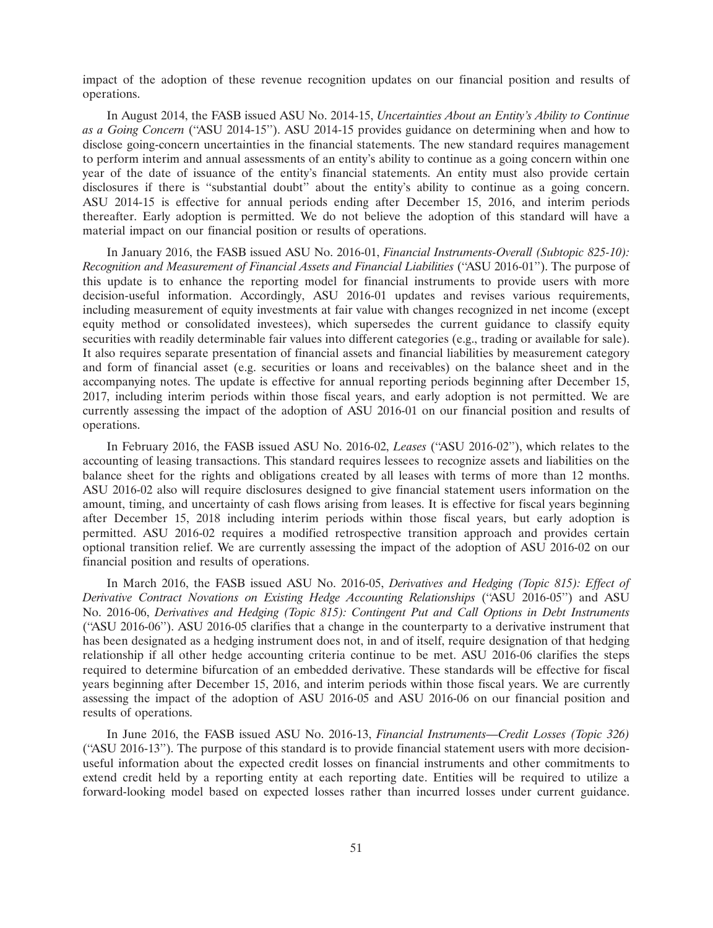impact of the adoption of these revenue recognition updates on our financial position and results of operations.

In August 2014, the FASB issued ASU No. 2014-15, *Uncertainties About an Entity's Ability to Continue as a Going Concern* (''ASU 2014-15''). ASU 2014-15 provides guidance on determining when and how to disclose going-concern uncertainties in the financial statements. The new standard requires management to perform interim and annual assessments of an entity's ability to continue as a going concern within one year of the date of issuance of the entity's financial statements. An entity must also provide certain disclosures if there is "substantial doubt" about the entity's ability to continue as a going concern. ASU 2014-15 is effective for annual periods ending after December 15, 2016, and interim periods thereafter. Early adoption is permitted. We do not believe the adoption of this standard will have a material impact on our financial position or results of operations.

In January 2016, the FASB issued ASU No. 2016-01, *Financial Instruments-Overall (Subtopic 825-10): Recognition and Measurement of Financial Assets and Financial Liabilities* (''ASU 2016-01''). The purpose of this update is to enhance the reporting model for financial instruments to provide users with more decision-useful information. Accordingly, ASU 2016-01 updates and revises various requirements, including measurement of equity investments at fair value with changes recognized in net income (except equity method or consolidated investees), which supersedes the current guidance to classify equity securities with readily determinable fair values into different categories (e.g., trading or available for sale). It also requires separate presentation of financial assets and financial liabilities by measurement category and form of financial asset (e.g. securities or loans and receivables) on the balance sheet and in the accompanying notes. The update is effective for annual reporting periods beginning after December 15, 2017, including interim periods within those fiscal years, and early adoption is not permitted. We are currently assessing the impact of the adoption of ASU 2016-01 on our financial position and results of operations.

In February 2016, the FASB issued ASU No. 2016-02, *Leases* (''ASU 2016-02''), which relates to the accounting of leasing transactions. This standard requires lessees to recognize assets and liabilities on the balance sheet for the rights and obligations created by all leases with terms of more than 12 months. ASU 2016-02 also will require disclosures designed to give financial statement users information on the amount, timing, and uncertainty of cash flows arising from leases. It is effective for fiscal years beginning after December 15, 2018 including interim periods within those fiscal years, but early adoption is permitted. ASU 2016-02 requires a modified retrospective transition approach and provides certain optional transition relief. We are currently assessing the impact of the adoption of ASU 2016-02 on our financial position and results of operations.

In March 2016, the FASB issued ASU No. 2016-05, *Derivatives and Hedging (Topic 815): Effect of Derivative Contract Novations on Existing Hedge Accounting Relationships* (''ASU 2016-05'') and ASU No. 2016-06, *Derivatives and Hedging (Topic 815): Contingent Put and Call Options in Debt Instruments* (''ASU 2016-06''). ASU 2016-05 clarifies that a change in the counterparty to a derivative instrument that has been designated as a hedging instrument does not, in and of itself, require designation of that hedging relationship if all other hedge accounting criteria continue to be met. ASU 2016-06 clarifies the steps required to determine bifurcation of an embedded derivative. These standards will be effective for fiscal years beginning after December 15, 2016, and interim periods within those fiscal years. We are currently assessing the impact of the adoption of ASU 2016-05 and ASU 2016-06 on our financial position and results of operations.

In June 2016, the FASB issued ASU No. 2016-13, *Financial Instruments—Credit Losses (Topic 326)* (''ASU 2016-13''). The purpose of this standard is to provide financial statement users with more decisionuseful information about the expected credit losses on financial instruments and other commitments to extend credit held by a reporting entity at each reporting date. Entities will be required to utilize a forward-looking model based on expected losses rather than incurred losses under current guidance.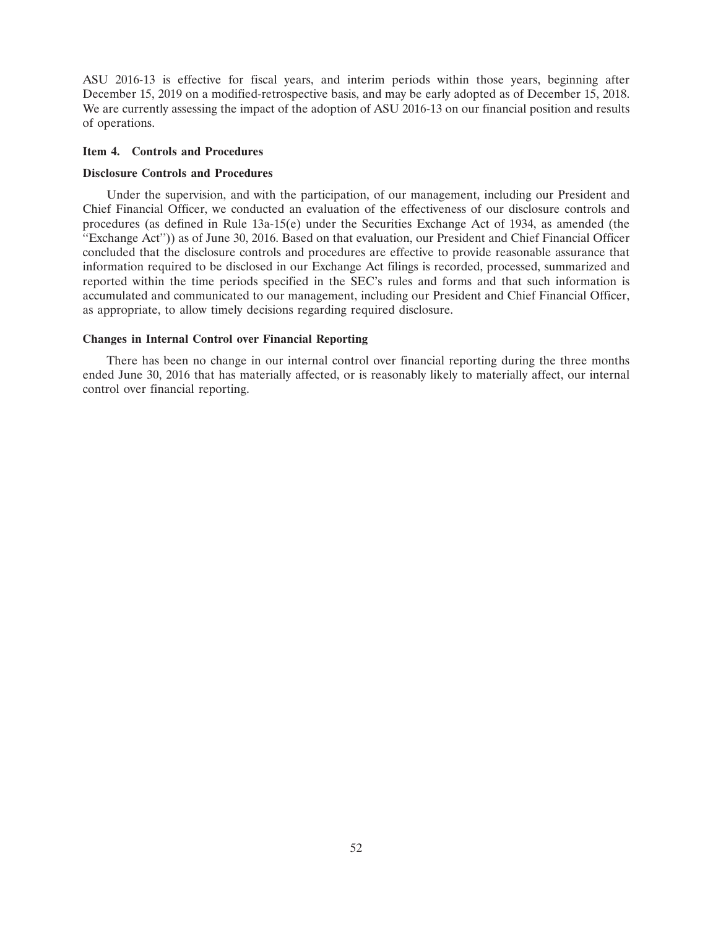ASU 2016-13 is effective for fiscal years, and interim periods within those years, beginning after December 15, 2019 on a modified-retrospective basis, and may be early adopted as of December 15, 2018. We are currently assessing the impact of the adoption of ASU 2016-13 on our financial position and results of operations.

#### **Item 4. Controls and Procedures**

#### **Disclosure Controls and Procedures**

Under the supervision, and with the participation, of our management, including our President and Chief Financial Officer, we conducted an evaluation of the effectiveness of our disclosure controls and procedures (as defined in Rule 13a-15(e) under the Securities Exchange Act of 1934, as amended (the ''Exchange Act'')) as of June 30, 2016. Based on that evaluation, our President and Chief Financial Officer concluded that the disclosure controls and procedures are effective to provide reasonable assurance that information required to be disclosed in our Exchange Act filings is recorded, processed, summarized and reported within the time periods specified in the SEC's rules and forms and that such information is accumulated and communicated to our management, including our President and Chief Financial Officer, as appropriate, to allow timely decisions regarding required disclosure.

#### **Changes in Internal Control over Financial Reporting**

There has been no change in our internal control over financial reporting during the three months ended June 30, 2016 that has materially affected, or is reasonably likely to materially affect, our internal control over financial reporting.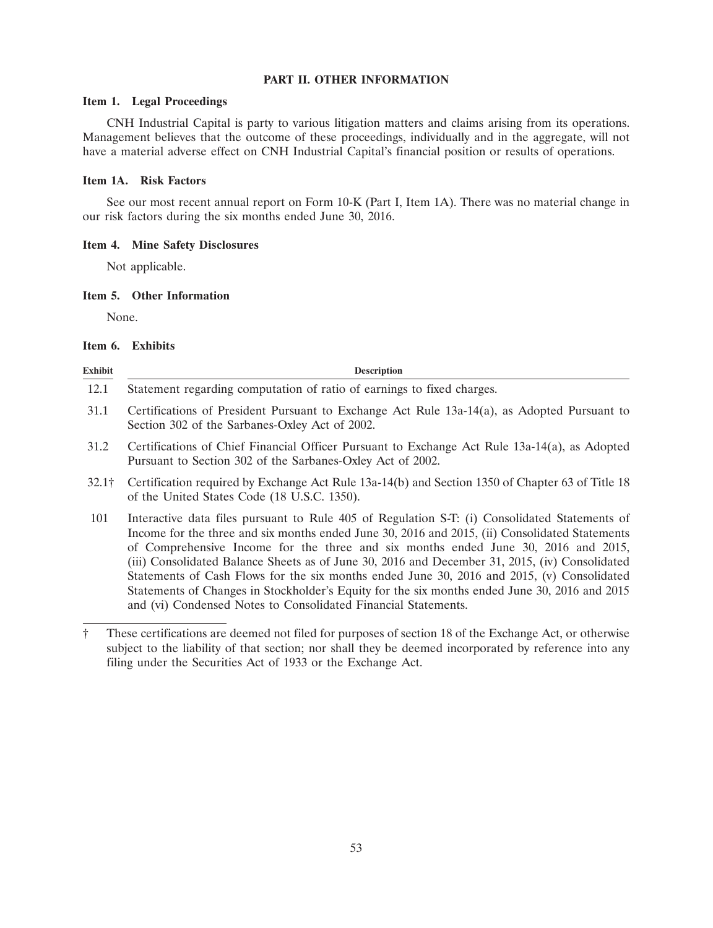#### **PART II. OTHER INFORMATION**

#### **Item 1. Legal Proceedings**

CNH Industrial Capital is party to various litigation matters and claims arising from its operations. Management believes that the outcome of these proceedings, individually and in the aggregate, will not have a material adverse effect on CNH Industrial Capital's financial position or results of operations.

#### **Item 1A. Risk Factors**

See our most recent annual report on Form 10-K (Part I, Item 1A). There was no material change in our risk factors during the six months ended June 30, 2016.

#### **Item 4. Mine Safety Disclosures**

Not applicable.

#### **Item 5. Other Information**

None.

| <b>Exhibit</b> | <b>Description</b>                                                                                                                                                                                                                                                                                                                                                                                                                                                                                                                                                                                                                                       |
|----------------|----------------------------------------------------------------------------------------------------------------------------------------------------------------------------------------------------------------------------------------------------------------------------------------------------------------------------------------------------------------------------------------------------------------------------------------------------------------------------------------------------------------------------------------------------------------------------------------------------------------------------------------------------------|
| 12.1           | Statement regarding computation of ratio of earnings to fixed charges.                                                                                                                                                                                                                                                                                                                                                                                                                                                                                                                                                                                   |
| 31.1           | Certifications of President Pursuant to Exchange Act Rule 13a-14(a), as Adopted Pursuant to<br>Section 302 of the Sarbanes-Oxley Act of 2002.                                                                                                                                                                                                                                                                                                                                                                                                                                                                                                            |
| 31.2           | Certifications of Chief Financial Officer Pursuant to Exchange Act Rule 13a-14(a), as Adopted<br>Pursuant to Section 302 of the Sarbanes-Oxley Act of 2002.                                                                                                                                                                                                                                                                                                                                                                                                                                                                                              |
| 32.1†          | Certification required by Exchange Act Rule 13a-14(b) and Section 1350 of Chapter 63 of Title 18<br>of the United States Code (18 U.S.C. 1350).                                                                                                                                                                                                                                                                                                                                                                                                                                                                                                          |
| 101            | Interactive data files pursuant to Rule 405 of Regulation S-T: (i) Consolidated Statements of<br>Income for the three and six months ended June 30, 2016 and 2015, (ii) Consolidated Statements<br>of Comprehensive Income for the three and six months ended June 30, 2016 and 2015,<br>(iii) Consolidated Balance Sheets as of June 30, 2016 and December 31, 2015, (iv) Consolidated<br>Statements of Cash Flows for the six months ended June 30, 2016 and 2015, (v) Consolidated<br>Statements of Changes in Stockholder's Equity for the six months ended June 30, 2016 and 2015<br>and (vi) Condensed Notes to Consolidated Financial Statements. |

<sup>†</sup> These certifications are deemed not filed for purposes of section 18 of the Exchange Act, or otherwise subject to the liability of that section; nor shall they be deemed incorporated by reference into any filing under the Securities Act of 1933 or the Exchange Act.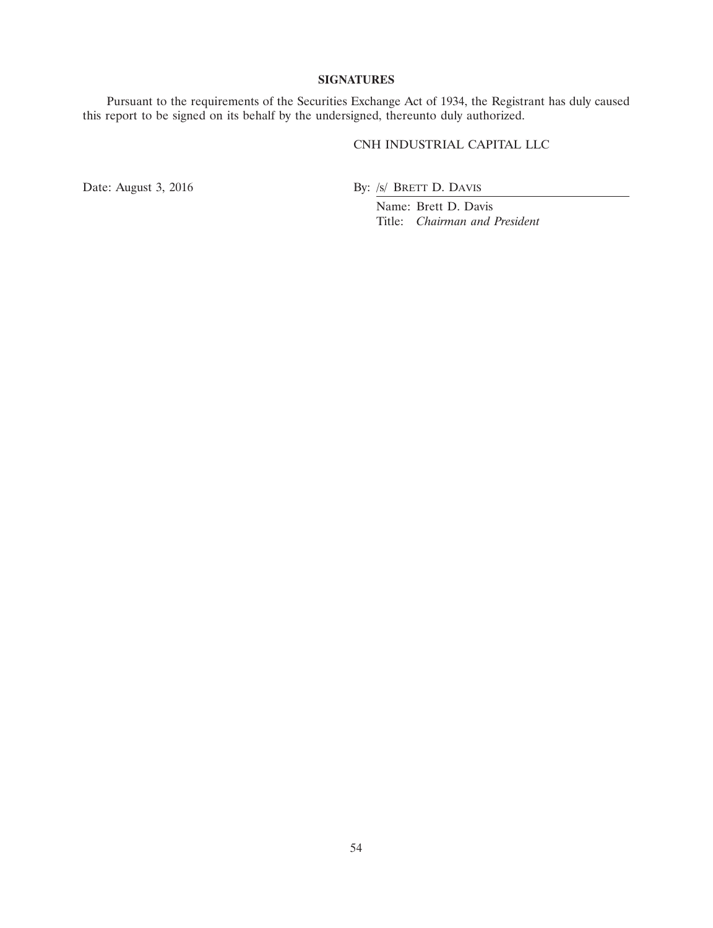### **SIGNATURES**

Pursuant to the requirements of the Securities Exchange Act of 1934, the Registrant has duly caused this report to be signed on its behalf by the undersigned, thereunto duly authorized.

### CNH INDUSTRIAL CAPITAL LLC

Date: August 3, 2016 By: /s/ BRETT D. DAVIS

Name: Brett D. Davis Title: *Chairman and President*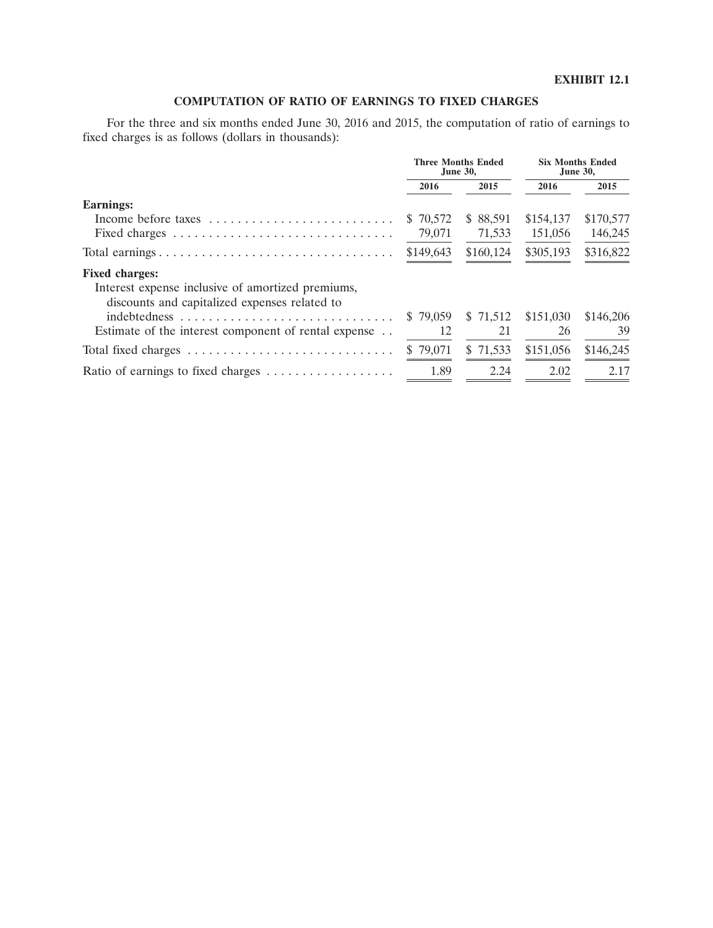### **COMPUTATION OF RATIO OF EARNINGS TO FIXED CHARGES**

For the three and six months ended June 30, 2016 and 2015, the computation of ratio of earnings to fixed charges is as follows (dollars in thousands):

|                                                                                                                             | <b>Three Months Ended</b><br><b>June 30,</b> |           | <b>Six Months Ended</b><br><b>June 30,</b> |           |
|-----------------------------------------------------------------------------------------------------------------------------|----------------------------------------------|-----------|--------------------------------------------|-----------|
|                                                                                                                             | 2016                                         | 2015      | 2016                                       | 2015      |
| <b>Earnings:</b>                                                                                                            |                                              |           |                                            |           |
| Income before taxes                                                                                                         | \$ 70,572                                    | \$ 88,591 | \$154,137                                  | \$170,577 |
|                                                                                                                             | 79,071                                       | 71,533    | 151,056                                    | 146,245   |
|                                                                                                                             | \$149,643                                    | \$160,124 | \$305,193                                  | \$316,822 |
| <b>Fixed charges:</b><br>Interest expense inclusive of amortized premiums,<br>discounts and capitalized expenses related to |                                              |           |                                            |           |
|                                                                                                                             | \$79,059                                     | \$ 71,512 | \$151,030                                  | \$146,206 |
| Estimate of the interest component of rental expense                                                                        | 12                                           | 21        | 26                                         | 39        |
|                                                                                                                             | \$79,071                                     | \$ 71,533 | \$151,056                                  | \$146,245 |
| Ratio of earnings to fixed charges                                                                                          | 1.89                                         | 2.24      | 2.02                                       | 2.17      |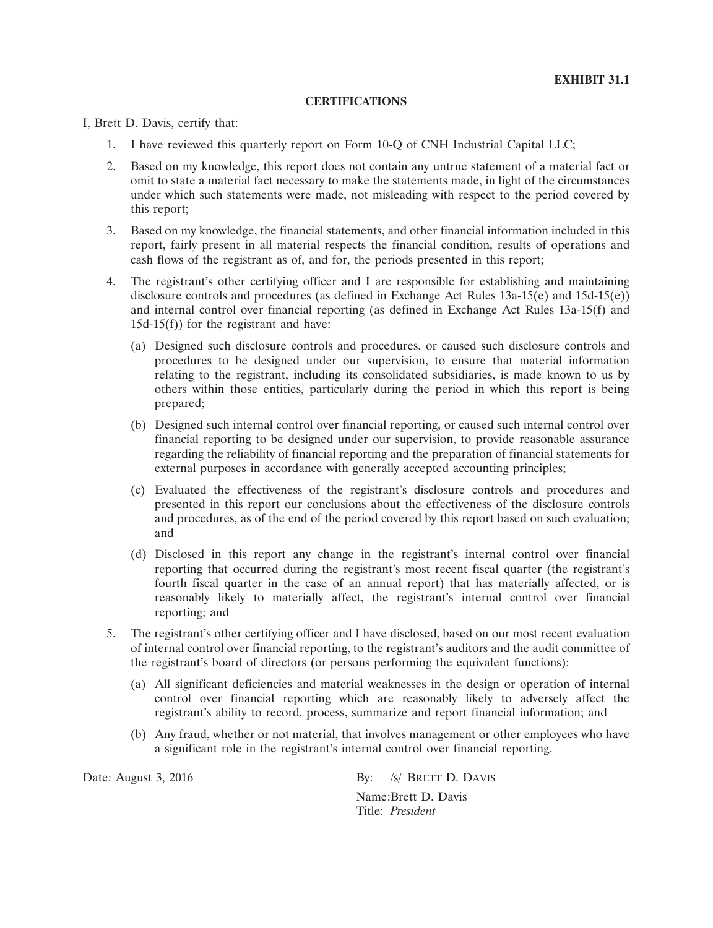#### **CERTIFICATIONS**

I, Brett D. Davis, certify that:

- 1. I have reviewed this quarterly report on Form 10-Q of CNH Industrial Capital LLC;
- 2. Based on my knowledge, this report does not contain any untrue statement of a material fact or omit to state a material fact necessary to make the statements made, in light of the circumstances under which such statements were made, not misleading with respect to the period covered by this report;
- 3. Based on my knowledge, the financial statements, and other financial information included in this report, fairly present in all material respects the financial condition, results of operations and cash flows of the registrant as of, and for, the periods presented in this report;
- 4. The registrant's other certifying officer and I are responsible for establishing and maintaining disclosure controls and procedures (as defined in Exchange Act Rules  $13a-15(e)$  and  $15d-15(e)$ ) and internal control over financial reporting (as defined in Exchange Act Rules 13a-15(f) and 15d-15(f)) for the registrant and have:
	- (a) Designed such disclosure controls and procedures, or caused such disclosure controls and procedures to be designed under our supervision, to ensure that material information relating to the registrant, including its consolidated subsidiaries, is made known to us by others within those entities, particularly during the period in which this report is being prepared;
	- (b) Designed such internal control over financial reporting, or caused such internal control over financial reporting to be designed under our supervision, to provide reasonable assurance regarding the reliability of financial reporting and the preparation of financial statements for external purposes in accordance with generally accepted accounting principles;
	- (c) Evaluated the effectiveness of the registrant's disclosure controls and procedures and presented in this report our conclusions about the effectiveness of the disclosure controls and procedures, as of the end of the period covered by this report based on such evaluation; and
	- (d) Disclosed in this report any change in the registrant's internal control over financial reporting that occurred during the registrant's most recent fiscal quarter (the registrant's fourth fiscal quarter in the case of an annual report) that has materially affected, or is reasonably likely to materially affect, the registrant's internal control over financial reporting; and
- 5. The registrant's other certifying officer and I have disclosed, based on our most recent evaluation of internal control over financial reporting, to the registrant's auditors and the audit committee of the registrant's board of directors (or persons performing the equivalent functions):
	- (a) All significant deficiencies and material weaknesses in the design or operation of internal control over financial reporting which are reasonably likely to adversely affect the registrant's ability to record, process, summarize and report financial information; and
	- (b) Any fraud, whether or not material, that involves management or other employees who have a significant role in the registrant's internal control over financial reporting.

Date: August 3, 2016 By: /s/ BRETT D. DAVIS

Name:Brett D. Davis Title: *President*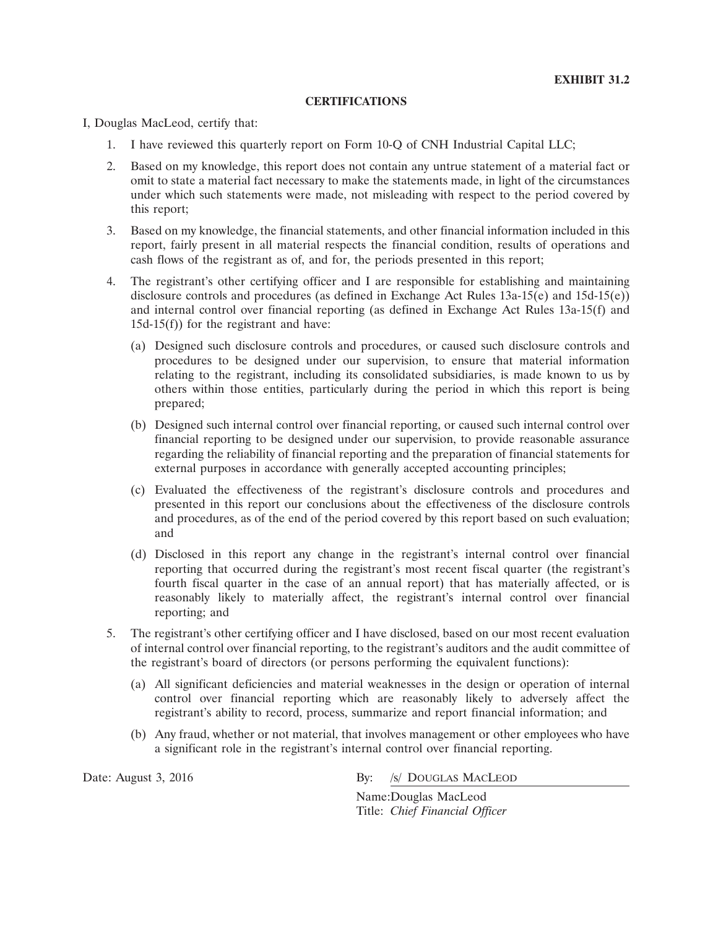#### **CERTIFICATIONS**

I, Douglas MacLeod, certify that:

- 1. I have reviewed this quarterly report on Form 10-Q of CNH Industrial Capital LLC;
- 2. Based on my knowledge, this report does not contain any untrue statement of a material fact or omit to state a material fact necessary to make the statements made, in light of the circumstances under which such statements were made, not misleading with respect to the period covered by this report;
- 3. Based on my knowledge, the financial statements, and other financial information included in this report, fairly present in all material respects the financial condition, results of operations and cash flows of the registrant as of, and for, the periods presented in this report;
- 4. The registrant's other certifying officer and I are responsible for establishing and maintaining disclosure controls and procedures (as defined in Exchange Act Rules  $13a-15(e)$  and  $15d-15(e)$ ) and internal control over financial reporting (as defined in Exchange Act Rules 13a-15(f) and 15d-15(f)) for the registrant and have:
	- (a) Designed such disclosure controls and procedures, or caused such disclosure controls and procedures to be designed under our supervision, to ensure that material information relating to the registrant, including its consolidated subsidiaries, is made known to us by others within those entities, particularly during the period in which this report is being prepared;
	- (b) Designed such internal control over financial reporting, or caused such internal control over financial reporting to be designed under our supervision, to provide reasonable assurance regarding the reliability of financial reporting and the preparation of financial statements for external purposes in accordance with generally accepted accounting principles;
	- (c) Evaluated the effectiveness of the registrant's disclosure controls and procedures and presented in this report our conclusions about the effectiveness of the disclosure controls and procedures, as of the end of the period covered by this report based on such evaluation; and
	- (d) Disclosed in this report any change in the registrant's internal control over financial reporting that occurred during the registrant's most recent fiscal quarter (the registrant's fourth fiscal quarter in the case of an annual report) that has materially affected, or is reasonably likely to materially affect, the registrant's internal control over financial reporting; and
- 5. The registrant's other certifying officer and I have disclosed, based on our most recent evaluation of internal control over financial reporting, to the registrant's auditors and the audit committee of the registrant's board of directors (or persons performing the equivalent functions):
	- (a) All significant deficiencies and material weaknesses in the design or operation of internal control over financial reporting which are reasonably likely to adversely affect the registrant's ability to record, process, summarize and report financial information; and
	- (b) Any fraud, whether or not material, that involves management or other employees who have a significant role in the registrant's internal control over financial reporting.

Date: August 3, 2016 By: /s/ DOUGLAS MACLEOD

Name:Douglas MacLeod Title: *Chief Financial Officer*